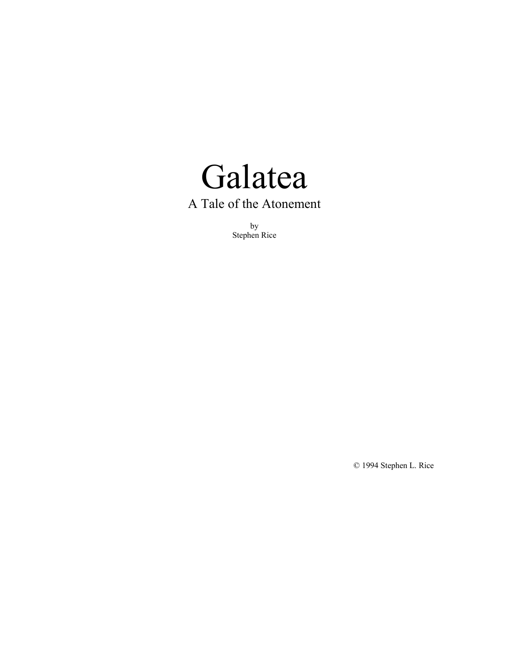

by Stephen Rice

© 1994 Stephen L. Rice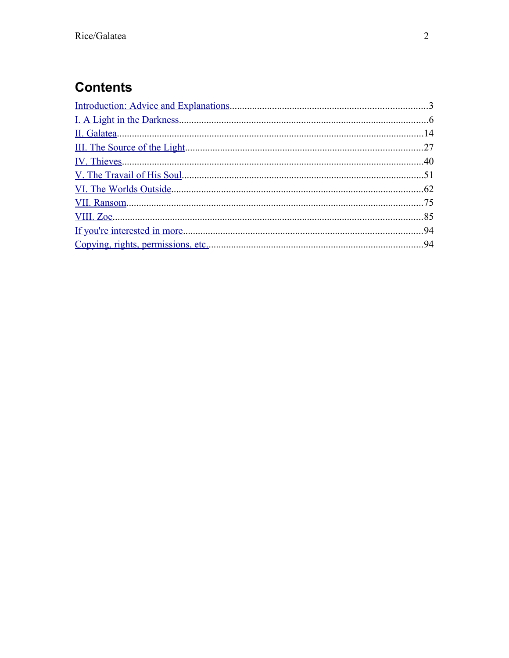# **Contents**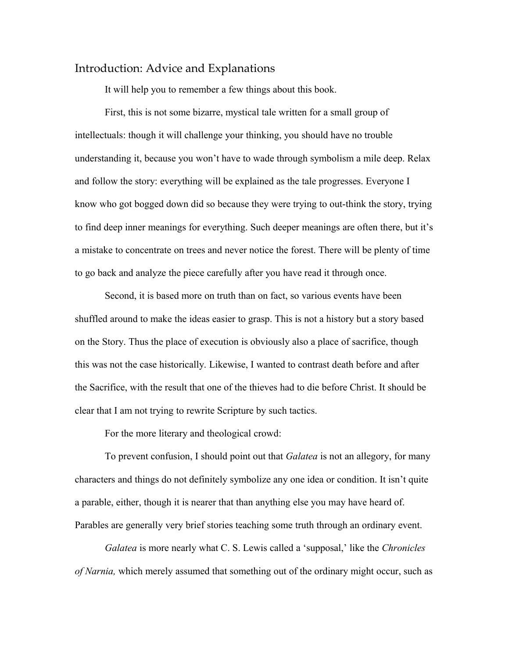## <span id="page-2-0"></span>Introduction: Advice and Explanations

It will help you to remember a few things about this book.

First, this is not some bizarre, mystical tale written for a small group of intellectuals: though it will challenge your thinking, you should have no trouble understanding it, because you won't have to wade through symbolism a mile deep. Relax and follow the story: everything will be explained as the tale progresses. Everyone I know who got bogged down did so because they were trying to out-think the story, trying to find deep inner meanings for everything. Such deeper meanings are often there, but it's a mistake to concentrate on trees and never notice the forest. There will be plenty of time to go back and analyze the piece carefully after you have read it through once.

Second, it is based more on truth than on fact, so various events have been shuffled around to make the ideas easier to grasp. This is not a history but a story based on the Story. Thus the place of execution is obviously also a place of sacrifice, though this was not the case historically. Likewise, I wanted to contrast death before and after the Sacrifice, with the result that one of the thieves had to die before Christ. It should be clear that I am not trying to rewrite Scripture by such tactics.

For the more literary and theological crowd:

To prevent confusion, I should point out that *Galatea* is not an allegory, for many characters and things do not definitely symbolize any one idea or condition. It isn't quite a parable, either, though it is nearer that than anything else you may have heard of. Parables are generally very brief stories teaching some truth through an ordinary event.

*Galatea* is more nearly what C. S. Lewis called a 'supposal,' like the *Chronicles of Narnia,* which merely assumed that something out of the ordinary might occur, such as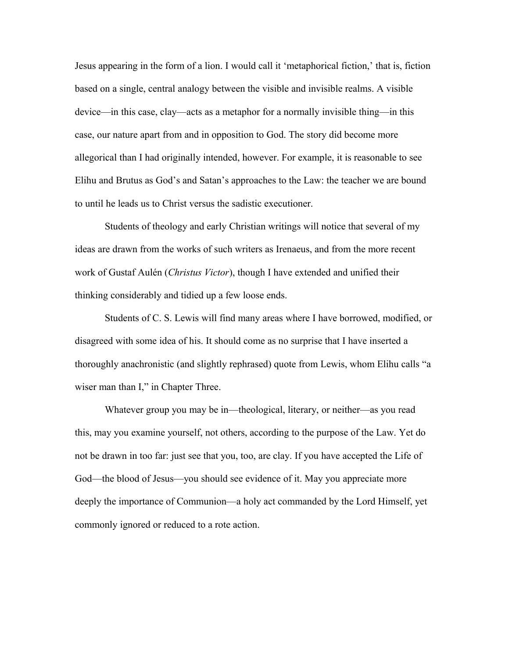Jesus appearing in the form of a lion. I would call it 'metaphorical fiction,' that is, fiction based on a single, central analogy between the visible and invisible realms. A visible device—in this case, clay—acts as a metaphor for a normally invisible thing—in this case, our nature apart from and in opposition to God. The story did become more allegorical than I had originally intended, however. For example, it is reasonable to see Elihu and Brutus as God's and Satan's approaches to the Law: the teacher we are bound to until he leads us to Christ versus the sadistic executioner.

Students of theology and early Christian writings will notice that several of my ideas are drawn from the works of such writers as Irenaeus, and from the more recent work of Gustaf Aulén (*Christus Victor*), though I have extended and unified their thinking considerably and tidied up a few loose ends.

Students of C. S. Lewis will find many areas where I have borrowed, modified, or disagreed with some idea of his. It should come as no surprise that I have inserted a thoroughly anachronistic (and slightly rephrased) quote from Lewis, whom Elihu calls "a wiser man than I," in Chapter Three.

Whatever group you may be in—theological, literary, or neither—as you read this, may you examine yourself, not others, according to the purpose of the Law. Yet do not be drawn in too far: just see that you, too, are clay. If you have accepted the Life of God—the blood of Jesus—you should see evidence of it. May you appreciate more deeply the importance of Communion—a holy act commanded by the Lord Himself, yet commonly ignored or reduced to a rote action.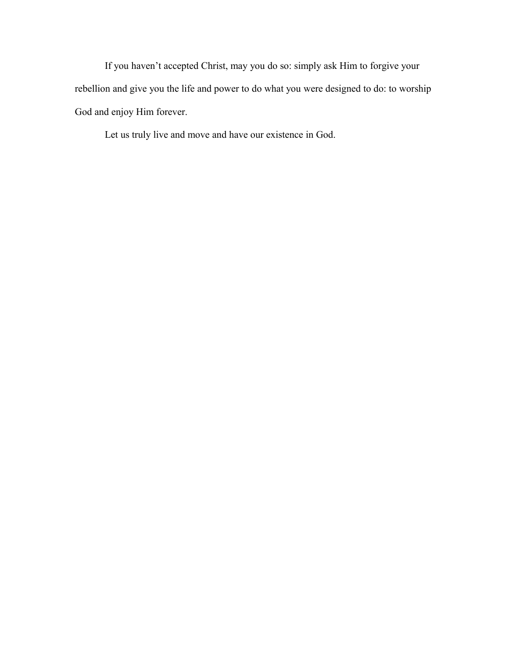If you haven't accepted Christ, may you do so: simply ask Him to forgive your rebellion and give you the life and power to do what you were designed to do: to worship God and enjoy Him forever.

Let us truly live and move and have our existence in God.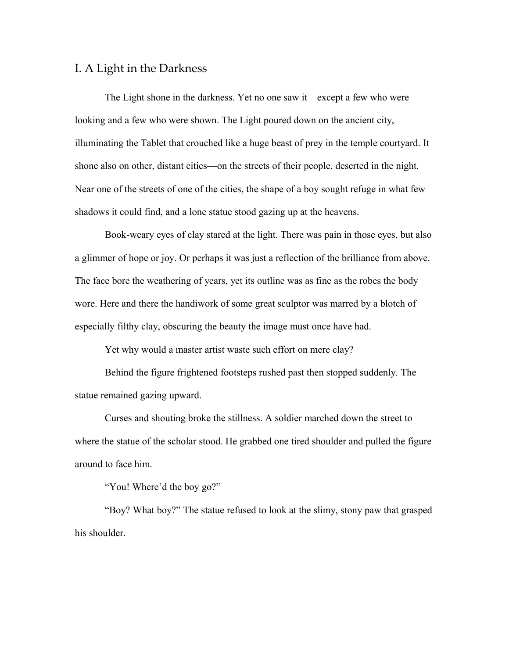#### <span id="page-5-0"></span>I. A Light in the Darkness

The Light shone in the darkness. Yet no one saw it—except a few who were looking and a few who were shown. The Light poured down on the ancient city, illuminating the Tablet that crouched like a huge beast of prey in the temple courtyard. It shone also on other, distant cities—on the streets of their people, deserted in the night. Near one of the streets of one of the cities, the shape of a boy sought refuge in what few shadows it could find, and a lone statue stood gazing up at the heavens.

Book-weary eyes of clay stared at the light. There was pain in those eyes, but also a glimmer of hope or joy. Or perhaps it was just a reflection of the brilliance from above. The face bore the weathering of years, yet its outline was as fine as the robes the body wore. Here and there the handiwork of some great sculptor was marred by a blotch of especially filthy clay, obscuring the beauty the image must once have had.

Yet why would a master artist waste such effort on mere clay?

Behind the figure frightened footsteps rushed past then stopped suddenly. The statue remained gazing upward.

Curses and shouting broke the stillness. A soldier marched down the street to where the statue of the scholar stood. He grabbed one tired shoulder and pulled the figure around to face him.

"You! Where'd the boy go?"

"Boy? What boy?" The statue refused to look at the slimy, stony paw that grasped his shoulder.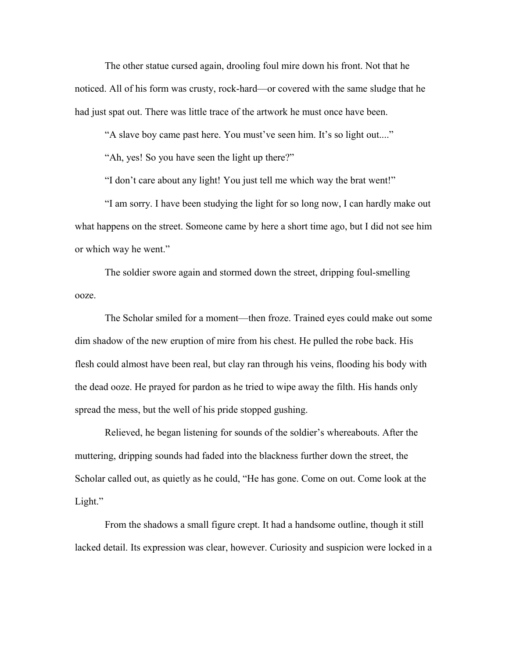The other statue cursed again, drooling foul mire down his front. Not that he noticed. All of his form was crusty, rock-hard—or covered with the same sludge that he had just spat out. There was little trace of the artwork he must once have been.

"A slave boy came past here. You must've seen him. It's so light out...."

"Ah, yes! So you have seen the light up there?"

"I don't care about any light! You just tell me which way the brat went!"

"I am sorry. I have been studying the light for so long now, I can hardly make out what happens on the street. Someone came by here a short time ago, but I did not see him or which way he went."

The soldier swore again and stormed down the street, dripping foul-smelling ooze.

The Scholar smiled for a moment—then froze. Trained eyes could make out some dim shadow of the new eruption of mire from his chest. He pulled the robe back. His flesh could almost have been real, but clay ran through his veins, flooding his body with the dead ooze. He prayed for pardon as he tried to wipe away the filth. His hands only spread the mess, but the well of his pride stopped gushing.

Relieved, he began listening for sounds of the soldier's whereabouts. After the muttering, dripping sounds had faded into the blackness further down the street, the Scholar called out, as quietly as he could, "He has gone. Come on out. Come look at the Light."

From the shadows a small figure crept. It had a handsome outline, though it still lacked detail. Its expression was clear, however. Curiosity and suspicion were locked in a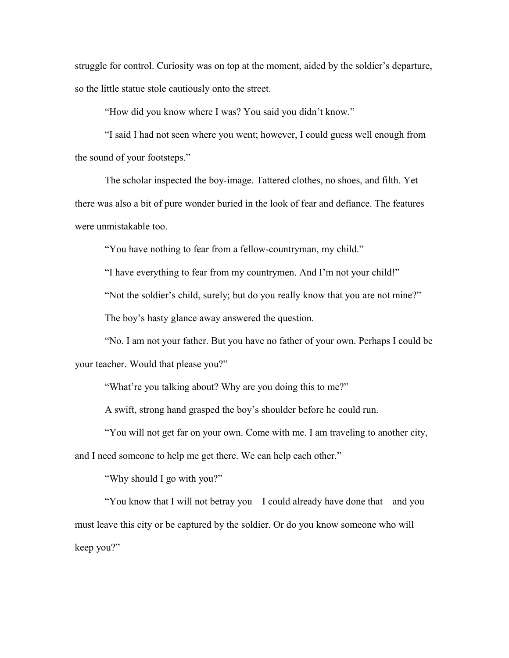struggle for control. Curiosity was on top at the moment, aided by the soldier's departure, so the little statue stole cautiously onto the street.

"How did you know where I was? You said you didn't know."

"I said I had not seen where you went; however, I could guess well enough from the sound of your footsteps."

The scholar inspected the boy-image. Tattered clothes, no shoes, and filth. Yet there was also a bit of pure wonder buried in the look of fear and defiance. The features were unmistakable too.

"You have nothing to fear from a fellow-countryman, my child."

"I have everything to fear from my countrymen. And I'm not your child!"

"Not the soldier's child, surely; but do you really know that you are not mine?"

The boy's hasty glance away answered the question.

"No. I am not your father. But you have no father of your own. Perhaps I could be your teacher. Would that please you?"

"What're you talking about? Why are you doing this to me?"

A swift, strong hand grasped the boy's shoulder before he could run.

"You will not get far on your own. Come with me. I am traveling to another city,

and I need someone to help me get there. We can help each other."

"Why should I go with you?"

"You know that I will not betray you—I could already have done that—and you must leave this city or be captured by the soldier. Or do you know someone who will keep you?"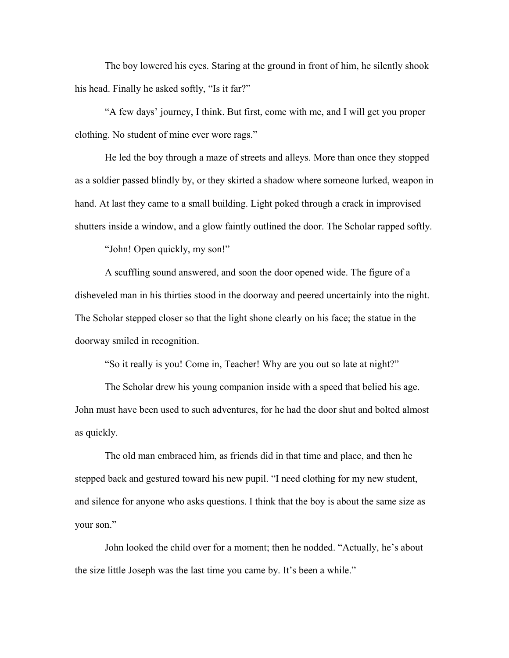The boy lowered his eyes. Staring at the ground in front of him, he silently shook his head. Finally he asked softly, "Is it far?"

"A few days' journey, I think. But first, come with me, and I will get you proper clothing. No student of mine ever wore rags."

He led the boy through a maze of streets and alleys. More than once they stopped as a soldier passed blindly by, or they skirted a shadow where someone lurked, weapon in hand. At last they came to a small building. Light poked through a crack in improvised shutters inside a window, and a glow faintly outlined the door. The Scholar rapped softly.

"John! Open quickly, my son!"

A scuffling sound answered, and soon the door opened wide. The figure of a disheveled man in his thirties stood in the doorway and peered uncertainly into the night. The Scholar stepped closer so that the light shone clearly on his face; the statue in the doorway smiled in recognition.

"So it really is you! Come in, Teacher! Why are you out so late at night?"

The Scholar drew his young companion inside with a speed that belied his age. John must have been used to such adventures, for he had the door shut and bolted almost as quickly.

The old man embraced him, as friends did in that time and place, and then he stepped back and gestured toward his new pupil. "I need clothing for my new student, and silence for anyone who asks questions. I think that the boy is about the same size as your son."

John looked the child over for a moment; then he nodded. "Actually, he's about the size little Joseph was the last time you came by. It's been a while."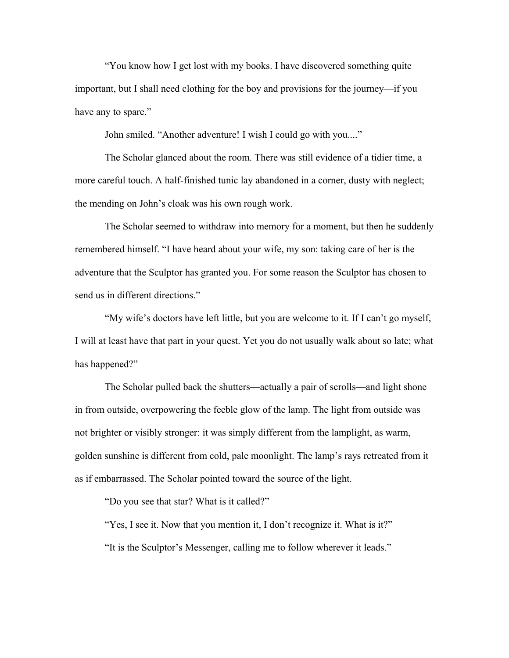"You know how I get lost with my books. I have discovered something quite important, but I shall need clothing for the boy and provisions for the journey—if you have any to spare."

John smiled. "Another adventure! I wish I could go with you...."

The Scholar glanced about the room. There was still evidence of a tidier time, a more careful touch. A half-finished tunic lay abandoned in a corner, dusty with neglect; the mending on John's cloak was his own rough work.

The Scholar seemed to withdraw into memory for a moment, but then he suddenly remembered himself. "I have heard about your wife, my son: taking care of her is the adventure that the Sculptor has granted you. For some reason the Sculptor has chosen to send us in different directions."

"My wife's doctors have left little, but you are welcome to it. If I can't go myself, I will at least have that part in your quest. Yet you do not usually walk about so late; what has happened?"

The Scholar pulled back the shutters—actually a pair of scrolls—and light shone in from outside, overpowering the feeble glow of the lamp. The light from outside was not brighter or visibly stronger: it was simply different from the lamplight, as warm, golden sunshine is different from cold, pale moonlight. The lamp's rays retreated from it as if embarrassed. The Scholar pointed toward the source of the light.

"Do you see that star? What is it called?"

"Yes, I see it. Now that you mention it, I don't recognize it. What is it?" "It is the Sculptor's Messenger, calling me to follow wherever it leads."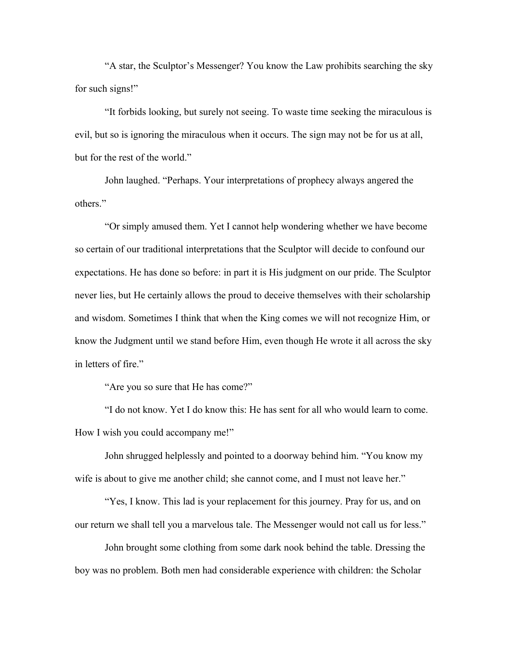"A star, the Sculptor's Messenger? You know the Law prohibits searching the sky for such signs!"

"It forbids looking, but surely not seeing. To waste time seeking the miraculous is evil, but so is ignoring the miraculous when it occurs. The sign may not be for us at all, but for the rest of the world."

John laughed. "Perhaps. Your interpretations of prophecy always angered the others."

"Or simply amused them. Yet I cannot help wondering whether we have become so certain of our traditional interpretations that the Sculptor will decide to confound our expectations. He has done so before: in part it is His judgment on our pride. The Sculptor never lies, but He certainly allows the proud to deceive themselves with their scholarship and wisdom. Sometimes I think that when the King comes we will not recognize Him, or know the Judgment until we stand before Him, even though He wrote it all across the sky in letters of fire."

"Are you so sure that He has come?"

"I do not know. Yet I do know this: He has sent for all who would learn to come. How I wish you could accompany me!"

John shrugged helplessly and pointed to a doorway behind him. "You know my wife is about to give me another child; she cannot come, and I must not leave her."

"Yes, I know. This lad is your replacement for this journey. Pray for us, and on our return we shall tell you a marvelous tale. The Messenger would not call us for less."

John brought some clothing from some dark nook behind the table. Dressing the boy was no problem. Both men had considerable experience with children: the Scholar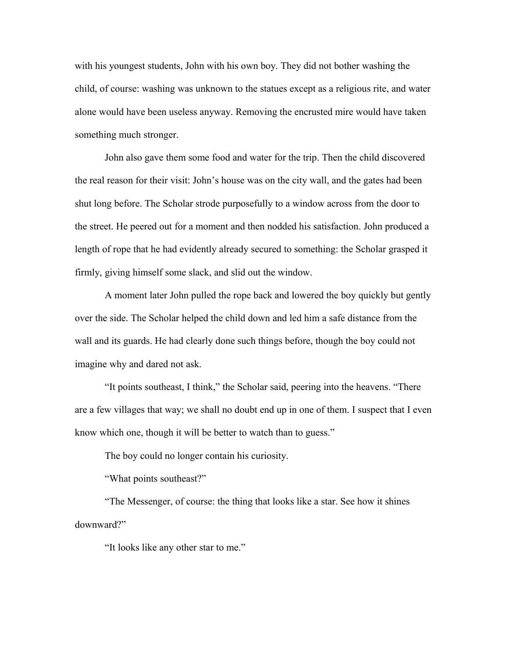with his youngest students, John with his own boy. They did not bother washing the child, of course: washing was unknown to the statues except as a religious rite, and water alone would have been useless anyway. Removing the encrusted mire would have taken something much stronger.

John also gave them some food and water for the trip. Then the child discovered the real reason for their visit: John's house was on the city wall, and the gates had been shut long before. The Scholar strode purposefully to a window across from the door to the street. He peered out for a moment and then nodded his satisfaction. John produced a length of rope that he had evidently already secured to something: the Scholar grasped it firmly, giving himself some slack, and slid out the window.

A moment later John pulled the rope back and lowered the boy quickly but gently over the side. The Scholar helped the child down and led him a safe distance from the wall and its guards. He had clearly done such things before, though the boy could not imagine why and dared not ask.

"It points southeast, I think," the Scholar said, peering into the heavens. "There are a few villages that way; we shall no doubt end up in one of them. I suspect that I even know which one, though it will be better to watch than to guess."

The boy could no longer contain his curiosity.

"What points southeast?"

"The Messenger, of course: the thing that looks like a star. See how it shines downward?"

"It looks like any other star to me."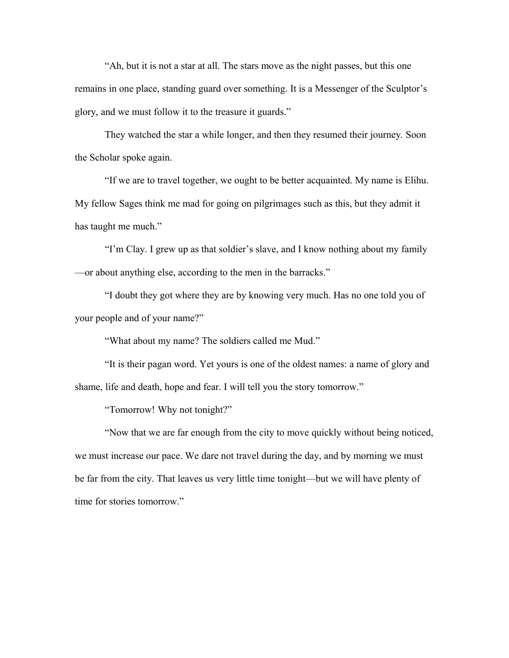"Ah, but it is not a star at all. The stars move as the night passes, but this one remains in one place, standing guard over something. It is a Messenger of the Sculptor's glory, and we must follow it to the treasure it guards."

They watched the star a while longer, and then they resumed their journey. Soon the Scholar spoke again.

"If we are to travel together, we ought to be better acquainted. My name is Elihu. My fellow Sages think me mad for going on pilgrimages such as this, but they admit it has taught me much."

"I'm Clay. I grew up as that soldier's slave, and I know nothing about my family —or about anything else, according to the men in the barracks."

"I doubt they got where they are by knowing very much. Has no one told you of your people and of your name?"

"What about my name? The soldiers called me Mud."

"It is their pagan word. Yet yours is one of the oldest names: a name of glory and shame, life and death, hope and fear. I will tell you the story tomorrow."

"Tomorrow! Why not tonight?"

"Now that we are far enough from the city to move quickly without being noticed, we must increase our pace. We dare not travel during the day, and by morning we must be far from the city. That leaves us very little time tonight—but we will have plenty of time for stories tomorrow."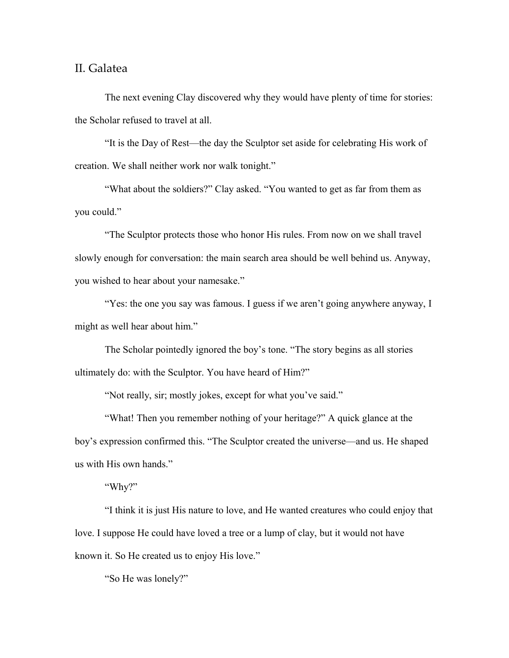#### <span id="page-13-0"></span>II. Galatea

The next evening Clay discovered why they would have plenty of time for stories: the Scholar refused to travel at all.

"It is the Day of Rest—the day the Sculptor set aside for celebrating His work of creation. We shall neither work nor walk tonight."

"What about the soldiers?" Clay asked. "You wanted to get as far from them as you could."

"The Sculptor protects those who honor His rules. From now on we shall travel slowly enough for conversation: the main search area should be well behind us. Anyway, you wished to hear about your namesake."

"Yes: the one you say was famous. I guess if we aren't going anywhere anyway, I might as well hear about him."

The Scholar pointedly ignored the boy's tone. "The story begins as all stories ultimately do: with the Sculptor. You have heard of Him?"

"Not really, sir; mostly jokes, except for what you've said."

"What! Then you remember nothing of your heritage?" A quick glance at the boy's expression confirmed this. "The Sculptor created the universe—and us. He shaped us with His own hands."

"Why?"

"I think it is just His nature to love, and He wanted creatures who could enjoy that love. I suppose He could have loved a tree or a lump of clay, but it would not have known it. So He created us to enjoy His love."

"So He was lonely?"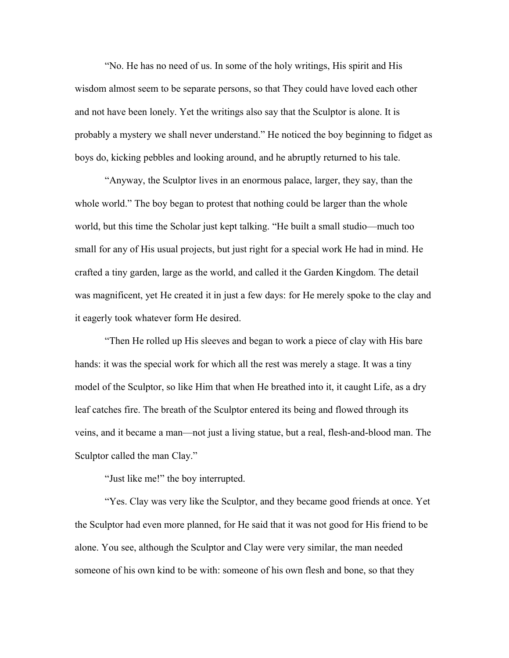"No. He has no need of us. In some of the holy writings, His spirit and His wisdom almost seem to be separate persons, so that They could have loved each other and not have been lonely. Yet the writings also say that the Sculptor is alone. It is probably a mystery we shall never understand." He noticed the boy beginning to fidget as boys do, kicking pebbles and looking around, and he abruptly returned to his tale.

"Anyway, the Sculptor lives in an enormous palace, larger, they say, than the whole world." The boy began to protest that nothing could be larger than the whole world, but this time the Scholar just kept talking. "He built a small studio—much too small for any of His usual projects, but just right for a special work He had in mind. He crafted a tiny garden, large as the world, and called it the Garden Kingdom. The detail was magnificent, yet He created it in just a few days: for He merely spoke to the clay and it eagerly took whatever form He desired.

"Then He rolled up His sleeves and began to work a piece of clay with His bare hands: it was the special work for which all the rest was merely a stage. It was a tiny model of the Sculptor, so like Him that when He breathed into it, it caught Life, as a dry leaf catches fire. The breath of the Sculptor entered its being and flowed through its veins, and it became a man—not just a living statue, but a real, flesh-and-blood man. The Sculptor called the man Clay."

"Just like me!" the boy interrupted.

"Yes. Clay was very like the Sculptor, and they became good friends at once. Yet the Sculptor had even more planned, for He said that it was not good for His friend to be alone. You see, although the Sculptor and Clay were very similar, the man needed someone of his own kind to be with: someone of his own flesh and bone, so that they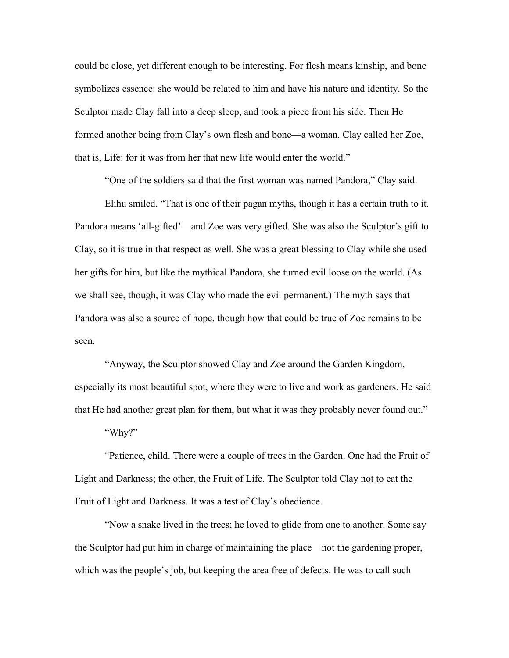could be close, yet different enough to be interesting. For flesh means kinship, and bone symbolizes essence: she would be related to him and have his nature and identity. So the Sculptor made Clay fall into a deep sleep, and took a piece from his side. Then He formed another being from Clay's own flesh and bone—a woman. Clay called her Zoe, that is, Life: for it was from her that new life would enter the world."

"One of the soldiers said that the first woman was named Pandora," Clay said.

Elihu smiled. "That is one of their pagan myths, though it has a certain truth to it. Pandora means 'all-gifted'—and Zoe was very gifted. She was also the Sculptor's gift to Clay, so it is true in that respect as well. She was a great blessing to Clay while she used her gifts for him, but like the mythical Pandora, she turned evil loose on the world. (As we shall see, though, it was Clay who made the evil permanent.) The myth says that Pandora was also a source of hope, though how that could be true of Zoe remains to be seen.

"Anyway, the Sculptor showed Clay and Zoe around the Garden Kingdom, especially its most beautiful spot, where they were to live and work as gardeners. He said that He had another great plan for them, but what it was they probably never found out."

"Why?"

"Patience, child. There were a couple of trees in the Garden. One had the Fruit of Light and Darkness; the other, the Fruit of Life. The Sculptor told Clay not to eat the Fruit of Light and Darkness. It was a test of Clay's obedience.

"Now a snake lived in the trees; he loved to glide from one to another. Some say the Sculptor had put him in charge of maintaining the place—not the gardening proper, which was the people's job, but keeping the area free of defects. He was to call such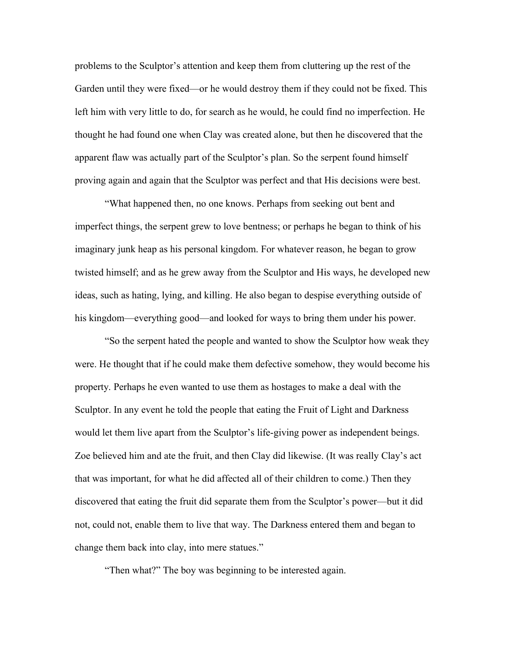problems to the Sculptor's attention and keep them from cluttering up the rest of the Garden until they were fixed—or he would destroy them if they could not be fixed. This left him with very little to do, for search as he would, he could find no imperfection. He thought he had found one when Clay was created alone, but then he discovered that the apparent flaw was actually part of the Sculptor's plan. So the serpent found himself proving again and again that the Sculptor was perfect and that His decisions were best.

"What happened then, no one knows. Perhaps from seeking out bent and imperfect things, the serpent grew to love bentness; or perhaps he began to think of his imaginary junk heap as his personal kingdom. For whatever reason, he began to grow twisted himself; and as he grew away from the Sculptor and His ways, he developed new ideas, such as hating, lying, and killing. He also began to despise everything outside of his kingdom—everything good—and looked for ways to bring them under his power.

"So the serpent hated the people and wanted to show the Sculptor how weak they were. He thought that if he could make them defective somehow, they would become his property. Perhaps he even wanted to use them as hostages to make a deal with the Sculptor. In any event he told the people that eating the Fruit of Light and Darkness would let them live apart from the Sculptor's life-giving power as independent beings. Zoe believed him and ate the fruit, and then Clay did likewise. (It was really Clay's act that was important, for what he did affected all of their children to come.) Then they discovered that eating the fruit did separate them from the Sculptor's power—but it did not, could not, enable them to live that way. The Darkness entered them and began to change them back into clay, into mere statues."

"Then what?" The boy was beginning to be interested again.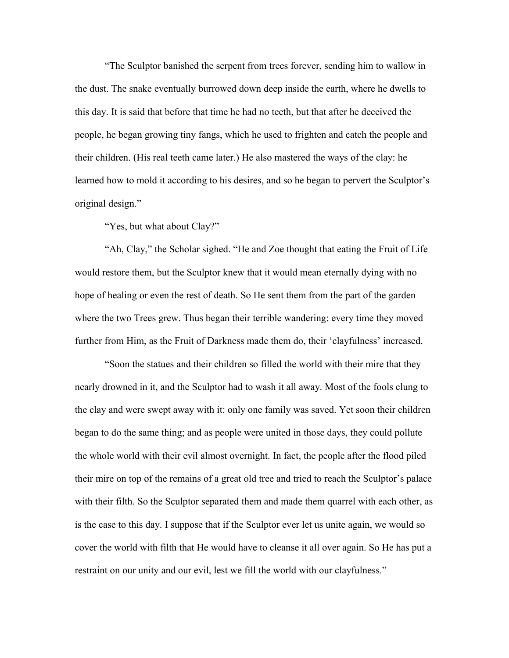"The Sculptor banished the serpent from trees forever, sending him to wallow in the dust. The snake eventually burrowed down deep inside the earth, where he dwells to this day. It is said that before that time he had no teeth, but that after he deceived the people, he began growing tiny fangs, which he used to frighten and catch the people and their children. (His real teeth came later.) He also mastered the ways of the clay: he learned how to mold it according to his desires, and so he began to pervert the Sculptor's original design."

"Yes, but what about Clay?"

"Ah, Clay," the Scholar sighed. "He and Zoe thought that eating the Fruit of Life would restore them, but the Sculptor knew that it would mean eternally dying with no hope of healing or even the rest of death. So He sent them from the part of the garden where the two Trees grew. Thus began their terrible wandering: every time they moved further from Him, as the Fruit of Darkness made them do, their 'clayfulness' increased.

"Soon the statues and their children so filled the world with their mire that they nearly drowned in it, and the Sculptor had to wash it all away. Most of the fools clung to the clay and were swept away with it: only one family was saved. Yet soon their children began to do the same thing; and as people were united in those days, they could pollute the whole world with their evil almost overnight. In fact, the people after the flood piled their mire on top of the remains of a great old tree and tried to reach the Sculptor's palace with their filth. So the Sculptor separated them and made them quarrel with each other, as is the case to this day. I suppose that if the Sculptor ever let us unite again, we would so cover the world with filth that He would have to cleanse it all over again. So He has put a restraint on our unity and our evil, lest we fill the world with our clayfulness."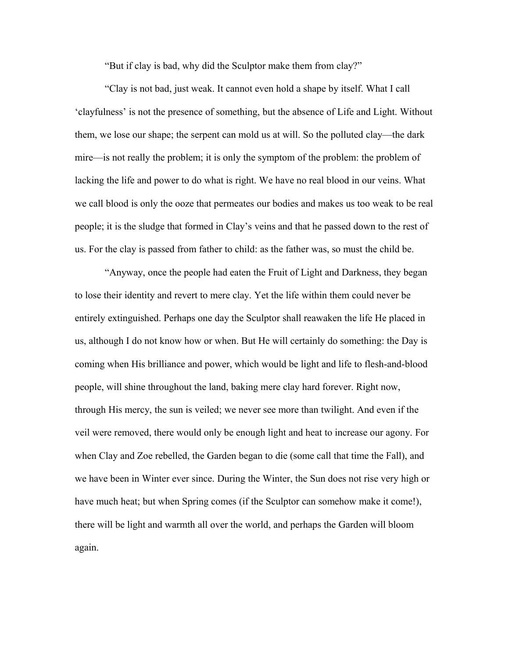"But if clay is bad, why did the Sculptor make them from clay?"

"Clay is not bad, just weak. It cannot even hold a shape by itself. What I call 'clayfulness' is not the presence of something, but the absence of Life and Light. Without them, we lose our shape; the serpent can mold us at will. So the polluted clay—the dark mire—is not really the problem; it is only the symptom of the problem: the problem of lacking the life and power to do what is right. We have no real blood in our veins. What we call blood is only the ooze that permeates our bodies and makes us too weak to be real people; it is the sludge that formed in Clay's veins and that he passed down to the rest of us. For the clay is passed from father to child: as the father was, so must the child be.

"Anyway, once the people had eaten the Fruit of Light and Darkness, they began to lose their identity and revert to mere clay. Yet the life within them could never be entirely extinguished. Perhaps one day the Sculptor shall reawaken the life He placed in us, although I do not know how or when. But He will certainly do something: the Day is coming when His brilliance and power, which would be light and life to flesh-and-blood people, will shine throughout the land, baking mere clay hard forever. Right now, through His mercy, the sun is veiled; we never see more than twilight. And even if the veil were removed, there would only be enough light and heat to increase our agony. For when Clay and Zoe rebelled, the Garden began to die (some call that time the Fall), and we have been in Winter ever since. During the Winter, the Sun does not rise very high or have much heat; but when Spring comes (if the Sculptor can somehow make it come!), there will be light and warmth all over the world, and perhaps the Garden will bloom again.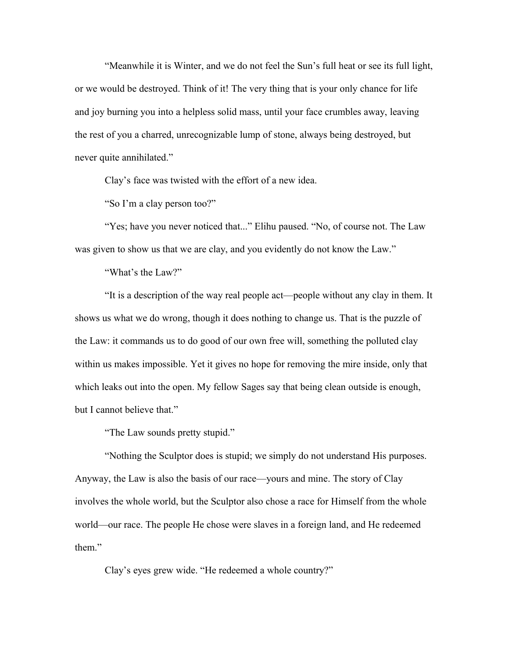"Meanwhile it is Winter, and we do not feel the Sun's full heat or see its full light, or we would be destroyed. Think of it! The very thing that is your only chance for life and joy burning you into a helpless solid mass, until your face crumbles away, leaving the rest of you a charred, unrecognizable lump of stone, always being destroyed, but never quite annihilated."

Clay's face was twisted with the effort of a new idea.

"So I'm a clay person too?"

"Yes; have you never noticed that..." Elihu paused. "No, of course not. The Law was given to show us that we are clay, and you evidently do not know the Law."

"What's the Law?"

"It is a description of the way real people act—people without any clay in them. It shows us what we do wrong, though it does nothing to change us. That is the puzzle of the Law: it commands us to do good of our own free will, something the polluted clay within us makes impossible. Yet it gives no hope for removing the mire inside, only that which leaks out into the open. My fellow Sages say that being clean outside is enough, but I cannot believe that."

"The Law sounds pretty stupid."

"Nothing the Sculptor does is stupid; we simply do not understand His purposes. Anyway, the Law is also the basis of our race—yours and mine. The story of Clay involves the whole world, but the Sculptor also chose a race for Himself from the whole world—our race. The people He chose were slaves in a foreign land, and He redeemed them."

Clay's eyes grew wide. "He redeemed a whole country?"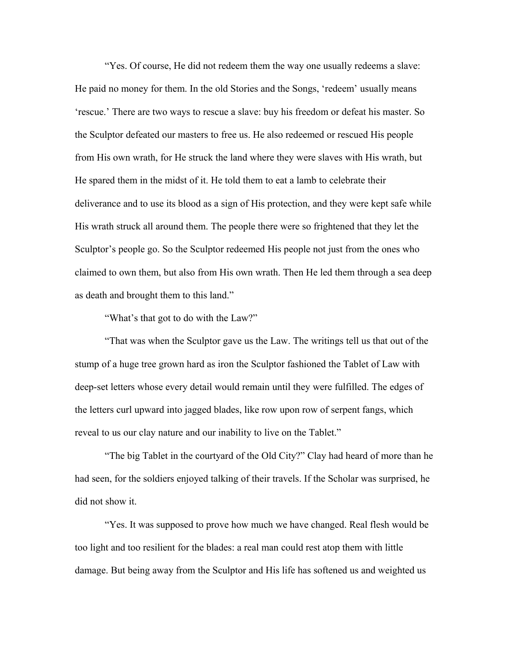"Yes. Of course, He did not redeem them the way one usually redeems a slave: He paid no money for them. In the old Stories and the Songs, 'redeem' usually means 'rescue.' There are two ways to rescue a slave: buy his freedom or defeat his master. So the Sculptor defeated our masters to free us. He also redeemed or rescued His people from His own wrath, for He struck the land where they were slaves with His wrath, but He spared them in the midst of it. He told them to eat a lamb to celebrate their deliverance and to use its blood as a sign of His protection, and they were kept safe while His wrath struck all around them. The people there were so frightened that they let the Sculptor's people go. So the Sculptor redeemed His people not just from the ones who claimed to own them, but also from His own wrath. Then He led them through a sea deep as death and brought them to this land."

"What's that got to do with the Law?"

"That was when the Sculptor gave us the Law. The writings tell us that out of the stump of a huge tree grown hard as iron the Sculptor fashioned the Tablet of Law with deep-set letters whose every detail would remain until they were fulfilled. The edges of the letters curl upward into jagged blades, like row upon row of serpent fangs, which reveal to us our clay nature and our inability to live on the Tablet."

"The big Tablet in the courtyard of the Old City?" Clay had heard of more than he had seen, for the soldiers enjoyed talking of their travels. If the Scholar was surprised, he did not show it.

"Yes. It was supposed to prove how much we have changed. Real flesh would be too light and too resilient for the blades: a real man could rest atop them with little damage. But being away from the Sculptor and His life has softened us and weighted us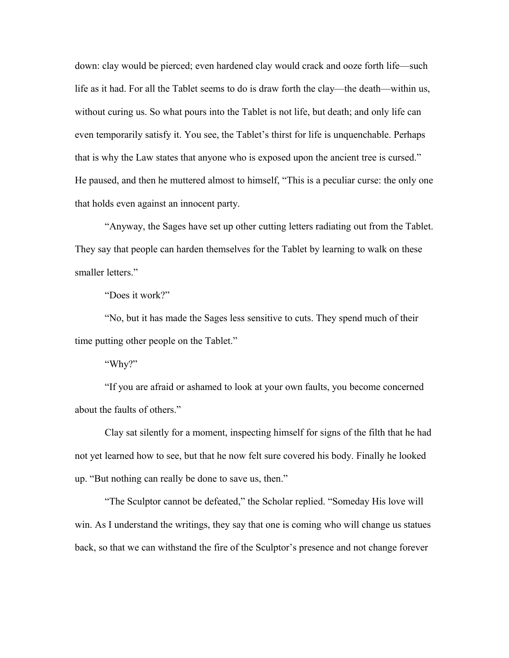down: clay would be pierced; even hardened clay would crack and ooze forth life—such life as it had. For all the Tablet seems to do is draw forth the clay—the death—within us, without curing us. So what pours into the Tablet is not life, but death; and only life can even temporarily satisfy it. You see, the Tablet's thirst for life is unquenchable. Perhaps that is why the Law states that anyone who is exposed upon the ancient tree is cursed." He paused, and then he muttered almost to himself, "This is a peculiar curse: the only one that holds even against an innocent party.

"Anyway, the Sages have set up other cutting letters radiating out from the Tablet. They say that people can harden themselves for the Tablet by learning to walk on these smaller letters."

"Does it work?"

"No, but it has made the Sages less sensitive to cuts. They spend much of their time putting other people on the Tablet."

"Why?"

"If you are afraid or ashamed to look at your own faults, you become concerned about the faults of others."

Clay sat silently for a moment, inspecting himself for signs of the filth that he had not yet learned how to see, but that he now felt sure covered his body. Finally he looked up. "But nothing can really be done to save us, then."

"The Sculptor cannot be defeated," the Scholar replied. "Someday His love will win. As I understand the writings, they say that one is coming who will change us statues back, so that we can withstand the fire of the Sculptor's presence and not change forever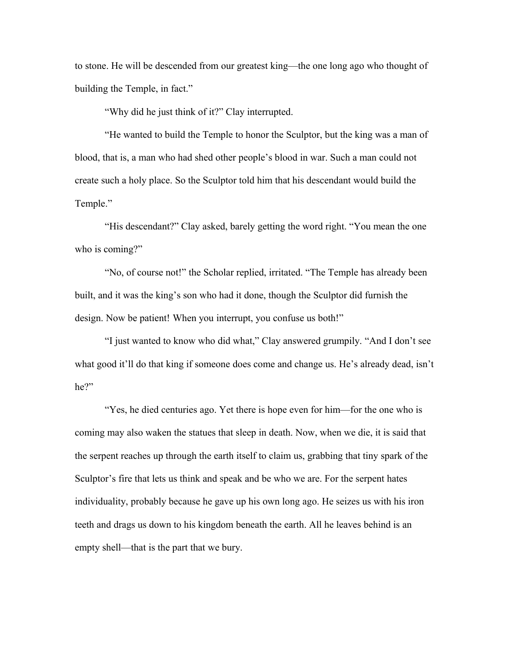to stone. He will be descended from our greatest king—the one long ago who thought of building the Temple, in fact."

"Why did he just think of it?" Clay interrupted.

"He wanted to build the Temple to honor the Sculptor, but the king was a man of blood, that is, a man who had shed other people's blood in war. Such a man could not create such a holy place. So the Sculptor told him that his descendant would build the Temple."

"His descendant?" Clay asked, barely getting the word right. "You mean the one who is coming?"

"No, of course not!" the Scholar replied, irritated. "The Temple has already been built, and it was the king's son who had it done, though the Sculptor did furnish the design. Now be patient! When you interrupt, you confuse us both!"

"I just wanted to know who did what," Clay answered grumpily. "And I don't see what good it'll do that king if someone does come and change us. He's already dead, isn't he?"

"Yes, he died centuries ago. Yet there is hope even for him—for the one who is coming may also waken the statues that sleep in death. Now, when we die, it is said that the serpent reaches up through the earth itself to claim us, grabbing that tiny spark of the Sculptor's fire that lets us think and speak and be who we are. For the serpent hates individuality, probably because he gave up his own long ago. He seizes us with his iron teeth and drags us down to his kingdom beneath the earth. All he leaves behind is an empty shell—that is the part that we bury.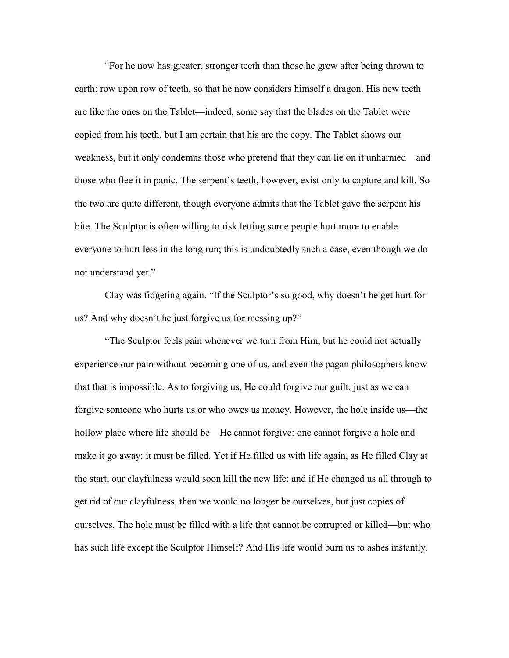"For he now has greater, stronger teeth than those he grew after being thrown to earth: row upon row of teeth, so that he now considers himself a dragon. His new teeth are like the ones on the Tablet—indeed, some say that the blades on the Tablet were copied from his teeth, but I am certain that his are the copy. The Tablet shows our weakness, but it only condemns those who pretend that they can lie on it unharmed—and those who flee it in panic. The serpent's teeth, however, exist only to capture and kill. So the two are quite different, though everyone admits that the Tablet gave the serpent his bite. The Sculptor is often willing to risk letting some people hurt more to enable everyone to hurt less in the long run; this is undoubtedly such a case, even though we do not understand yet."

Clay was fidgeting again. "If the Sculptor's so good, why doesn't he get hurt for us? And why doesn't he just forgive us for messing up?"

"The Sculptor feels pain whenever we turn from Him, but he could not actually experience our pain without becoming one of us, and even the pagan philosophers know that that is impossible. As to forgiving us, He could forgive our guilt, just as we can forgive someone who hurts us or who owes us money. However, the hole inside us—the hollow place where life should be—He cannot forgive: one cannot forgive a hole and make it go away: it must be filled. Yet if He filled us with life again, as He filled Clay at the start, our clayfulness would soon kill the new life; and if He changed us all through to get rid of our clayfulness, then we would no longer be ourselves, but just copies of ourselves. The hole must be filled with a life that cannot be corrupted or killed—but who has such life except the Sculptor Himself? And His life would burn us to ashes instantly.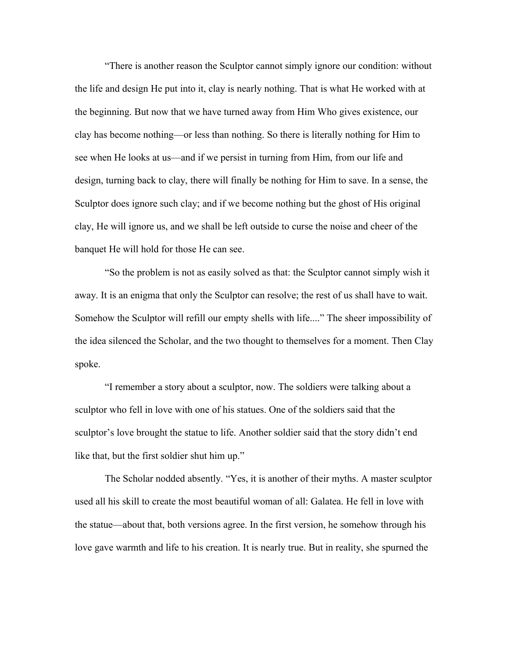"There is another reason the Sculptor cannot simply ignore our condition: without the life and design He put into it, clay is nearly nothing. That is what He worked with at the beginning. But now that we have turned away from Him Who gives existence, our clay has become nothing—or less than nothing. So there is literally nothing for Him to see when He looks at us—and if we persist in turning from Him, from our life and design, turning back to clay, there will finally be nothing for Him to save. In a sense, the Sculptor does ignore such clay; and if we become nothing but the ghost of His original clay, He will ignore us, and we shall be left outside to curse the noise and cheer of the banquet He will hold for those He can see.

"So the problem is not as easily solved as that: the Sculptor cannot simply wish it away. It is an enigma that only the Sculptor can resolve; the rest of us shall have to wait. Somehow the Sculptor will refill our empty shells with life...." The sheer impossibility of the idea silenced the Scholar, and the two thought to themselves for a moment. Then Clay spoke.

"I remember a story about a sculptor, now. The soldiers were talking about a sculptor who fell in love with one of his statues. One of the soldiers said that the sculptor's love brought the statue to life. Another soldier said that the story didn't end like that, but the first soldier shut him up."

The Scholar nodded absently. "Yes, it is another of their myths. A master sculptor used all his skill to create the most beautiful woman of all: Galatea. He fell in love with the statue—about that, both versions agree. In the first version, he somehow through his love gave warmth and life to his creation. It is nearly true. But in reality, she spurned the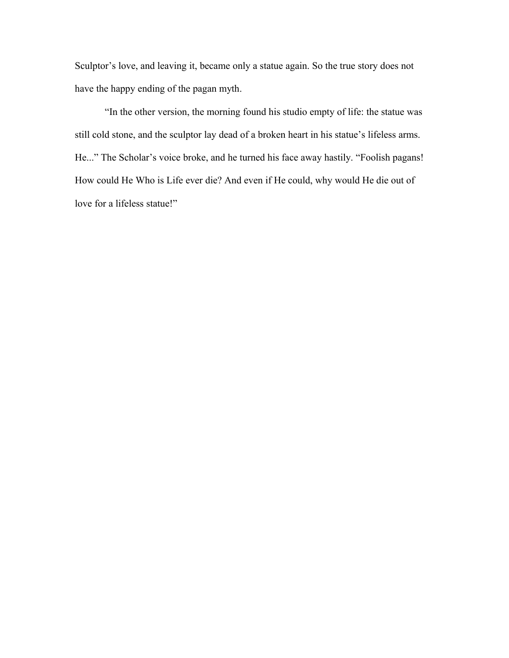Sculptor's love, and leaving it, became only a statue again. So the true story does not have the happy ending of the pagan myth.

"In the other version, the morning found his studio empty of life: the statue was still cold stone, and the sculptor lay dead of a broken heart in his statue's lifeless arms. He..." The Scholar's voice broke, and he turned his face away hastily. "Foolish pagans! How could He Who is Life ever die? And even if He could, why would He die out of love for a lifeless statue!"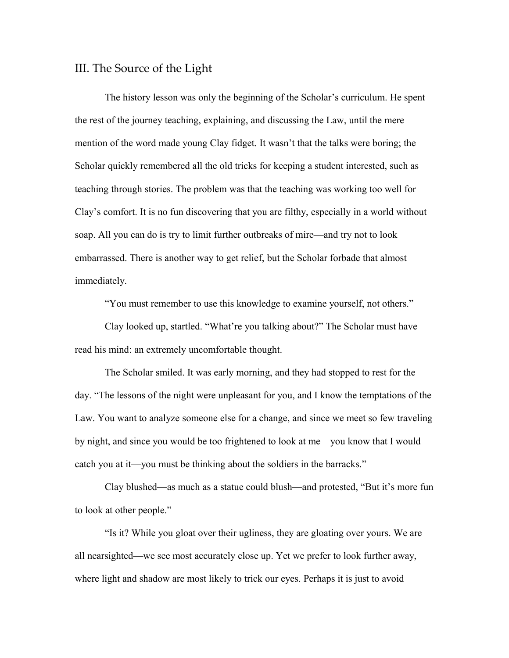### <span id="page-26-0"></span>III. The Source of the Light

The history lesson was only the beginning of the Scholar's curriculum. He spent the rest of the journey teaching, explaining, and discussing the Law, until the mere mention of the word made young Clay fidget. It wasn't that the talks were boring; the Scholar quickly remembered all the old tricks for keeping a student interested, such as teaching through stories. The problem was that the teaching was working too well for Clay's comfort. It is no fun discovering that you are filthy, especially in a world without soap. All you can do is try to limit further outbreaks of mire—and try not to look embarrassed. There is another way to get relief, but the Scholar forbade that almost immediately.

"You must remember to use this knowledge to examine yourself, not others."

Clay looked up, startled. "What're you talking about?" The Scholar must have read his mind: an extremely uncomfortable thought.

The Scholar smiled. It was early morning, and they had stopped to rest for the day. "The lessons of the night were unpleasant for you, and I know the temptations of the Law. You want to analyze someone else for a change, and since we meet so few traveling by night, and since you would be too frightened to look at me—you know that I would catch you at it—you must be thinking about the soldiers in the barracks."

Clay blushed—as much as a statue could blush—and protested, "But it's more fun to look at other people."

"Is it? While you gloat over their ugliness, they are gloating over yours. We are all nearsighted—we see most accurately close up. Yet we prefer to look further away, where light and shadow are most likely to trick our eyes. Perhaps it is just to avoid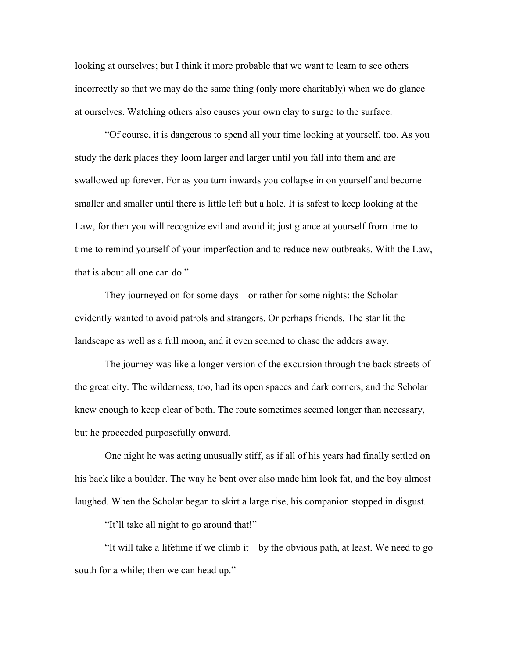looking at ourselves; but I think it more probable that we want to learn to see others incorrectly so that we may do the same thing (only more charitably) when we do glance at ourselves. Watching others also causes your own clay to surge to the surface.

"Of course, it is dangerous to spend all your time looking at yourself, too. As you study the dark places they loom larger and larger until you fall into them and are swallowed up forever. For as you turn inwards you collapse in on yourself and become smaller and smaller until there is little left but a hole. It is safest to keep looking at the Law, for then you will recognize evil and avoid it; just glance at yourself from time to time to remind yourself of your imperfection and to reduce new outbreaks. With the Law, that is about all one can do."

They journeyed on for some days—or rather for some nights: the Scholar evidently wanted to avoid patrols and strangers. Or perhaps friends. The star lit the landscape as well as a full moon, and it even seemed to chase the adders away.

The journey was like a longer version of the excursion through the back streets of the great city. The wilderness, too, had its open spaces and dark corners, and the Scholar knew enough to keep clear of both. The route sometimes seemed longer than necessary, but he proceeded purposefully onward.

One night he was acting unusually stiff, as if all of his years had finally settled on his back like a boulder. The way he bent over also made him look fat, and the boy almost laughed. When the Scholar began to skirt a large rise, his companion stopped in disgust.

"It'll take all night to go around that!"

"It will take a lifetime if we climb it—by the obvious path, at least. We need to go south for a while; then we can head up."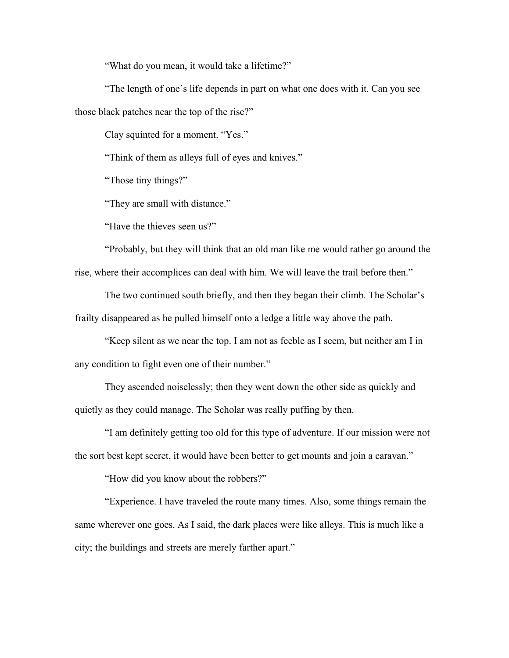"What do you mean, it would take a lifetime?"

"The length of one's life depends in part on what one does with it. Can you see those black patches near the top of the rise?"

Clay squinted for a moment. "Yes."

"Think of them as alleys full of eyes and knives."

"Those tiny things?"

"They are small with distance."

"Have the thieves seen us?"

"Probably, but they will think that an old man like me would rather go around the rise, where their accomplices can deal with him. We will leave the trail before then."

The two continued south briefly, and then they began their climb. The Scholar's frailty disappeared as he pulled himself onto a ledge a little way above the path.

"Keep silent as we near the top. I am not as feeble as I seem, but neither am I in any condition to fight even one of their number."

They ascended noiselessly; then they went down the other side as quickly and quietly as they could manage. The Scholar was really puffing by then.

"I am definitely getting too old for this type of adventure. If our mission were not the sort best kept secret, it would have been better to get mounts and join a caravan."

"How did you know about the robbers?"

"Experience. I have traveled the route many times. Also, some things remain the same wherever one goes. As I said, the dark places were like alleys. This is much like a city; the buildings and streets are merely farther apart."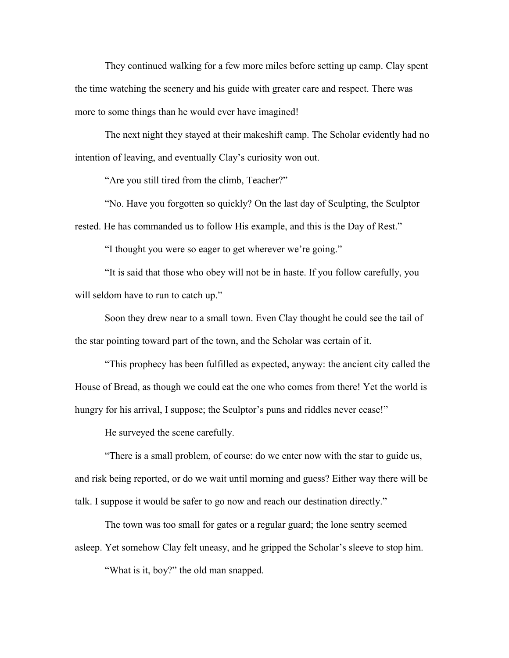They continued walking for a few more miles before setting up camp. Clay spent the time watching the scenery and his guide with greater care and respect. There was more to some things than he would ever have imagined!

The next night they stayed at their makeshift camp. The Scholar evidently had no intention of leaving, and eventually Clay's curiosity won out.

"Are you still tired from the climb, Teacher?"

"No. Have you forgotten so quickly? On the last day of Sculpting, the Sculptor rested. He has commanded us to follow His example, and this is the Day of Rest."

"I thought you were so eager to get wherever we're going."

"It is said that those who obey will not be in haste. If you follow carefully, you will seldom have to run to catch up."

Soon they drew near to a small town. Even Clay thought he could see the tail of the star pointing toward part of the town, and the Scholar was certain of it.

"This prophecy has been fulfilled as expected, anyway: the ancient city called the House of Bread, as though we could eat the one who comes from there! Yet the world is hungry for his arrival, I suppose; the Sculptor's puns and riddles never cease!"

He surveyed the scene carefully.

"There is a small problem, of course: do we enter now with the star to guide us, and risk being reported, or do we wait until morning and guess? Either way there will be talk. I suppose it would be safer to go now and reach our destination directly."

The town was too small for gates or a regular guard; the lone sentry seemed asleep. Yet somehow Clay felt uneasy, and he gripped the Scholar's sleeve to stop him.

"What is it, boy?" the old man snapped.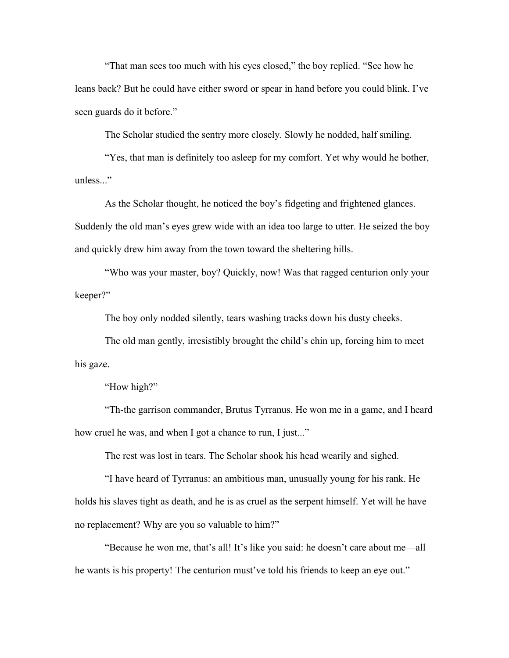"That man sees too much with his eyes closed," the boy replied. "See how he leans back? But he could have either sword or spear in hand before you could blink. I've seen guards do it before."

The Scholar studied the sentry more closely. Slowly he nodded, half smiling.

"Yes, that man is definitely too asleep for my comfort. Yet why would he bother, unless..."

As the Scholar thought, he noticed the boy's fidgeting and frightened glances. Suddenly the old man's eyes grew wide with an idea too large to utter. He seized the boy and quickly drew him away from the town toward the sheltering hills.

"Who was your master, boy? Quickly, now! Was that ragged centurion only your keeper?"

The boy only nodded silently, tears washing tracks down his dusty cheeks.

The old man gently, irresistibly brought the child's chin up, forcing him to meet his gaze.

"How high?"

"Th-the garrison commander, Brutus Tyrranus. He won me in a game, and I heard how cruel he was, and when I got a chance to run, I just..."

The rest was lost in tears. The Scholar shook his head wearily and sighed.

"I have heard of Tyrranus: an ambitious man, unusually young for his rank. He holds his slaves tight as death, and he is as cruel as the serpent himself. Yet will he have no replacement? Why are you so valuable to him?"

"Because he won me, that's all! It's like you said: he doesn't care about me—all he wants is his property! The centurion must've told his friends to keep an eye out."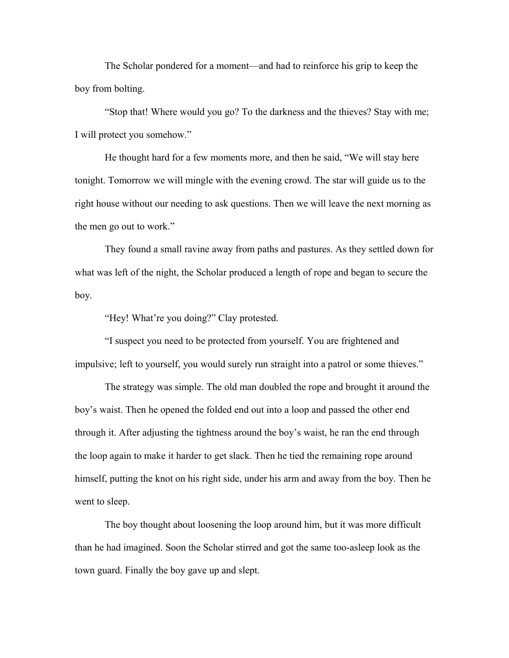The Scholar pondered for a moment—and had to reinforce his grip to keep the boy from bolting.

"Stop that! Where would you go? To the darkness and the thieves? Stay with me; I will protect you somehow."

He thought hard for a few moments more, and then he said, "We will stay here tonight. Tomorrow we will mingle with the evening crowd. The star will guide us to the right house without our needing to ask questions. Then we will leave the next morning as the men go out to work."

They found a small ravine away from paths and pastures. As they settled down for what was left of the night, the Scholar produced a length of rope and began to secure the boy.

"Hey! What're you doing?" Clay protested.

"I suspect you need to be protected from yourself. You are frightened and impulsive; left to yourself, you would surely run straight into a patrol or some thieves."

The strategy was simple. The old man doubled the rope and brought it around the boy's waist. Then he opened the folded end out into a loop and passed the other end through it. After adjusting the tightness around the boy's waist, he ran the end through the loop again to make it harder to get slack. Then he tied the remaining rope around himself, putting the knot on his right side, under his arm and away from the boy. Then he went to sleep.

The boy thought about loosening the loop around him, but it was more difficult than he had imagined. Soon the Scholar stirred and got the same too-asleep look as the town guard. Finally the boy gave up and slept.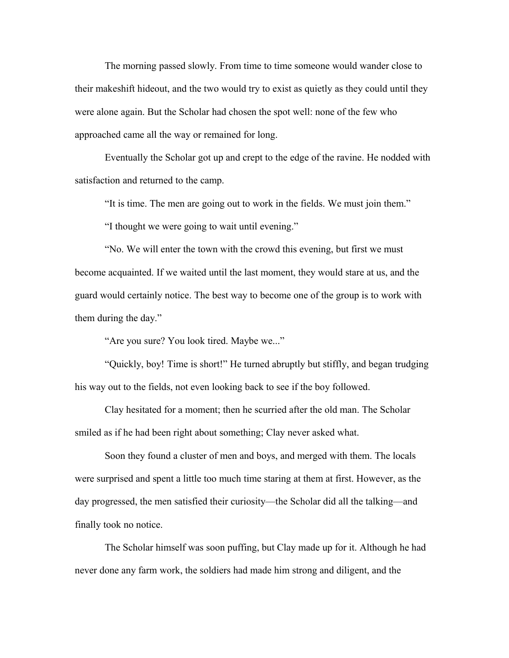The morning passed slowly. From time to time someone would wander close to their makeshift hideout, and the two would try to exist as quietly as they could until they were alone again. But the Scholar had chosen the spot well: none of the few who approached came all the way or remained for long.

Eventually the Scholar got up and crept to the edge of the ravine. He nodded with satisfaction and returned to the camp.

"It is time. The men are going out to work in the fields. We must join them."

"I thought we were going to wait until evening."

"No. We will enter the town with the crowd this evening, but first we must become acquainted. If we waited until the last moment, they would stare at us, and the guard would certainly notice. The best way to become one of the group is to work with them during the day."

"Are you sure? You look tired. Maybe we..."

"Quickly, boy! Time is short!" He turned abruptly but stiffly, and began trudging his way out to the fields, not even looking back to see if the boy followed.

Clay hesitated for a moment; then he scurried after the old man. The Scholar smiled as if he had been right about something; Clay never asked what.

Soon they found a cluster of men and boys, and merged with them. The locals were surprised and spent a little too much time staring at them at first. However, as the day progressed, the men satisfied their curiosity—the Scholar did all the talking—and finally took no notice.

The Scholar himself was soon puffing, but Clay made up for it. Although he had never done any farm work, the soldiers had made him strong and diligent, and the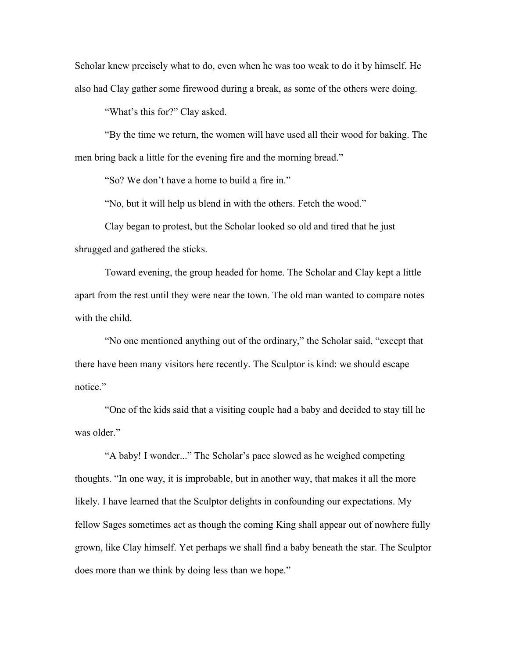Scholar knew precisely what to do, even when he was too weak to do it by himself. He also had Clay gather some firewood during a break, as some of the others were doing.

"What's this for?" Clay asked.

"By the time we return, the women will have used all their wood for baking. The men bring back a little for the evening fire and the morning bread."

"So? We don't have a home to build a fire in."

"No, but it will help us blend in with the others. Fetch the wood."

Clay began to protest, but the Scholar looked so old and tired that he just shrugged and gathered the sticks.

Toward evening, the group headed for home. The Scholar and Clay kept a little apart from the rest until they were near the town. The old man wanted to compare notes with the child.

"No one mentioned anything out of the ordinary," the Scholar said, "except that there have been many visitors here recently. The Sculptor is kind: we should escape notice."

"One of the kids said that a visiting couple had a baby and decided to stay till he was older."

"A baby! I wonder..." The Scholar's pace slowed as he weighed competing thoughts. "In one way, it is improbable, but in another way, that makes it all the more likely. I have learned that the Sculptor delights in confounding our expectations. My fellow Sages sometimes act as though the coming King shall appear out of nowhere fully grown, like Clay himself. Yet perhaps we shall find a baby beneath the star. The Sculptor does more than we think by doing less than we hope."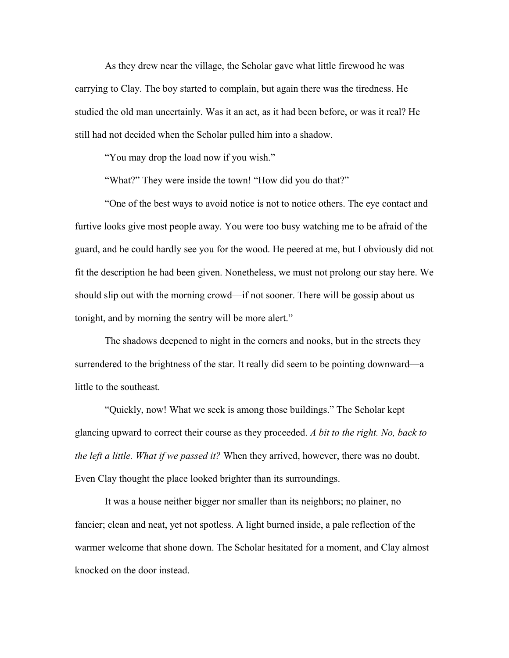As they drew near the village, the Scholar gave what little firewood he was carrying to Clay. The boy started to complain, but again there was the tiredness. He studied the old man uncertainly. Was it an act, as it had been before, or was it real? He still had not decided when the Scholar pulled him into a shadow.

"You may drop the load now if you wish."

"What?" They were inside the town! "How did you do that?"

"One of the best ways to avoid notice is not to notice others. The eye contact and furtive looks give most people away. You were too busy watching me to be afraid of the guard, and he could hardly see you for the wood. He peered at me, but I obviously did not fit the description he had been given. Nonetheless, we must not prolong our stay here. We should slip out with the morning crowd—if not sooner. There will be gossip about us tonight, and by morning the sentry will be more alert."

The shadows deepened to night in the corners and nooks, but in the streets they surrendered to the brightness of the star. It really did seem to be pointing downward—a little to the southeast.

"Quickly, now! What we seek is among those buildings." The Scholar kept glancing upward to correct their course as they proceeded. *A bit to the right. No, back to the left a little. What if we passed it?* When they arrived, however, there was no doubt. Even Clay thought the place looked brighter than its surroundings.

It was a house neither bigger nor smaller than its neighbors; no plainer, no fancier; clean and neat, yet not spotless. A light burned inside, a pale reflection of the warmer welcome that shone down. The Scholar hesitated for a moment, and Clay almost knocked on the door instead.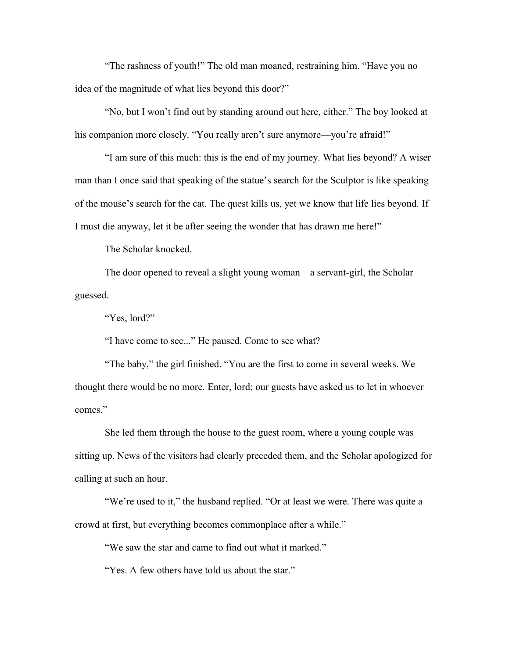"The rashness of youth!" The old man moaned, restraining him. "Have you no idea of the magnitude of what lies beyond this door?"

"No, but I won't find out by standing around out here, either." The boy looked at his companion more closely. "You really aren't sure anymore—you're afraid!"

"I am sure of this much: this is the end of my journey. What lies beyond? A wiser man than I once said that speaking of the statue's search for the Sculptor is like speaking of the mouse's search for the cat. The quest kills us, yet we know that life lies beyond. If I must die anyway, let it be after seeing the wonder that has drawn me here!"

The Scholar knocked.

The door opened to reveal a slight young woman—a servant-girl, the Scholar guessed.

"Yes, lord?"

"I have come to see..." He paused. Come to see what?

"The baby," the girl finished. "You are the first to come in several weeks. We thought there would be no more. Enter, lord; our guests have asked us to let in whoever comes."

She led them through the house to the guest room, where a young couple was sitting up. News of the visitors had clearly preceded them, and the Scholar apologized for calling at such an hour.

"We're used to it," the husband replied. "Or at least we were. There was quite a crowd at first, but everything becomes commonplace after a while."

"We saw the star and came to find out what it marked."

"Yes. A few others have told us about the star."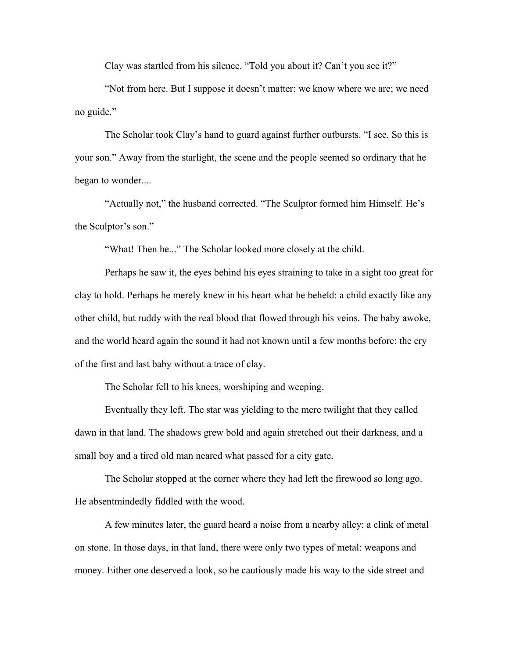Clay was startled from his silence. "Told you about it? Can't you see it?"

"Not from here. But I suppose it doesn't matter: we know where we are; we need no guide."

The Scholar took Clay's hand to guard against further outbursts. "I see. So this is your son." Away from the starlight, the scene and the people seemed so ordinary that he began to wonder....

"Actually not," the husband corrected. "The Sculptor formed him Himself. He's the Sculptor's son."

"What! Then he..." The Scholar looked more closely at the child.

Perhaps he saw it, the eyes behind his eyes straining to take in a sight too great for clay to hold. Perhaps he merely knew in his heart what he beheld: a child exactly like any other child, but ruddy with the real blood that flowed through his veins. The baby awoke, and the world heard again the sound it had not known until a few months before: the cry of the first and last baby without a trace of clay.

The Scholar fell to his knees, worshiping and weeping.

Eventually they left. The star was yielding to the mere twilight that they called dawn in that land. The shadows grew bold and again stretched out their darkness, and a small boy and a tired old man neared what passed for a city gate.

The Scholar stopped at the corner where they had left the firewood so long ago. He absentmindedly fiddled with the wood.

A few minutes later, the guard heard a noise from a nearby alley: a clink of metal on stone. In those days, in that land, there were only two types of metal: weapons and money. Either one deserved a look, so he cautiously made his way to the side street and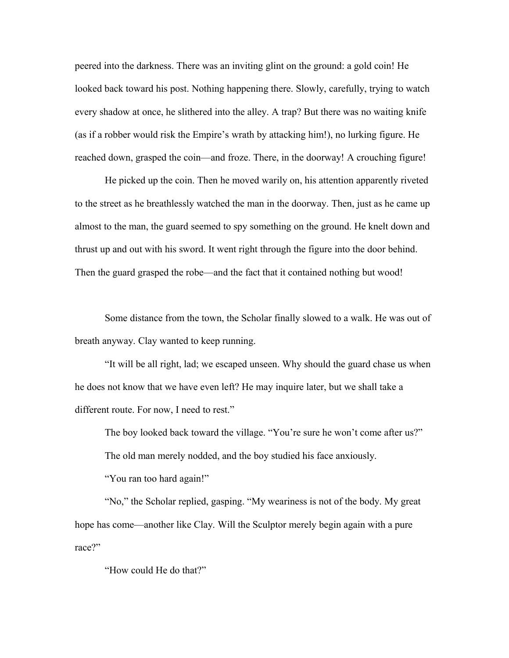peered into the darkness. There was an inviting glint on the ground: a gold coin! He looked back toward his post. Nothing happening there. Slowly, carefully, trying to watch every shadow at once, he slithered into the alley. A trap? But there was no waiting knife (as if a robber would risk the Empire's wrath by attacking him!), no lurking figure. He reached down, grasped the coin—and froze. There, in the doorway! A crouching figure!

He picked up the coin. Then he moved warily on, his attention apparently riveted to the street as he breathlessly watched the man in the doorway. Then, just as he came up almost to the man, the guard seemed to spy something on the ground. He knelt down and thrust up and out with his sword. It went right through the figure into the door behind. Then the guard grasped the robe—and the fact that it contained nothing but wood!

Some distance from the town, the Scholar finally slowed to a walk. He was out of breath anyway. Clay wanted to keep running.

"It will be all right, lad; we escaped unseen. Why should the guard chase us when he does not know that we have even left? He may inquire later, but we shall take a different route. For now, I need to rest."

The boy looked back toward the village. "You're sure he won't come after us?"

The old man merely nodded, and the boy studied his face anxiously.

"You ran too hard again!"

"No," the Scholar replied, gasping. "My weariness is not of the body. My great hope has come—another like Clay. Will the Sculptor merely begin again with a pure race?"

"How could He do that?"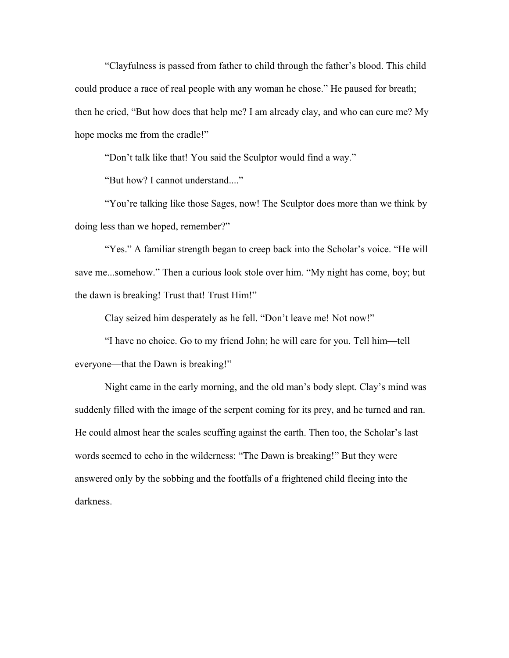"Clayfulness is passed from father to child through the father's blood. This child could produce a race of real people with any woman he chose." He paused for breath; then he cried, "But how does that help me? I am already clay, and who can cure me? My hope mocks me from the cradle!"

"Don't talk like that! You said the Sculptor would find a way."

"But how? I cannot understand...."

"You're talking like those Sages, now! The Sculptor does more than we think by doing less than we hoped, remember?"

"Yes." A familiar strength began to creep back into the Scholar's voice. "He will save me...somehow." Then a curious look stole over him. "My night has come, boy; but the dawn is breaking! Trust that! Trust Him!"

Clay seized him desperately as he fell. "Don't leave me! Not now!"

"I have no choice. Go to my friend John; he will care for you. Tell him—tell everyone—that the Dawn is breaking!"

Night came in the early morning, and the old man's body slept. Clay's mind was suddenly filled with the image of the serpent coming for its prey, and he turned and ran. He could almost hear the scales scuffing against the earth. Then too, the Scholar's last words seemed to echo in the wilderness: "The Dawn is breaking!" But they were answered only by the sobbing and the footfalls of a frightened child fleeing into the darkness.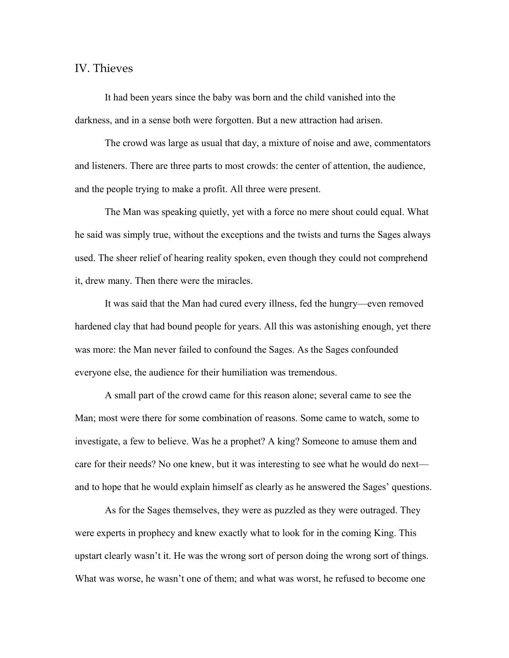## IV. Thieves

It had been years since the baby was born and the child vanished into the darkness, and in a sense both were forgotten. But a new attraction had arisen.

The crowd was large as usual that day, a mixture of noise and awe, commentators and listeners. There are three parts to most crowds: the center of attention, the audience, and the people trying to make a profit. All three were present.

The Man was speaking quietly, yet with a force no mere shout could equal. What he said was simply true, without the exceptions and the twists and turns the Sages always used. The sheer relief of hearing reality spoken, even though they could not comprehend it, drew many. Then there were the miracles.

It was said that the Man had cured every illness, fed the hungry—even removed hardened clay that had bound people for years. All this was astonishing enough, yet there was more: the Man never failed to confound the Sages. As the Sages confounded everyone else, the audience for their humiliation was tremendous.

A small part of the crowd came for this reason alone; several came to see the Man; most were there for some combination of reasons. Some came to watch, some to investigate, a few to believe. Was he a prophet? A king? Someone to amuse them and care for their needs? No one knew, but it was interesting to see what he would do next and to hope that he would explain himself as clearly as he answered the Sages' questions.

As for the Sages themselves, they were as puzzled as they were outraged. They were experts in prophecy and knew exactly what to look for in the coming King. This upstart clearly wasn't it. He was the wrong sort of person doing the wrong sort of things. What was worse, he wasn't one of them; and what was worst, he refused to become one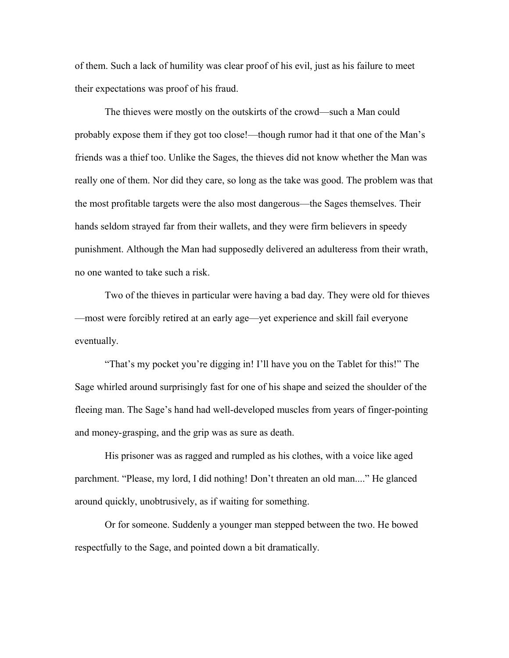of them. Such a lack of humility was clear proof of his evil, just as his failure to meet their expectations was proof of his fraud.

The thieves were mostly on the outskirts of the crowd—such a Man could probably expose them if they got too close!—though rumor had it that one of the Man's friends was a thief too. Unlike the Sages, the thieves did not know whether the Man was really one of them. Nor did they care, so long as the take was good. The problem was that the most profitable targets were the also most dangerous—the Sages themselves. Their hands seldom strayed far from their wallets, and they were firm believers in speedy punishment. Although the Man had supposedly delivered an adulteress from their wrath, no one wanted to take such a risk.

Two of the thieves in particular were having a bad day. They were old for thieves —most were forcibly retired at an early age—yet experience and skill fail everyone eventually.

"That's my pocket you're digging in! I'll have you on the Tablet for this!" The Sage whirled around surprisingly fast for one of his shape and seized the shoulder of the fleeing man. The Sage's hand had well-developed muscles from years of finger-pointing and money-grasping, and the grip was as sure as death.

His prisoner was as ragged and rumpled as his clothes, with a voice like aged parchment. "Please, my lord, I did nothing! Don't threaten an old man...." He glanced around quickly, unobtrusively, as if waiting for something.

Or for someone. Suddenly a younger man stepped between the two. He bowed respectfully to the Sage, and pointed down a bit dramatically.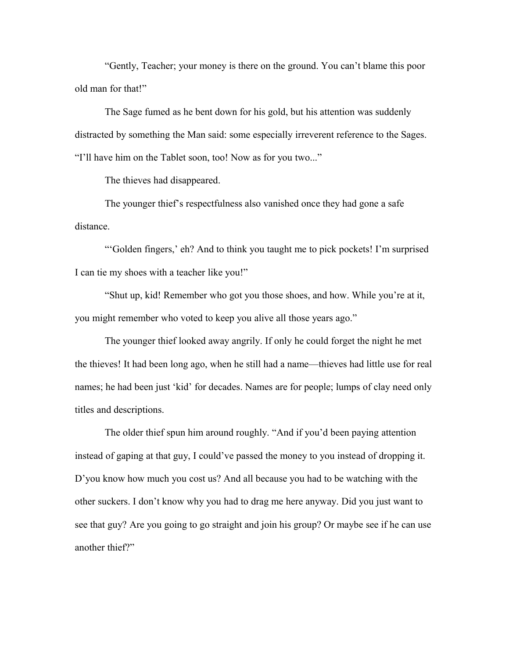"Gently, Teacher; your money is there on the ground. You can't blame this poor old man for that!"

The Sage fumed as he bent down for his gold, but his attention was suddenly distracted by something the Man said: some especially irreverent reference to the Sages. "I'll have him on the Tablet soon, too! Now as for you two..."

The thieves had disappeared.

The younger thief's respectfulness also vanished once they had gone a safe distance.

"'Golden fingers,' eh? And to think you taught me to pick pockets! I'm surprised I can tie my shoes with a teacher like you!"

"Shut up, kid! Remember who got you those shoes, and how. While you're at it, you might remember who voted to keep you alive all those years ago."

The younger thief looked away angrily. If only he could forget the night he met the thieves! It had been long ago, when he still had a name—thieves had little use for real names; he had been just 'kid' for decades. Names are for people; lumps of clay need only titles and descriptions.

The older thief spun him around roughly. "And if you'd been paying attention instead of gaping at that guy, I could've passed the money to you instead of dropping it. D'you know how much you cost us? And all because you had to be watching with the other suckers. I don't know why you had to drag me here anyway. Did you just want to see that guy? Are you going to go straight and join his group? Or maybe see if he can use another thief?"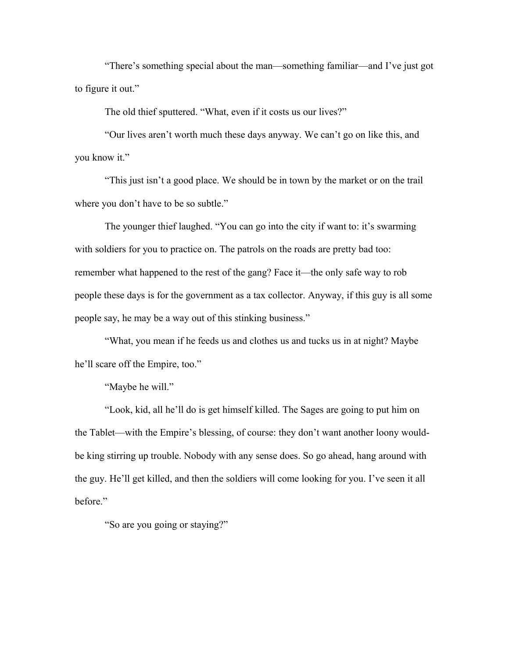"There's something special about the man—something familiar—and I've just got to figure it out."

The old thief sputtered. "What, even if it costs us our lives?"

"Our lives aren't worth much these days anyway. We can't go on like this, and you know it."

"This just isn't a good place. We should be in town by the market or on the trail where you don't have to be so subtle."

The younger thief laughed. "You can go into the city if want to: it's swarming with soldiers for you to practice on. The patrols on the roads are pretty bad too: remember what happened to the rest of the gang? Face it—the only safe way to rob people these days is for the government as a tax collector. Anyway, if this guy is all some people say, he may be a way out of this stinking business."

"What, you mean if he feeds us and clothes us and tucks us in at night? Maybe he'll scare off the Empire, too."

"Maybe he will."

"Look, kid, all he'll do is get himself killed. The Sages are going to put him on the Tablet—with the Empire's blessing, of course: they don't want another loony wouldbe king stirring up trouble. Nobody with any sense does. So go ahead, hang around with the guy. He'll get killed, and then the soldiers will come looking for you. I've seen it all before."

"So are you going or staying?"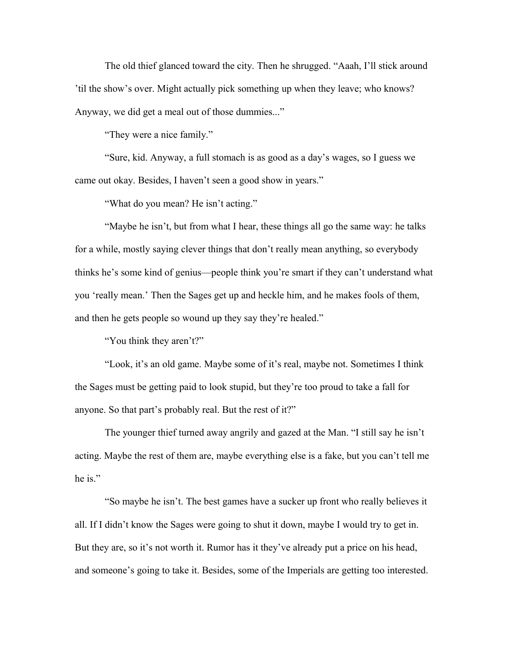The old thief glanced toward the city. Then he shrugged. "Aaah, I'll stick around 'til the show's over. Might actually pick something up when they leave; who knows? Anyway, we did get a meal out of those dummies..."

"They were a nice family."

"Sure, kid. Anyway, a full stomach is as good as a day's wages, so I guess we came out okay. Besides, I haven't seen a good show in years."

"What do you mean? He isn't acting."

"Maybe he isn't, but from what I hear, these things all go the same way: he talks for a while, mostly saying clever things that don't really mean anything, so everybody thinks he's some kind of genius—people think you're smart if they can't understand what you 'really mean.' Then the Sages get up and heckle him, and he makes fools of them, and then he gets people so wound up they say they're healed."

"You think they aren't?"

"Look, it's an old game. Maybe some of it's real, maybe not. Sometimes I think the Sages must be getting paid to look stupid, but they're too proud to take a fall for anyone. So that part's probably real. But the rest of it?"

The younger thief turned away angrily and gazed at the Man. "I still say he isn't acting. Maybe the rest of them are, maybe everything else is a fake, but you can't tell me he is."

"So maybe he isn't. The best games have a sucker up front who really believes it all. If I didn't know the Sages were going to shut it down, maybe I would try to get in. But they are, so it's not worth it. Rumor has it they've already put a price on his head, and someone's going to take it. Besides, some of the Imperials are getting too interested.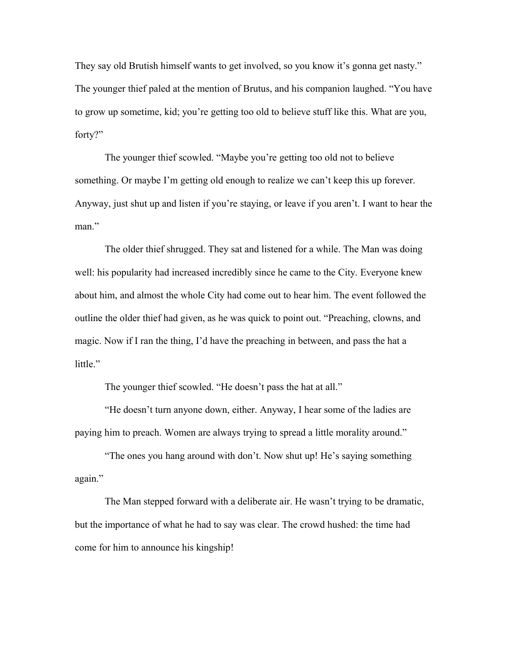They say old Brutish himself wants to get involved, so you know it's gonna get nasty." The younger thief paled at the mention of Brutus, and his companion laughed. "You have to grow up sometime, kid; you're getting too old to believe stuff like this. What are you, forty?"

The younger thief scowled. "Maybe you're getting too old not to believe something. Or maybe I'm getting old enough to realize we can't keep this up forever. Anyway, just shut up and listen if you're staying, or leave if you aren't. I want to hear the man."

The older thief shrugged. They sat and listened for a while. The Man was doing well: his popularity had increased incredibly since he came to the City. Everyone knew about him, and almost the whole City had come out to hear him. The event followed the outline the older thief had given, as he was quick to point out. "Preaching, clowns, and magic. Now if I ran the thing, I'd have the preaching in between, and pass the hat a little."

The younger thief scowled. "He doesn't pass the hat at all."

"He doesn't turn anyone down, either. Anyway, I hear some of the ladies are paying him to preach. Women are always trying to spread a little morality around."

"The ones you hang around with don't. Now shut up! He's saying something again."

The Man stepped forward with a deliberate air. He wasn't trying to be dramatic, but the importance of what he had to say was clear. The crowd hushed: the time had come for him to announce his kingship!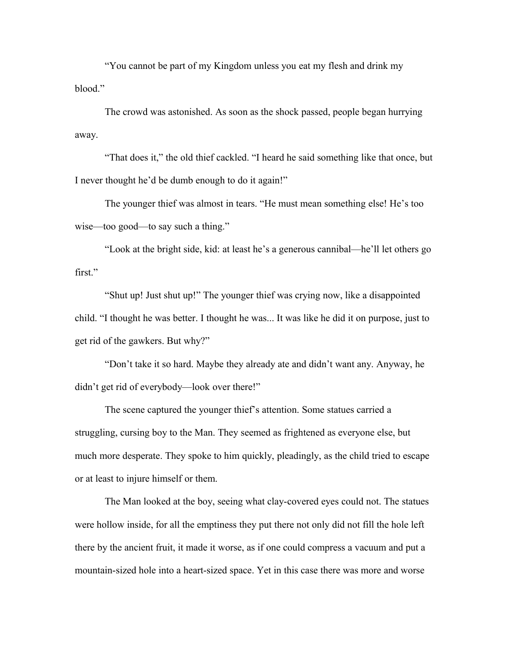"You cannot be part of my Kingdom unless you eat my flesh and drink my blood."

The crowd was astonished. As soon as the shock passed, people began hurrying away.

"That does it," the old thief cackled. "I heard he said something like that once, but I never thought he'd be dumb enough to do it again!"

The younger thief was almost in tears. "He must mean something else! He's too wise—too good—to say such a thing."

"Look at the bright side, kid: at least he's a generous cannibal—he'll let others go first."

"Shut up! Just shut up!" The younger thief was crying now, like a disappointed child. "I thought he was better. I thought he was... It was like he did it on purpose, just to get rid of the gawkers. But why?"

"Don't take it so hard. Maybe they already ate and didn't want any. Anyway, he didn't get rid of everybody—look over there!"

The scene captured the younger thief's attention. Some statues carried a struggling, cursing boy to the Man. They seemed as frightened as everyone else, but much more desperate. They spoke to him quickly, pleadingly, as the child tried to escape or at least to injure himself or them.

The Man looked at the boy, seeing what clay-covered eyes could not. The statues were hollow inside, for all the emptiness they put there not only did not fill the hole left there by the ancient fruit, it made it worse, as if one could compress a vacuum and put a mountain-sized hole into a heart-sized space. Yet in this case there was more and worse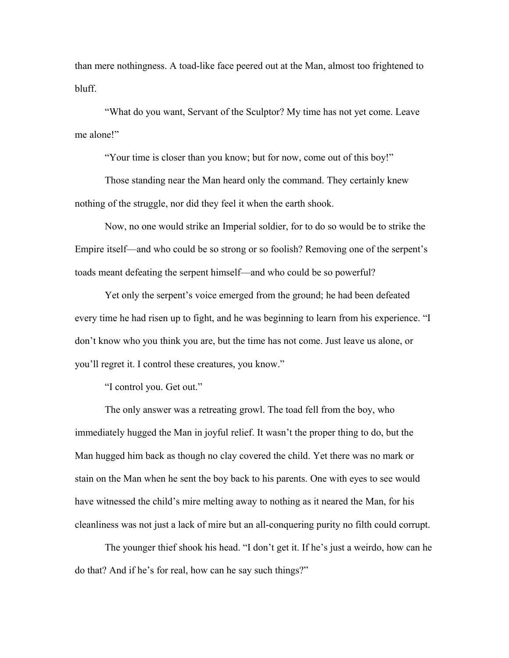than mere nothingness. A toad-like face peered out at the Man, almost too frightened to bluff.

"What do you want, Servant of the Sculptor? My time has not yet come. Leave me alone!"

"Your time is closer than you know; but for now, come out of this boy!"

Those standing near the Man heard only the command. They certainly knew nothing of the struggle, nor did they feel it when the earth shook.

Now, no one would strike an Imperial soldier, for to do so would be to strike the Empire itself—and who could be so strong or so foolish? Removing one of the serpent's toads meant defeating the serpent himself—and who could be so powerful?

Yet only the serpent's voice emerged from the ground; he had been defeated every time he had risen up to fight, and he was beginning to learn from his experience. "I don't know who you think you are, but the time has not come. Just leave us alone, or you'll regret it. I control these creatures, you know."

"I control you. Get out."

The only answer was a retreating growl. The toad fell from the boy, who immediately hugged the Man in joyful relief. It wasn't the proper thing to do, but the Man hugged him back as though no clay covered the child. Yet there was no mark or stain on the Man when he sent the boy back to his parents. One with eyes to see would have witnessed the child's mire melting away to nothing as it neared the Man, for his cleanliness was not just a lack of mire but an all-conquering purity no filth could corrupt.

The younger thief shook his head. "I don't get it. If he's just a weirdo, how can he do that? And if he's for real, how can he say such things?"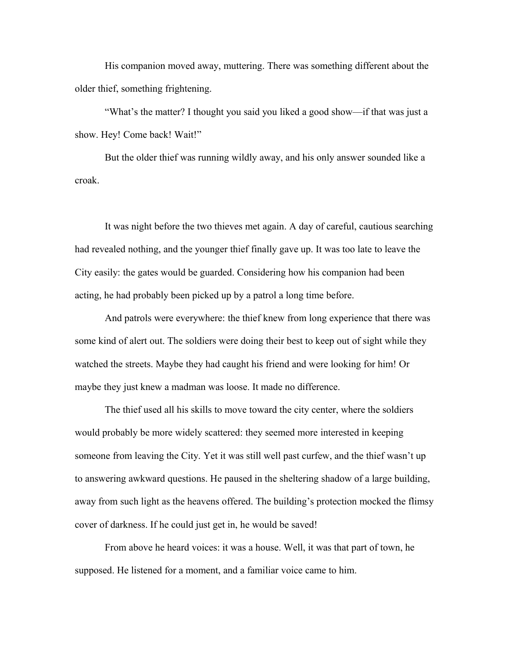His companion moved away, muttering. There was something different about the older thief, something frightening.

"What's the matter? I thought you said you liked a good show—if that was just a show. Hey! Come back! Wait!"

But the older thief was running wildly away, and his only answer sounded like a croak.

It was night before the two thieves met again. A day of careful, cautious searching had revealed nothing, and the younger thief finally gave up. It was too late to leave the City easily: the gates would be guarded. Considering how his companion had been acting, he had probably been picked up by a patrol a long time before.

And patrols were everywhere: the thief knew from long experience that there was some kind of alert out. The soldiers were doing their best to keep out of sight while they watched the streets. Maybe they had caught his friend and were looking for him! Or maybe they just knew a madman was loose. It made no difference.

The thief used all his skills to move toward the city center, where the soldiers would probably be more widely scattered: they seemed more interested in keeping someone from leaving the City. Yet it was still well past curfew, and the thief wasn't up to answering awkward questions. He paused in the sheltering shadow of a large building, away from such light as the heavens offered. The building's protection mocked the flimsy cover of darkness. If he could just get in, he would be saved!

From above he heard voices: it was a house. Well, it was that part of town, he supposed. He listened for a moment, and a familiar voice came to him.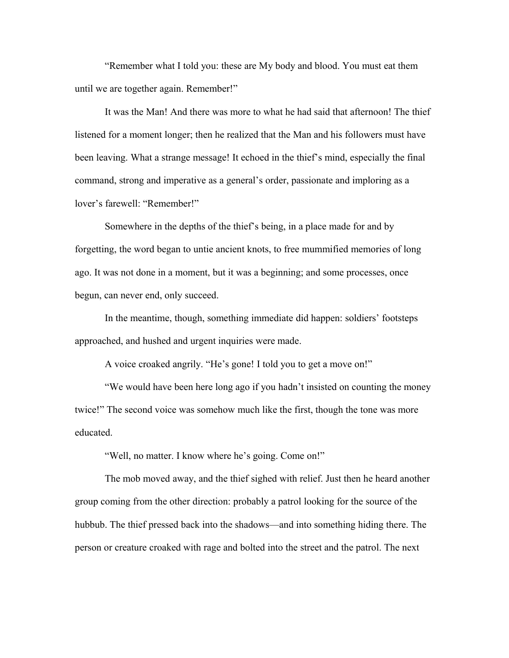"Remember what I told you: these are My body and blood. You must eat them until we are together again. Remember!"

It was the Man! And there was more to what he had said that afternoon! The thief listened for a moment longer; then he realized that the Man and his followers must have been leaving. What a strange message! It echoed in the thief's mind, especially the final command, strong and imperative as a general's order, passionate and imploring as a lover's farewell: "Remember!"

Somewhere in the depths of the thief's being, in a place made for and by forgetting, the word began to untie ancient knots, to free mummified memories of long ago. It was not done in a moment, but it was a beginning; and some processes, once begun, can never end, only succeed.

In the meantime, though, something immediate did happen: soldiers' footsteps approached, and hushed and urgent inquiries were made.

A voice croaked angrily. "He's gone! I told you to get a move on!"

"We would have been here long ago if you hadn't insisted on counting the money twice!" The second voice was somehow much like the first, though the tone was more educated.

"Well, no matter. I know where he's going. Come on!"

The mob moved away, and the thief sighed with relief. Just then he heard another group coming from the other direction: probably a patrol looking for the source of the hubbub. The thief pressed back into the shadows—and into something hiding there. The person or creature croaked with rage and bolted into the street and the patrol. The next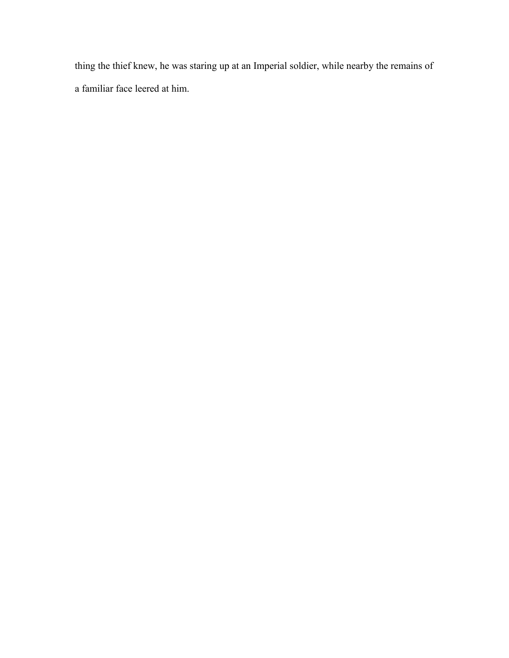thing the thief knew, he was staring up at an Imperial soldier, while nearby the remains of a familiar face leered at him.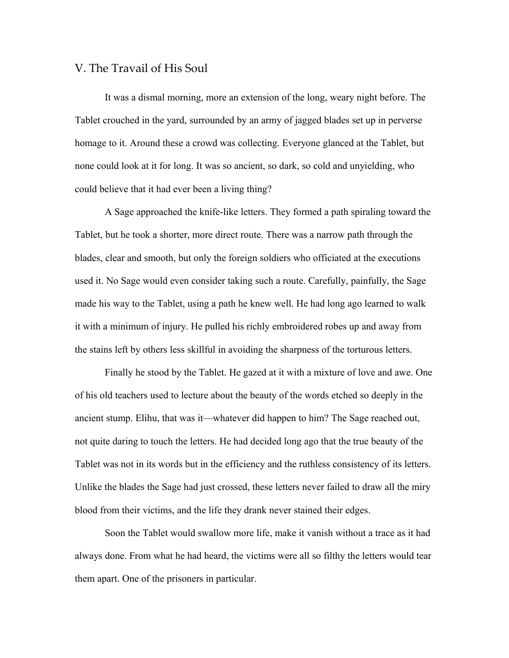## V. The Travail of His Soul

It was a dismal morning, more an extension of the long, weary night before. The Tablet crouched in the yard, surrounded by an army of jagged blades set up in perverse homage to it. Around these a crowd was collecting. Everyone glanced at the Tablet, but none could look at it for long. It was so ancient, so dark, so cold and unyielding, who could believe that it had ever been a living thing?

A Sage approached the knife-like letters. They formed a path spiraling toward the Tablet, but he took a shorter, more direct route. There was a narrow path through the blades, clear and smooth, but only the foreign soldiers who officiated at the executions used it. No Sage would even consider taking such a route. Carefully, painfully, the Sage made his way to the Tablet, using a path he knew well. He had long ago learned to walk it with a minimum of injury. He pulled his richly embroidered robes up and away from the stains left by others less skillful in avoiding the sharpness of the torturous letters.

Finally he stood by the Tablet. He gazed at it with a mixture of love and awe. One of his old teachers used to lecture about the beauty of the words etched so deeply in the ancient stump. Elihu, that was it—whatever did happen to him? The Sage reached out, not quite daring to touch the letters. He had decided long ago that the true beauty of the Tablet was not in its words but in the efficiency and the ruthless consistency of its letters. Unlike the blades the Sage had just crossed, these letters never failed to draw all the miry blood from their victims, and the life they drank never stained their edges.

Soon the Tablet would swallow more life, make it vanish without a trace as it had always done. From what he had heard, the victims were all so filthy the letters would tear them apart. One of the prisoners in particular.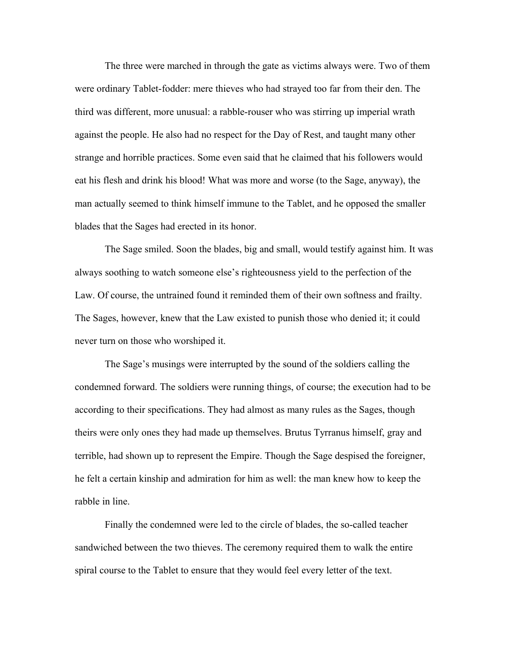The three were marched in through the gate as victims always were. Two of them were ordinary Tablet-fodder: mere thieves who had strayed too far from their den. The third was different, more unusual: a rabble-rouser who was stirring up imperial wrath against the people. He also had no respect for the Day of Rest, and taught many other strange and horrible practices. Some even said that he claimed that his followers would eat his flesh and drink his blood! What was more and worse (to the Sage, anyway), the man actually seemed to think himself immune to the Tablet, and he opposed the smaller blades that the Sages had erected in its honor.

The Sage smiled. Soon the blades, big and small, would testify against him. It was always soothing to watch someone else's righteousness yield to the perfection of the Law. Of course, the untrained found it reminded them of their own softness and frailty. The Sages, however, knew that the Law existed to punish those who denied it; it could never turn on those who worshiped it.

The Sage's musings were interrupted by the sound of the soldiers calling the condemned forward. The soldiers were running things, of course; the execution had to be according to their specifications. They had almost as many rules as the Sages, though theirs were only ones they had made up themselves. Brutus Tyrranus himself, gray and terrible, had shown up to represent the Empire. Though the Sage despised the foreigner, he felt a certain kinship and admiration for him as well: the man knew how to keep the rabble in line.

Finally the condemned were led to the circle of blades, the so-called teacher sandwiched between the two thieves. The ceremony required them to walk the entire spiral course to the Tablet to ensure that they would feel every letter of the text.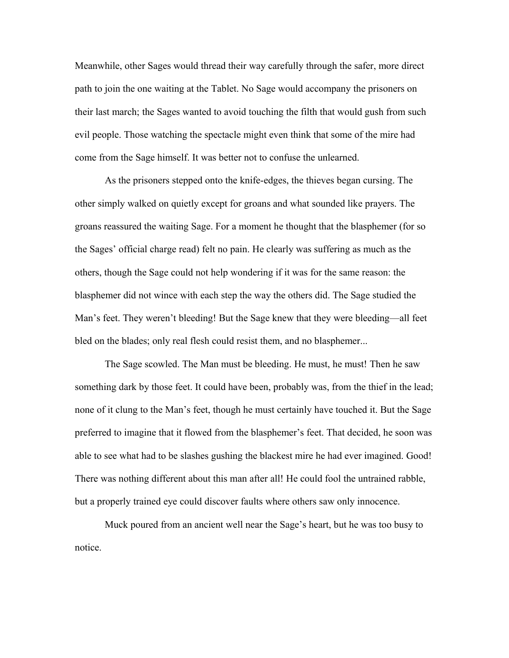Meanwhile, other Sages would thread their way carefully through the safer, more direct path to join the one waiting at the Tablet. No Sage would accompany the prisoners on their last march; the Sages wanted to avoid touching the filth that would gush from such evil people. Those watching the spectacle might even think that some of the mire had come from the Sage himself. It was better not to confuse the unlearned.

As the prisoners stepped onto the knife-edges, the thieves began cursing. The other simply walked on quietly except for groans and what sounded like prayers. The groans reassured the waiting Sage. For a moment he thought that the blasphemer (for so the Sages' official charge read) felt no pain. He clearly was suffering as much as the others, though the Sage could not help wondering if it was for the same reason: the blasphemer did not wince with each step the way the others did. The Sage studied the Man's feet. They weren't bleeding! But the Sage knew that they were bleeding—all feet bled on the blades; only real flesh could resist them, and no blasphemer...

The Sage scowled. The Man must be bleeding. He must, he must! Then he saw something dark by those feet. It could have been, probably was, from the thief in the lead; none of it clung to the Man's feet, though he must certainly have touched it. But the Sage preferred to imagine that it flowed from the blasphemer's feet. That decided, he soon was able to see what had to be slashes gushing the blackest mire he had ever imagined. Good! There was nothing different about this man after all! He could fool the untrained rabble, but a properly trained eye could discover faults where others saw only innocence.

Muck poured from an ancient well near the Sage's heart, but he was too busy to notice.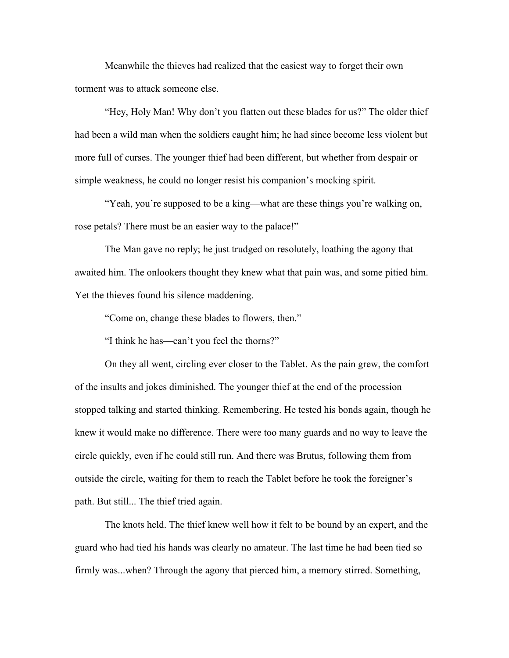Meanwhile the thieves had realized that the easiest way to forget their own torment was to attack someone else.

"Hey, Holy Man! Why don't you flatten out these blades for us?" The older thief had been a wild man when the soldiers caught him; he had since become less violent but more full of curses. The younger thief had been different, but whether from despair or simple weakness, he could no longer resist his companion's mocking spirit.

"Yeah, you're supposed to be a king—what are these things you're walking on, rose petals? There must be an easier way to the palace!"

The Man gave no reply; he just trudged on resolutely, loathing the agony that awaited him. The onlookers thought they knew what that pain was, and some pitied him. Yet the thieves found his silence maddening.

"Come on, change these blades to flowers, then."

"I think he has—can't you feel the thorns?"

On they all went, circling ever closer to the Tablet. As the pain grew, the comfort of the insults and jokes diminished. The younger thief at the end of the procession stopped talking and started thinking. Remembering. He tested his bonds again, though he knew it would make no difference. There were too many guards and no way to leave the circle quickly, even if he could still run. And there was Brutus, following them from outside the circle, waiting for them to reach the Tablet before he took the foreigner's path. But still... The thief tried again.

The knots held. The thief knew well how it felt to be bound by an expert, and the guard who had tied his hands was clearly no amateur. The last time he had been tied so firmly was...when? Through the agony that pierced him, a memory stirred. Something,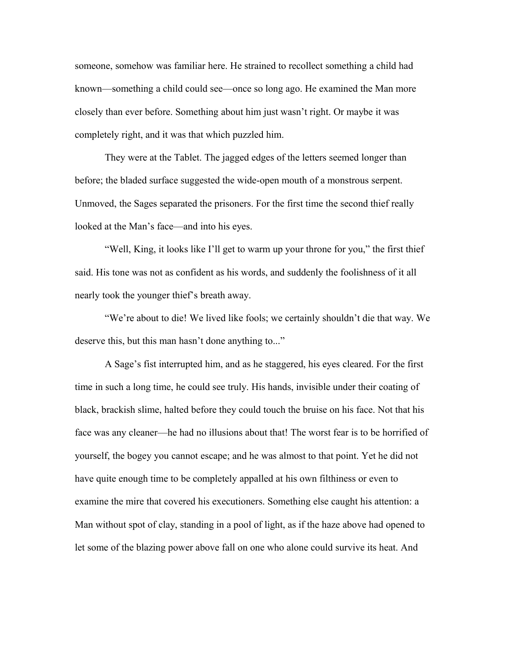someone, somehow was familiar here. He strained to recollect something a child had known—something a child could see—once so long ago. He examined the Man more closely than ever before. Something about him just wasn't right. Or maybe it was completely right, and it was that which puzzled him.

They were at the Tablet. The jagged edges of the letters seemed longer than before; the bladed surface suggested the wide-open mouth of a monstrous serpent. Unmoved, the Sages separated the prisoners. For the first time the second thief really looked at the Man's face—and into his eyes.

"Well, King, it looks like I'll get to warm up your throne for you," the first thief said. His tone was not as confident as his words, and suddenly the foolishness of it all nearly took the younger thief's breath away.

"We're about to die! We lived like fools; we certainly shouldn't die that way. We deserve this, but this man hasn't done anything to..."

A Sage's fist interrupted him, and as he staggered, his eyes cleared. For the first time in such a long time, he could see truly. His hands, invisible under their coating of black, brackish slime, halted before they could touch the bruise on his face. Not that his face was any cleaner—he had no illusions about that! The worst fear is to be horrified of yourself, the bogey you cannot escape; and he was almost to that point. Yet he did not have quite enough time to be completely appalled at his own filthiness or even to examine the mire that covered his executioners. Something else caught his attention: a Man without spot of clay, standing in a pool of light, as if the haze above had opened to let some of the blazing power above fall on one who alone could survive its heat. And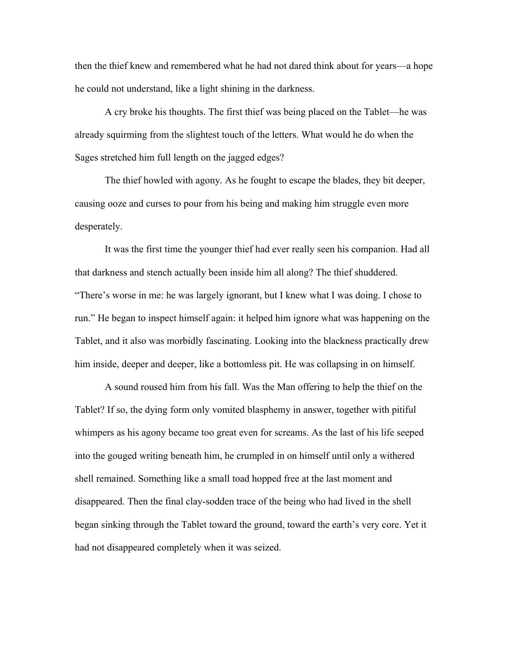then the thief knew and remembered what he had not dared think about for years—a hope he could not understand, like a light shining in the darkness.

A cry broke his thoughts. The first thief was being placed on the Tablet—he was already squirming from the slightest touch of the letters. What would he do when the Sages stretched him full length on the jagged edges?

The thief howled with agony. As he fought to escape the blades, they bit deeper, causing ooze and curses to pour from his being and making him struggle even more desperately.

It was the first time the younger thief had ever really seen his companion. Had all that darkness and stench actually been inside him all along? The thief shuddered. "There's worse in me: he was largely ignorant, but I knew what I was doing. I chose to run." He began to inspect himself again: it helped him ignore what was happening on the Tablet, and it also was morbidly fascinating. Looking into the blackness practically drew him inside, deeper and deeper, like a bottomless pit. He was collapsing in on himself.

A sound roused him from his fall. Was the Man offering to help the thief on the Tablet? If so, the dying form only vomited blasphemy in answer, together with pitiful whimpers as his agony became too great even for screams. As the last of his life seeped into the gouged writing beneath him, he crumpled in on himself until only a withered shell remained. Something like a small toad hopped free at the last moment and disappeared. Then the final clay-sodden trace of the being who had lived in the shell began sinking through the Tablet toward the ground, toward the earth's very core. Yet it had not disappeared completely when it was seized.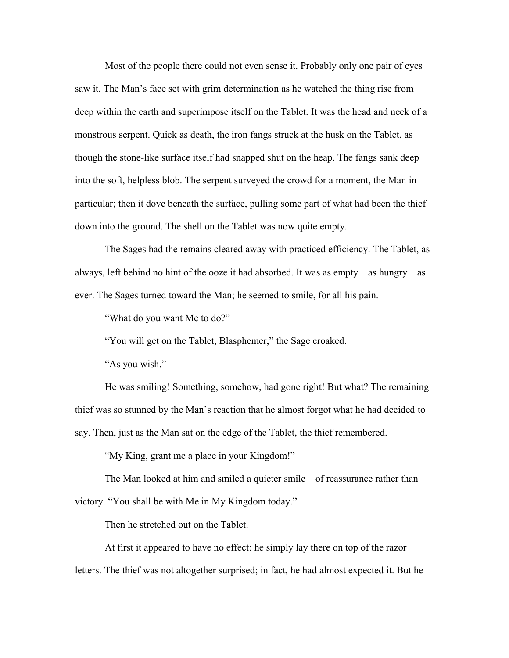Most of the people there could not even sense it. Probably only one pair of eyes saw it. The Man's face set with grim determination as he watched the thing rise from deep within the earth and superimpose itself on the Tablet. It was the head and neck of a monstrous serpent. Quick as death, the iron fangs struck at the husk on the Tablet, as though the stone-like surface itself had snapped shut on the heap. The fangs sank deep into the soft, helpless blob. The serpent surveyed the crowd for a moment, the Man in particular; then it dove beneath the surface, pulling some part of what had been the thief down into the ground. The shell on the Tablet was now quite empty.

The Sages had the remains cleared away with practiced efficiency. The Tablet, as always, left behind no hint of the ooze it had absorbed. It was as empty—as hungry—as ever. The Sages turned toward the Man; he seemed to smile, for all his pain.

"What do you want Me to do?"

"You will get on the Tablet, Blasphemer," the Sage croaked.

"As you wish."

He was smiling! Something, somehow, had gone right! But what? The remaining thief was so stunned by the Man's reaction that he almost forgot what he had decided to say. Then, just as the Man sat on the edge of the Tablet, the thief remembered.

"My King, grant me a place in your Kingdom!"

The Man looked at him and smiled a quieter smile—of reassurance rather than victory. "You shall be with Me in My Kingdom today."

Then he stretched out on the Tablet.

At first it appeared to have no effect: he simply lay there on top of the razor letters. The thief was not altogether surprised; in fact, he had almost expected it. But he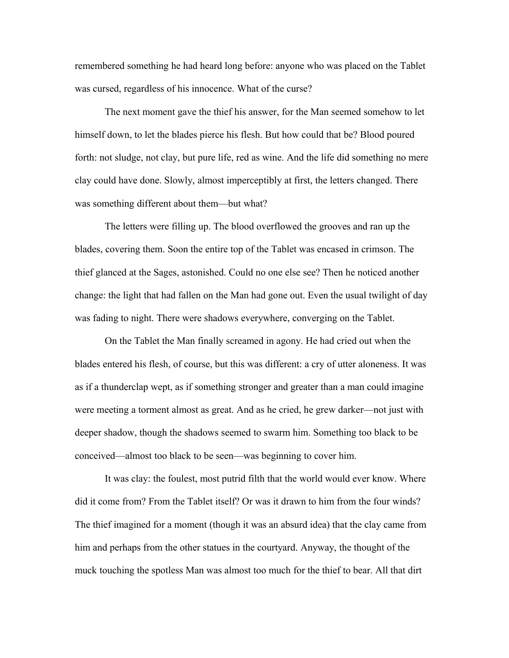remembered something he had heard long before: anyone who was placed on the Tablet was cursed, regardless of his innocence. What of the curse?

The next moment gave the thief his answer, for the Man seemed somehow to let himself down, to let the blades pierce his flesh. But how could that be? Blood poured forth: not sludge, not clay, but pure life, red as wine. And the life did something no mere clay could have done. Slowly, almost imperceptibly at first, the letters changed. There was something different about them—but what?

The letters were filling up. The blood overflowed the grooves and ran up the blades, covering them. Soon the entire top of the Tablet was encased in crimson. The thief glanced at the Sages, astonished. Could no one else see? Then he noticed another change: the light that had fallen on the Man had gone out. Even the usual twilight of day was fading to night. There were shadows everywhere, converging on the Tablet.

On the Tablet the Man finally screamed in agony. He had cried out when the blades entered his flesh, of course, but this was different: a cry of utter aloneness. It was as if a thunderclap wept, as if something stronger and greater than a man could imagine were meeting a torment almost as great. And as he cried, he grew darker—not just with deeper shadow, though the shadows seemed to swarm him. Something too black to be conceived—almost too black to be seen—was beginning to cover him.

It was clay: the foulest, most putrid filth that the world would ever know. Where did it come from? From the Tablet itself? Or was it drawn to him from the four winds? The thief imagined for a moment (though it was an absurd idea) that the clay came from him and perhaps from the other statues in the courtyard. Anyway, the thought of the muck touching the spotless Man was almost too much for the thief to bear. All that dirt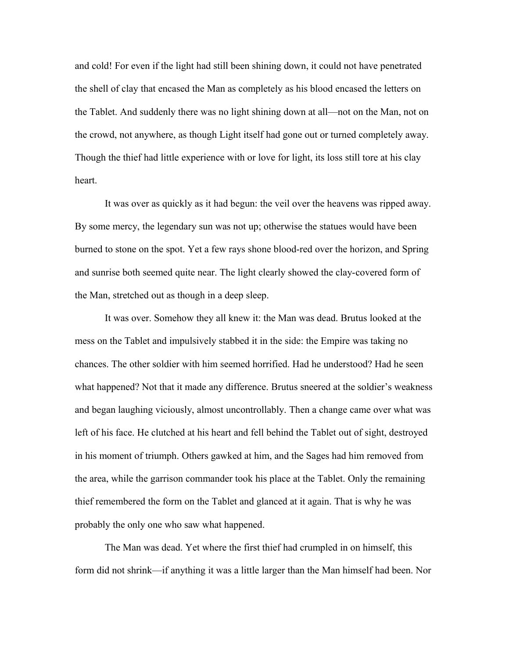and cold! For even if the light had still been shining down, it could not have penetrated the shell of clay that encased the Man as completely as his blood encased the letters on the Tablet. And suddenly there was no light shining down at all—not on the Man, not on the crowd, not anywhere, as though Light itself had gone out or turned completely away. Though the thief had little experience with or love for light, its loss still tore at his clay heart.

It was over as quickly as it had begun: the veil over the heavens was ripped away. By some mercy, the legendary sun was not up; otherwise the statues would have been burned to stone on the spot. Yet a few rays shone blood-red over the horizon, and Spring and sunrise both seemed quite near. The light clearly showed the clay-covered form of the Man, stretched out as though in a deep sleep.

It was over. Somehow they all knew it: the Man was dead. Brutus looked at the mess on the Tablet and impulsively stabbed it in the side: the Empire was taking no chances. The other soldier with him seemed horrified. Had he understood? Had he seen what happened? Not that it made any difference. Brutus sneered at the soldier's weakness and began laughing viciously, almost uncontrollably. Then a change came over what was left of his face. He clutched at his heart and fell behind the Tablet out of sight, destroyed in his moment of triumph. Others gawked at him, and the Sages had him removed from the area, while the garrison commander took his place at the Tablet. Only the remaining thief remembered the form on the Tablet and glanced at it again. That is why he was probably the only one who saw what happened.

The Man was dead. Yet where the first thief had crumpled in on himself, this form did not shrink—if anything it was a little larger than the Man himself had been. Nor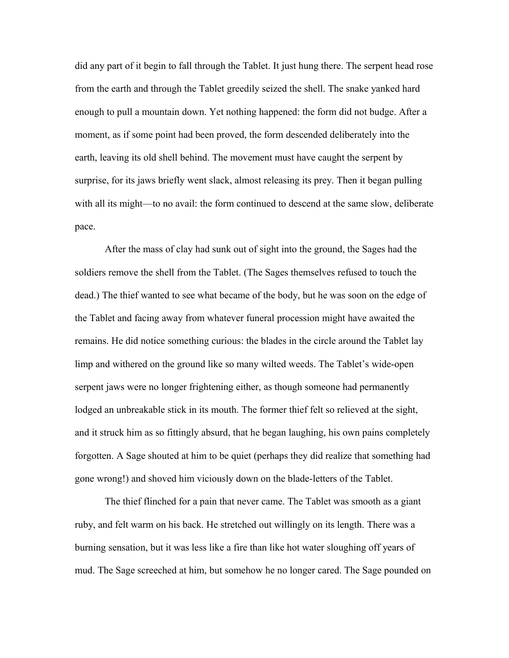did any part of it begin to fall through the Tablet. It just hung there. The serpent head rose from the earth and through the Tablet greedily seized the shell. The snake yanked hard enough to pull a mountain down. Yet nothing happened: the form did not budge. After a moment, as if some point had been proved, the form descended deliberately into the earth, leaving its old shell behind. The movement must have caught the serpent by surprise, for its jaws briefly went slack, almost releasing its prey. Then it began pulling with all its might—to no avail: the form continued to descend at the same slow, deliberate pace.

After the mass of clay had sunk out of sight into the ground, the Sages had the soldiers remove the shell from the Tablet. (The Sages themselves refused to touch the dead.) The thief wanted to see what became of the body, but he was soon on the edge of the Tablet and facing away from whatever funeral procession might have awaited the remains. He did notice something curious: the blades in the circle around the Tablet lay limp and withered on the ground like so many wilted weeds. The Tablet's wide-open serpent jaws were no longer frightening either, as though someone had permanently lodged an unbreakable stick in its mouth. The former thief felt so relieved at the sight, and it struck him as so fittingly absurd, that he began laughing, his own pains completely forgotten. A Sage shouted at him to be quiet (perhaps they did realize that something had gone wrong!) and shoved him viciously down on the blade-letters of the Tablet.

The thief flinched for a pain that never came. The Tablet was smooth as a giant ruby, and felt warm on his back. He stretched out willingly on its length. There was a burning sensation, but it was less like a fire than like hot water sloughing off years of mud. The Sage screeched at him, but somehow he no longer cared. The Sage pounded on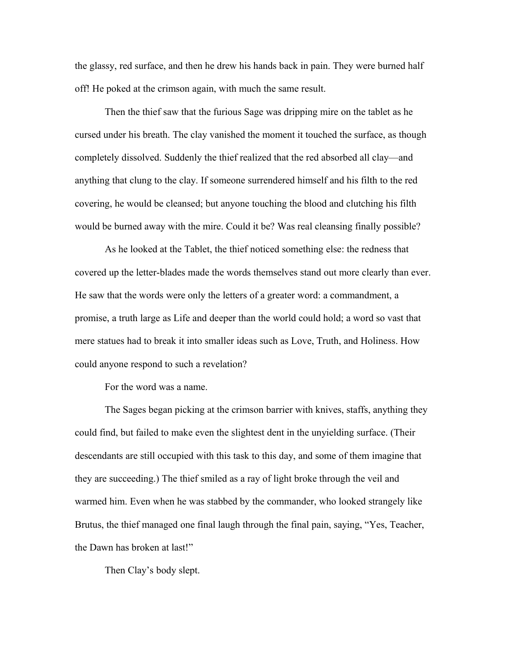the glassy, red surface, and then he drew his hands back in pain. They were burned half off! He poked at the crimson again, with much the same result.

Then the thief saw that the furious Sage was dripping mire on the tablet as he cursed under his breath. The clay vanished the moment it touched the surface, as though completely dissolved. Suddenly the thief realized that the red absorbed all clay—and anything that clung to the clay. If someone surrendered himself and his filth to the red covering, he would be cleansed; but anyone touching the blood and clutching his filth would be burned away with the mire. Could it be? Was real cleansing finally possible?

As he looked at the Tablet, the thief noticed something else: the redness that covered up the letter-blades made the words themselves stand out more clearly than ever. He saw that the words were only the letters of a greater word: a commandment, a promise, a truth large as Life and deeper than the world could hold; a word so vast that mere statues had to break it into smaller ideas such as Love, Truth, and Holiness. How could anyone respond to such a revelation?

For the word was a name.

The Sages began picking at the crimson barrier with knives, staffs, anything they could find, but failed to make even the slightest dent in the unyielding surface. (Their descendants are still occupied with this task to this day, and some of them imagine that they are succeeding.) The thief smiled as a ray of light broke through the veil and warmed him. Even when he was stabbed by the commander, who looked strangely like Brutus, the thief managed one final laugh through the final pain, saying, "Yes, Teacher, the Dawn has broken at last!"

Then Clay's body slept.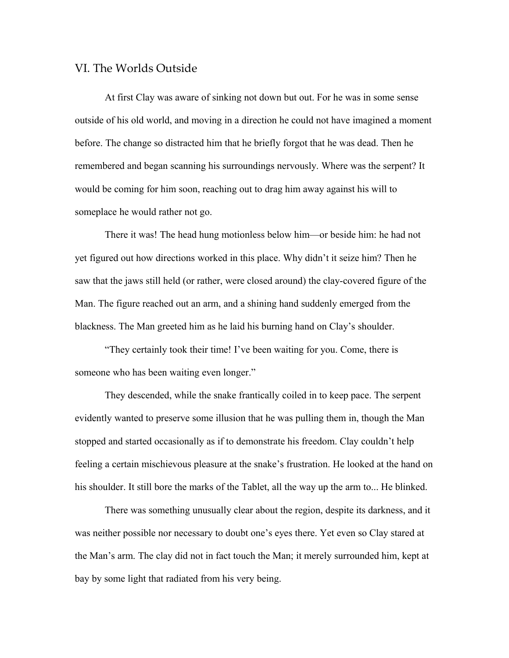## VI. The Worlds Outside

At first Clay was aware of sinking not down but out. For he was in some sense outside of his old world, and moving in a direction he could not have imagined a moment before. The change so distracted him that he briefly forgot that he was dead. Then he remembered and began scanning his surroundings nervously. Where was the serpent? It would be coming for him soon, reaching out to drag him away against his will to someplace he would rather not go.

There it was! The head hung motionless below him—or beside him: he had not yet figured out how directions worked in this place. Why didn't it seize him? Then he saw that the jaws still held (or rather, were closed around) the clay-covered figure of the Man. The figure reached out an arm, and a shining hand suddenly emerged from the blackness. The Man greeted him as he laid his burning hand on Clay's shoulder.

"They certainly took their time! I've been waiting for you. Come, there is someone who has been waiting even longer."

They descended, while the snake frantically coiled in to keep pace. The serpent evidently wanted to preserve some illusion that he was pulling them in, though the Man stopped and started occasionally as if to demonstrate his freedom. Clay couldn't help feeling a certain mischievous pleasure at the snake's frustration. He looked at the hand on his shoulder. It still bore the marks of the Tablet, all the way up the arm to... He blinked.

There was something unusually clear about the region, despite its darkness, and it was neither possible nor necessary to doubt one's eyes there. Yet even so Clay stared at the Man's arm. The clay did not in fact touch the Man; it merely surrounded him, kept at bay by some light that radiated from his very being.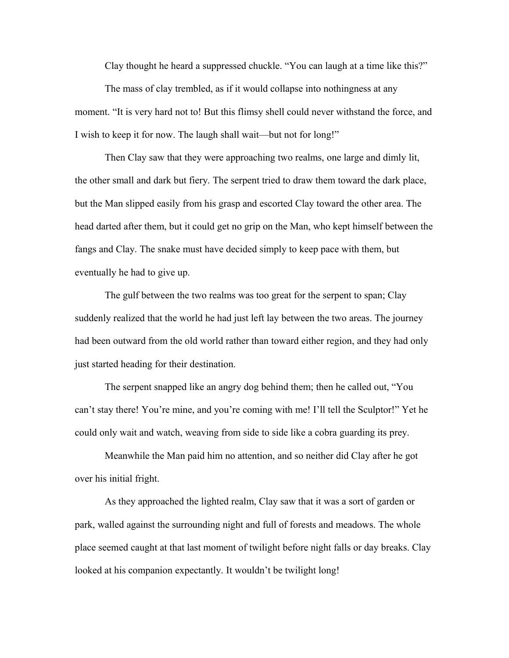Clay thought he heard a suppressed chuckle. "You can laugh at a time like this?"

The mass of clay trembled, as if it would collapse into nothingness at any moment. "It is very hard not to! But this flimsy shell could never withstand the force, and I wish to keep it for now. The laugh shall wait—but not for long!"

Then Clay saw that they were approaching two realms, one large and dimly lit, the other small and dark but fiery. The serpent tried to draw them toward the dark place, but the Man slipped easily from his grasp and escorted Clay toward the other area. The head darted after them, but it could get no grip on the Man, who kept himself between the fangs and Clay. The snake must have decided simply to keep pace with them, but eventually he had to give up.

The gulf between the two realms was too great for the serpent to span; Clay suddenly realized that the world he had just left lay between the two areas. The journey had been outward from the old world rather than toward either region, and they had only just started heading for their destination.

The serpent snapped like an angry dog behind them; then he called out, "You can't stay there! You're mine, and you're coming with me! I'll tell the Sculptor!" Yet he could only wait and watch, weaving from side to side like a cobra guarding its prey.

Meanwhile the Man paid him no attention, and so neither did Clay after he got over his initial fright.

As they approached the lighted realm, Clay saw that it was a sort of garden or park, walled against the surrounding night and full of forests and meadows. The whole place seemed caught at that last moment of twilight before night falls or day breaks. Clay looked at his companion expectantly. It wouldn't be twilight long!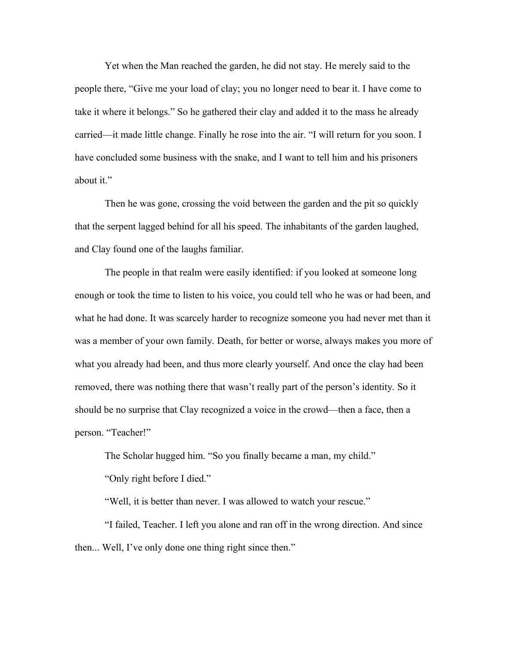Yet when the Man reached the garden, he did not stay. He merely said to the people there, "Give me your load of clay; you no longer need to bear it. I have come to take it where it belongs." So he gathered their clay and added it to the mass he already carried—it made little change. Finally he rose into the air. "I will return for you soon. I have concluded some business with the snake, and I want to tell him and his prisoners about it."

Then he was gone, crossing the void between the garden and the pit so quickly that the serpent lagged behind for all his speed. The inhabitants of the garden laughed, and Clay found one of the laughs familiar.

The people in that realm were easily identified: if you looked at someone long enough or took the time to listen to his voice, you could tell who he was or had been, and what he had done. It was scarcely harder to recognize someone you had never met than it was a member of your own family. Death, for better or worse, always makes you more of what you already had been, and thus more clearly yourself. And once the clay had been removed, there was nothing there that wasn't really part of the person's identity. So it should be no surprise that Clay recognized a voice in the crowd—then a face, then a person. "Teacher!"

The Scholar hugged him. "So you finally became a man, my child."

"Only right before I died."

"Well, it is better than never. I was allowed to watch your rescue."

"I failed, Teacher. I left you alone and ran off in the wrong direction. And since then... Well, I've only done one thing right since then."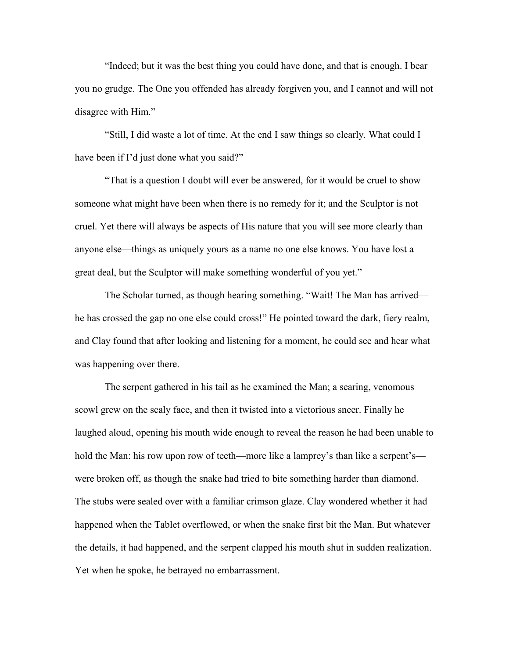"Indeed; but it was the best thing you could have done, and that is enough. I bear you no grudge. The One you offended has already forgiven you, and I cannot and will not disagree with Him."

"Still, I did waste a lot of time. At the end I saw things so clearly. What could I have been if I'd just done what you said?"

"That is a question I doubt will ever be answered, for it would be cruel to show someone what might have been when there is no remedy for it; and the Sculptor is not cruel. Yet there will always be aspects of His nature that you will see more clearly than anyone else—things as uniquely yours as a name no one else knows. You have lost a great deal, but the Sculptor will make something wonderful of you yet."

The Scholar turned, as though hearing something. "Wait! The Man has arrived he has crossed the gap no one else could cross!" He pointed toward the dark, fiery realm, and Clay found that after looking and listening for a moment, he could see and hear what was happening over there.

The serpent gathered in his tail as he examined the Man; a searing, venomous scowl grew on the scaly face, and then it twisted into a victorious sneer. Finally he laughed aloud, opening his mouth wide enough to reveal the reason he had been unable to hold the Man: his row upon row of teeth—more like a lamprey's than like a serpent's were broken off, as though the snake had tried to bite something harder than diamond. The stubs were sealed over with a familiar crimson glaze. Clay wondered whether it had happened when the Tablet overflowed, or when the snake first bit the Man. But whatever the details, it had happened, and the serpent clapped his mouth shut in sudden realization. Yet when he spoke, he betrayed no embarrassment.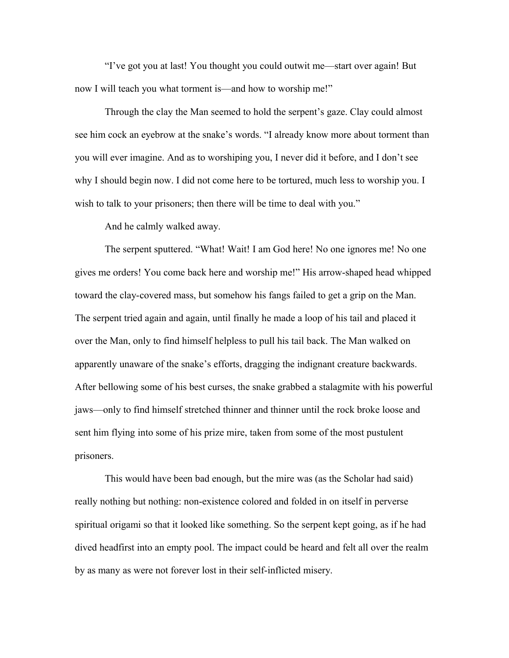"I've got you at last! You thought you could outwit me—start over again! But now I will teach you what torment is—and how to worship me!"

Through the clay the Man seemed to hold the serpent's gaze. Clay could almost see him cock an eyebrow at the snake's words. "I already know more about torment than you will ever imagine. And as to worshiping you, I never did it before, and I don't see why I should begin now. I did not come here to be tortured, much less to worship you. I wish to talk to your prisoners; then there will be time to deal with you."

And he calmly walked away.

The serpent sputtered. "What! Wait! I am God here! No one ignores me! No one gives me orders! You come back here and worship me!" His arrow-shaped head whipped toward the clay-covered mass, but somehow his fangs failed to get a grip on the Man. The serpent tried again and again, until finally he made a loop of his tail and placed it over the Man, only to find himself helpless to pull his tail back. The Man walked on apparently unaware of the snake's efforts, dragging the indignant creature backwards. After bellowing some of his best curses, the snake grabbed a stalagmite with his powerful jaws—only to find himself stretched thinner and thinner until the rock broke loose and sent him flying into some of his prize mire, taken from some of the most pustulent prisoners.

This would have been bad enough, but the mire was (as the Scholar had said) really nothing but nothing: non-existence colored and folded in on itself in perverse spiritual origami so that it looked like something. So the serpent kept going, as if he had dived headfirst into an empty pool. The impact could be heard and felt all over the realm by as many as were not forever lost in their self-inflicted misery.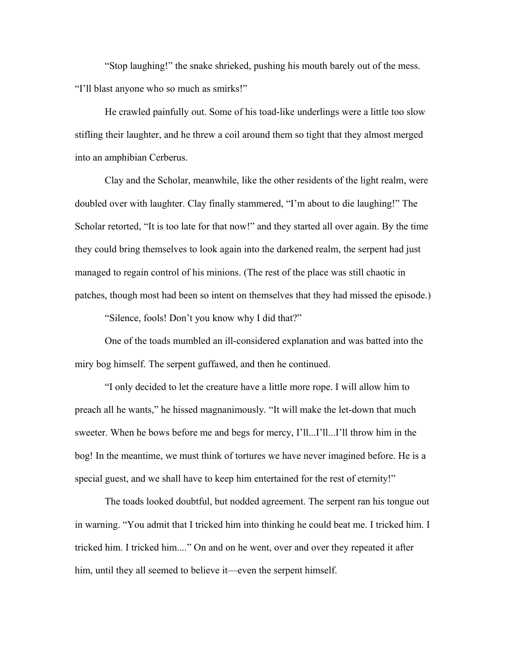"Stop laughing!" the snake shrieked, pushing his mouth barely out of the mess. "I'll blast anyone who so much as smirks!"

He crawled painfully out. Some of his toad-like underlings were a little too slow stifling their laughter, and he threw a coil around them so tight that they almost merged into an amphibian Cerberus.

Clay and the Scholar, meanwhile, like the other residents of the light realm, were doubled over with laughter. Clay finally stammered, "I'm about to die laughing!" The Scholar retorted, "It is too late for that now!" and they started all over again. By the time they could bring themselves to look again into the darkened realm, the serpent had just managed to regain control of his minions. (The rest of the place was still chaotic in patches, though most had been so intent on themselves that they had missed the episode.)

"Silence, fools! Don't you know why I did that?"

One of the toads mumbled an ill-considered explanation and was batted into the miry bog himself. The serpent guffawed, and then he continued.

"I only decided to let the creature have a little more rope. I will allow him to preach all he wants," he hissed magnanimously. "It will make the let-down that much sweeter. When he bows before me and begs for mercy, I'll...I'll...I'll throw him in the bog! In the meantime, we must think of tortures we have never imagined before. He is a special guest, and we shall have to keep him entertained for the rest of eternity!"

The toads looked doubtful, but nodded agreement. The serpent ran his tongue out in warning. "You admit that I tricked him into thinking he could beat me. I tricked him. I tricked him. I tricked him...." On and on he went, over and over they repeated it after him, until they all seemed to believe it—even the serpent himself.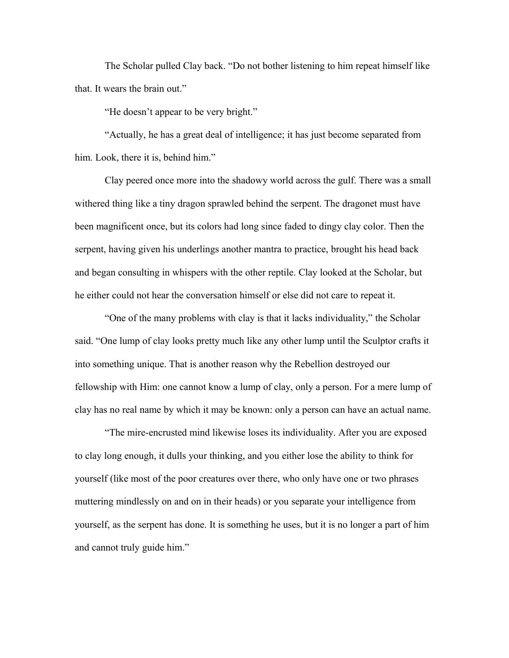The Scholar pulled Clay back. "Do not bother listening to him repeat himself like that. It wears the brain out."

"He doesn't appear to be very bright."

"Actually, he has a great deal of intelligence; it has just become separated from him. Look, there it is, behind him."

Clay peered once more into the shadowy world across the gulf. There was a small withered thing like a tiny dragon sprawled behind the serpent. The dragonet must have been magnificent once, but its colors had long since faded to dingy clay color. Then the serpent, having given his underlings another mantra to practice, brought his head back and began consulting in whispers with the other reptile. Clay looked at the Scholar, but he either could not hear the conversation himself or else did not care to repeat it.

"One of the many problems with clay is that it lacks individuality," the Scholar said. "One lump of clay looks pretty much like any other lump until the Sculptor crafts it into something unique. That is another reason why the Rebellion destroyed our fellowship with Him: one cannot know a lump of clay, only a person. For a mere lump of clay has no real name by which it may be known: only a person can have an actual name.

"The mire-encrusted mind likewise loses its individuality. After you are exposed to clay long enough, it dulls your thinking, and you either lose the ability to think for yourself (like most of the poor creatures over there, who only have one or two phrases muttering mindlessly on and on in their heads) or you separate your intelligence from yourself, as the serpent has done. It is something he uses, but it is no longer a part of him and cannot truly guide him."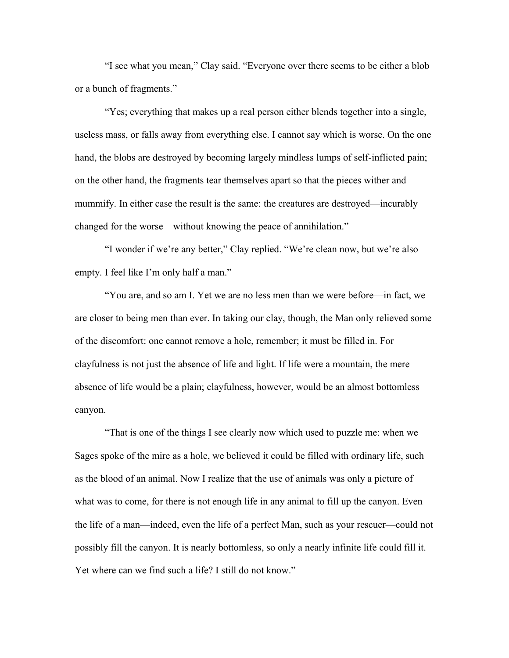"I see what you mean," Clay said. "Everyone over there seems to be either a blob or a bunch of fragments."

"Yes; everything that makes up a real person either blends together into a single, useless mass, or falls away from everything else. I cannot say which is worse. On the one hand, the blobs are destroyed by becoming largely mindless lumps of self-inflicted pain; on the other hand, the fragments tear themselves apart so that the pieces wither and mummify. In either case the result is the same: the creatures are destroyed—incurably changed for the worse—without knowing the peace of annihilation."

"I wonder if we're any better," Clay replied. "We're clean now, but we're also empty. I feel like I'm only half a man."

"You are, and so am I. Yet we are no less men than we were before—in fact, we are closer to being men than ever. In taking our clay, though, the Man only relieved some of the discomfort: one cannot remove a hole, remember; it must be filled in. For clayfulness is not just the absence of life and light. If life were a mountain, the mere absence of life would be a plain; clayfulness, however, would be an almost bottomless canyon.

"That is one of the things I see clearly now which used to puzzle me: when we Sages spoke of the mire as a hole, we believed it could be filled with ordinary life, such as the blood of an animal. Now I realize that the use of animals was only a picture of what was to come, for there is not enough life in any animal to fill up the canyon. Even the life of a man—indeed, even the life of a perfect Man, such as your rescuer—could not possibly fill the canyon. It is nearly bottomless, so only a nearly infinite life could fill it. Yet where can we find such a life? I still do not know."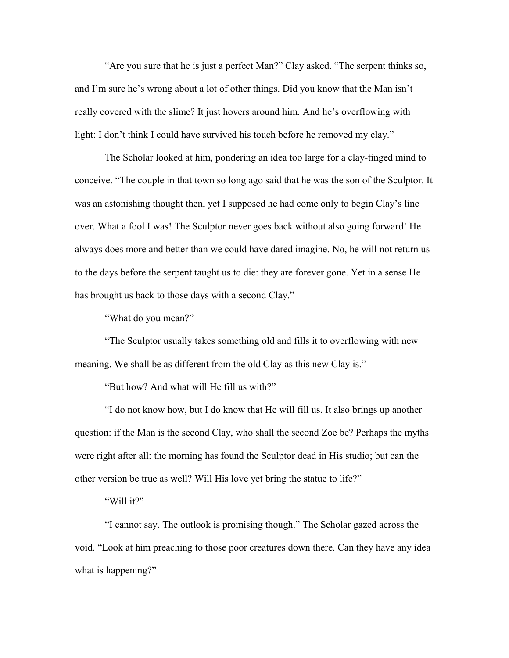"Are you sure that he is just a perfect Man?" Clay asked. "The serpent thinks so, and I'm sure he's wrong about a lot of other things. Did you know that the Man isn't really covered with the slime? It just hovers around him. And he's overflowing with light: I don't think I could have survived his touch before he removed my clay."

The Scholar looked at him, pondering an idea too large for a clay-tinged mind to conceive. "The couple in that town so long ago said that he was the son of the Sculptor. It was an astonishing thought then, yet I supposed he had come only to begin Clay's line over. What a fool I was! The Sculptor never goes back without also going forward! He always does more and better than we could have dared imagine. No, he will not return us to the days before the serpent taught us to die: they are forever gone. Yet in a sense He has brought us back to those days with a second Clay."

"What do you mean?"

"The Sculptor usually takes something old and fills it to overflowing with new meaning. We shall be as different from the old Clay as this new Clay is."

"But how? And what will He fill us with?"

"I do not know how, but I do know that He will fill us. It also brings up another question: if the Man is the second Clay, who shall the second Zoe be? Perhaps the myths were right after all: the morning has found the Sculptor dead in His studio; but can the other version be true as well? Will His love yet bring the statue to life?"

"Will it?"

"I cannot say. The outlook is promising though." The Scholar gazed across the void. "Look at him preaching to those poor creatures down there. Can they have any idea what is happening?"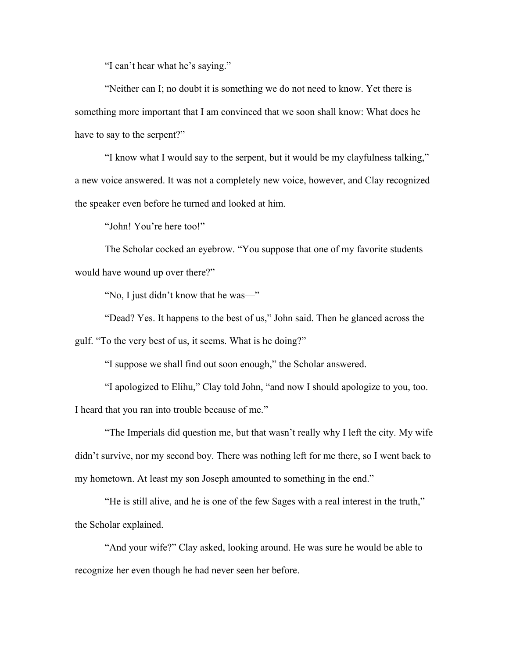"I can't hear what he's saying."

"Neither can I; no doubt it is something we do not need to know. Yet there is something more important that I am convinced that we soon shall know: What does he have to say to the serpent?"

"I know what I would say to the serpent, but it would be my clayfulness talking," a new voice answered. It was not a completely new voice, however, and Clay recognized the speaker even before he turned and looked at him.

"John! You're here too!"

The Scholar cocked an eyebrow. "You suppose that one of my favorite students would have wound up over there?"

"No, I just didn't know that he was—"

"Dead? Yes. It happens to the best of us," John said. Then he glanced across the gulf. "To the very best of us, it seems. What is he doing?"

"I suppose we shall find out soon enough," the Scholar answered.

"I apologized to Elihu," Clay told John, "and now I should apologize to you, too. I heard that you ran into trouble because of me."

"The Imperials did question me, but that wasn't really why I left the city. My wife didn't survive, nor my second boy. There was nothing left for me there, so I went back to my hometown. At least my son Joseph amounted to something in the end."

"He is still alive, and he is one of the few Sages with a real interest in the truth," the Scholar explained.

"And your wife?" Clay asked, looking around. He was sure he would be able to recognize her even though he had never seen her before.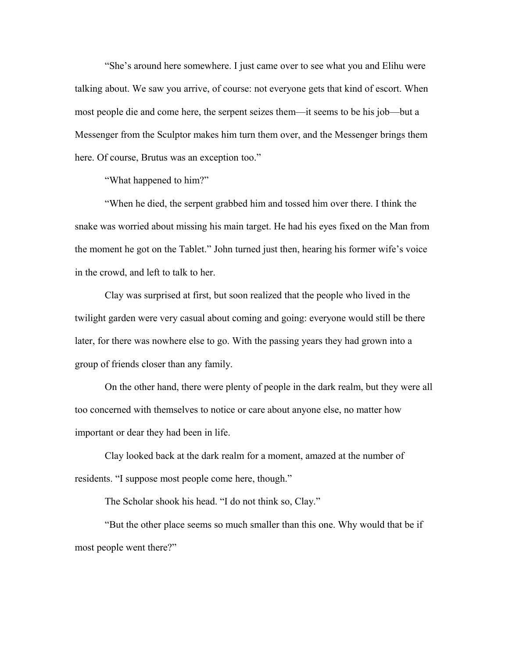"She's around here somewhere. I just came over to see what you and Elihu were talking about. We saw you arrive, of course: not everyone gets that kind of escort. When most people die and come here, the serpent seizes them—it seems to be his job—but a Messenger from the Sculptor makes him turn them over, and the Messenger brings them here. Of course, Brutus was an exception too."

"What happened to him?"

"When he died, the serpent grabbed him and tossed him over there. I think the snake was worried about missing his main target. He had his eyes fixed on the Man from the moment he got on the Tablet." John turned just then, hearing his former wife's voice in the crowd, and left to talk to her.

Clay was surprised at first, but soon realized that the people who lived in the twilight garden were very casual about coming and going: everyone would still be there later, for there was nowhere else to go. With the passing years they had grown into a group of friends closer than any family.

On the other hand, there were plenty of people in the dark realm, but they were all too concerned with themselves to notice or care about anyone else, no matter how important or dear they had been in life.

Clay looked back at the dark realm for a moment, amazed at the number of residents. "I suppose most people come here, though."

The Scholar shook his head. "I do not think so, Clay."

"But the other place seems so much smaller than this one. Why would that be if most people went there?"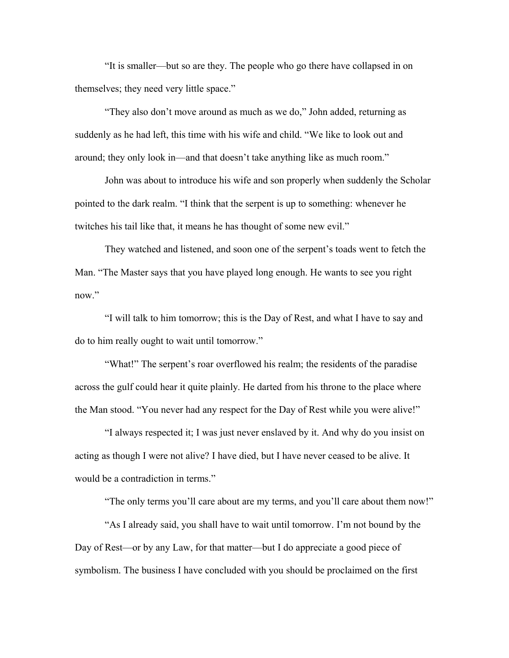"It is smaller—but so are they. The people who go there have collapsed in on themselves; they need very little space."

"They also don't move around as much as we do," John added, returning as suddenly as he had left, this time with his wife and child. "We like to look out and around; they only look in—and that doesn't take anything like as much room."

John was about to introduce his wife and son properly when suddenly the Scholar pointed to the dark realm. "I think that the serpent is up to something: whenever he twitches his tail like that, it means he has thought of some new evil."

They watched and listened, and soon one of the serpent's toads went to fetch the Man. "The Master says that you have played long enough. He wants to see you right now."

"I will talk to him tomorrow; this is the Day of Rest, and what I have to say and do to him really ought to wait until tomorrow."

"What!" The serpent's roar overflowed his realm; the residents of the paradise across the gulf could hear it quite plainly. He darted from his throne to the place where the Man stood. "You never had any respect for the Day of Rest while you were alive!"

"I always respected it; I was just never enslaved by it. And why do you insist on acting as though I were not alive? I have died, but I have never ceased to be alive. It would be a contradiction in terms."

"The only terms you'll care about are my terms, and you'll care about them now!"

"As I already said, you shall have to wait until tomorrow. I'm not bound by the Day of Rest—or by any Law, for that matter—but I do appreciate a good piece of symbolism. The business I have concluded with you should be proclaimed on the first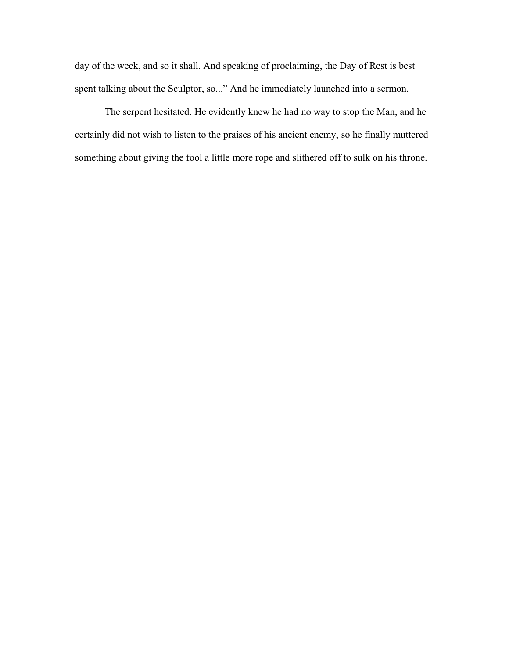day of the week, and so it shall. And speaking of proclaiming, the Day of Rest is best spent talking about the Sculptor, so..." And he immediately launched into a sermon.

The serpent hesitated. He evidently knew he had no way to stop the Man, and he certainly did not wish to listen to the praises of his ancient enemy, so he finally muttered something about giving the fool a little more rope and slithered off to sulk on his throne.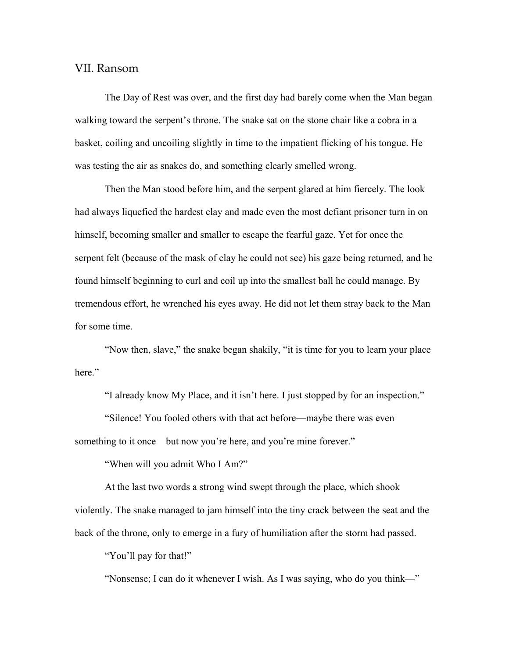## VII. Ransom

The Day of Rest was over, and the first day had barely come when the Man began walking toward the serpent's throne. The snake sat on the stone chair like a cobra in a basket, coiling and uncoiling slightly in time to the impatient flicking of his tongue. He was testing the air as snakes do, and something clearly smelled wrong.

Then the Man stood before him, and the serpent glared at him fiercely. The look had always liquefied the hardest clay and made even the most defiant prisoner turn in on himself, becoming smaller and smaller to escape the fearful gaze. Yet for once the serpent felt (because of the mask of clay he could not see) his gaze being returned, and he found himself beginning to curl and coil up into the smallest ball he could manage. By tremendous effort, he wrenched his eyes away. He did not let them stray back to the Man for some time.

"Now then, slave," the snake began shakily, "it is time for you to learn your place here."

"I already know My Place, and it isn't here. I just stopped by for an inspection."

"Silence! You fooled others with that act before—maybe there was even something to it once—but now you're here, and you're mine forever."

"When will you admit Who I Am?"

At the last two words a strong wind swept through the place, which shook violently. The snake managed to jam himself into the tiny crack between the seat and the back of the throne, only to emerge in a fury of humiliation after the storm had passed.

"You'll pay for that!"

"Nonsense; I can do it whenever I wish. As I was saying, who do you think—"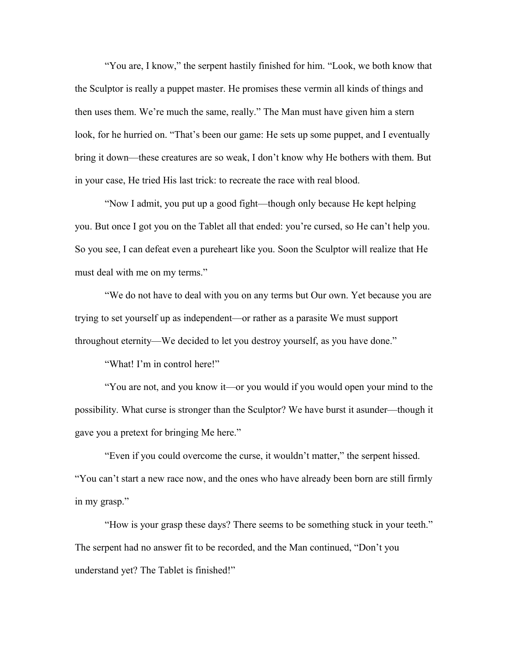"You are, I know," the serpent hastily finished for him. "Look, we both know that the Sculptor is really a puppet master. He promises these vermin all kinds of things and then uses them. We're much the same, really." The Man must have given him a stern look, for he hurried on. "That's been our game: He sets up some puppet, and I eventually bring it down—these creatures are so weak, I don't know why He bothers with them. But in your case, He tried His last trick: to recreate the race with real blood.

"Now I admit, you put up a good fight—though only because He kept helping you. But once I got you on the Tablet all that ended: you're cursed, so He can't help you. So you see, I can defeat even a pureheart like you. Soon the Sculptor will realize that He must deal with me on my terms."

"We do not have to deal with you on any terms but Our own. Yet because you are trying to set yourself up as independent—or rather as a parasite We must support throughout eternity—We decided to let you destroy yourself, as you have done."

"What! I'm in control here!"

"You are not, and you know it—or you would if you would open your mind to the possibility. What curse is stronger than the Sculptor? We have burst it asunder—though it gave you a pretext for bringing Me here."

"Even if you could overcome the curse, it wouldn't matter," the serpent hissed. "You can't start a new race now, and the ones who have already been born are still firmly in my grasp."

"How is your grasp these days? There seems to be something stuck in your teeth." The serpent had no answer fit to be recorded, and the Man continued, "Don't you understand yet? The Tablet is finished!"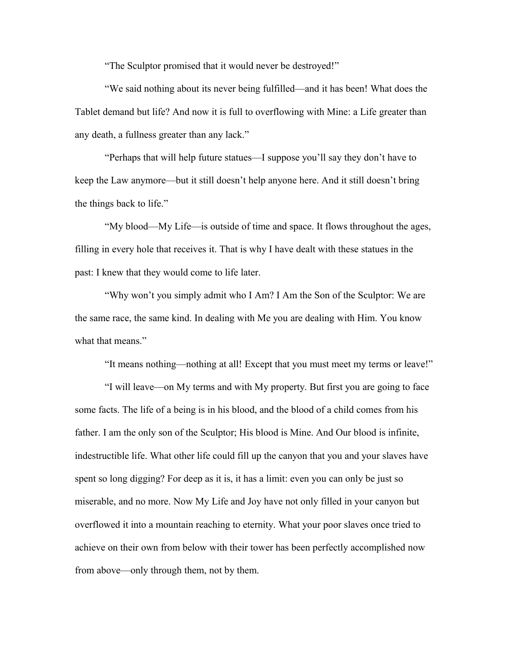"The Sculptor promised that it would never be destroyed!"

"We said nothing about its never being fulfilled—and it has been! What does the Tablet demand but life? And now it is full to overflowing with Mine: a Life greater than any death, a fullness greater than any lack."

"Perhaps that will help future statues—I suppose you'll say they don't have to keep the Law anymore—but it still doesn't help anyone here. And it still doesn't bring the things back to life."

"My blood—My Life—is outside of time and space. It flows throughout the ages, filling in every hole that receives it. That is why I have dealt with these statues in the past: I knew that they would come to life later.

"Why won't you simply admit who I Am? I Am the Son of the Sculptor: We are the same race, the same kind. In dealing with Me you are dealing with Him. You know what that means."

"It means nothing—nothing at all! Except that you must meet my terms or leave!"

"I will leave—on My terms and with My property. But first you are going to face some facts. The life of a being is in his blood, and the blood of a child comes from his father. I am the only son of the Sculptor; His blood is Mine. And Our blood is infinite, indestructible life. What other life could fill up the canyon that you and your slaves have spent so long digging? For deep as it is, it has a limit: even you can only be just so miserable, and no more. Now My Life and Joy have not only filled in your canyon but overflowed it into a mountain reaching to eternity. What your poor slaves once tried to achieve on their own from below with their tower has been perfectly accomplished now from above—only through them, not by them.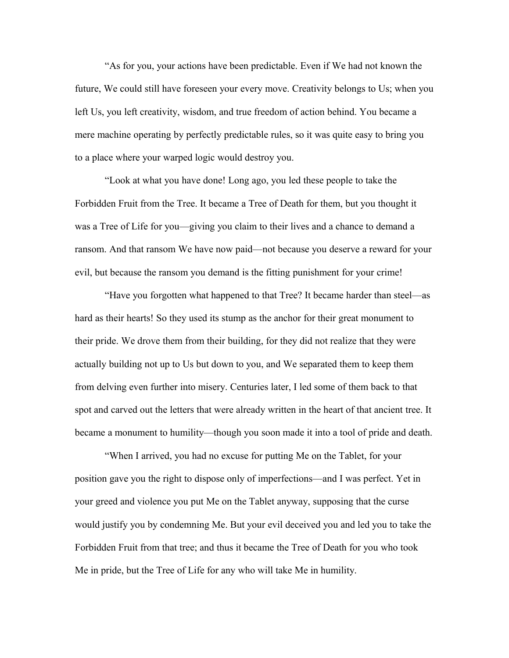"As for you, your actions have been predictable. Even if We had not known the future, We could still have foreseen your every move. Creativity belongs to Us; when you left Us, you left creativity, wisdom, and true freedom of action behind. You became a mere machine operating by perfectly predictable rules, so it was quite easy to bring you to a place where your warped logic would destroy you.

"Look at what you have done! Long ago, you led these people to take the Forbidden Fruit from the Tree. It became a Tree of Death for them, but you thought it was a Tree of Life for you—giving you claim to their lives and a chance to demand a ransom. And that ransom We have now paid—not because you deserve a reward for your evil, but because the ransom you demand is the fitting punishment for your crime!

"Have you forgotten what happened to that Tree? It became harder than steel—as hard as their hearts! So they used its stump as the anchor for their great monument to their pride. We drove them from their building, for they did not realize that they were actually building not up to Us but down to you, and We separated them to keep them from delving even further into misery. Centuries later, I led some of them back to that spot and carved out the letters that were already written in the heart of that ancient tree. It became a monument to humility—though you soon made it into a tool of pride and death.

"When I arrived, you had no excuse for putting Me on the Tablet, for your position gave you the right to dispose only of imperfections—and I was perfect. Yet in your greed and violence you put Me on the Tablet anyway, supposing that the curse would justify you by condemning Me. But your evil deceived you and led you to take the Forbidden Fruit from that tree; and thus it became the Tree of Death for you who took Me in pride, but the Tree of Life for any who will take Me in humility.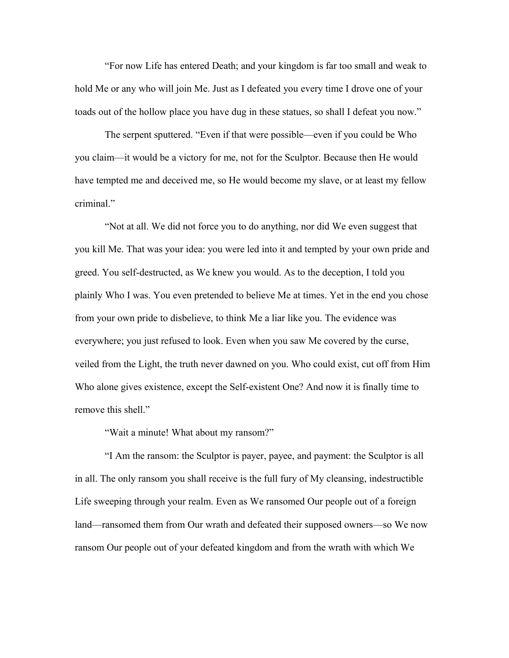"For now Life has entered Death; and your kingdom is far too small and weak to hold Me or any who will join Me. Just as I defeated you every time I drove one of your toads out of the hollow place you have dug in these statues, so shall I defeat you now."

The serpent sputtered. "Even if that were possible—even if you could be Who you claim—it would be a victory for me, not for the Sculptor. Because then He would have tempted me and deceived me, so He would become my slave, or at least my fellow criminal."

"Not at all. We did not force you to do anything, nor did We even suggest that you kill Me. That was your idea: you were led into it and tempted by your own pride and greed. You self-destructed, as We knew you would. As to the deception, I told you plainly Who I was. You even pretended to believe Me at times. Yet in the end you chose from your own pride to disbelieve, to think Me a liar like you. The evidence was everywhere; you just refused to look. Even when you saw Me covered by the curse, veiled from the Light, the truth never dawned on you. Who could exist, cut off from Him Who alone gives existence, except the Self-existent One? And now it is finally time to remove this shell."

"Wait a minute! What about my ransom?"

"I Am the ransom: the Sculptor is payer, payee, and payment: the Sculptor is all in all. The only ransom you shall receive is the full fury of My cleansing, indestructible Life sweeping through your realm. Even as We ransomed Our people out of a foreign land—ransomed them from Our wrath and defeated their supposed owners—so We now ransom Our people out of your defeated kingdom and from the wrath with which We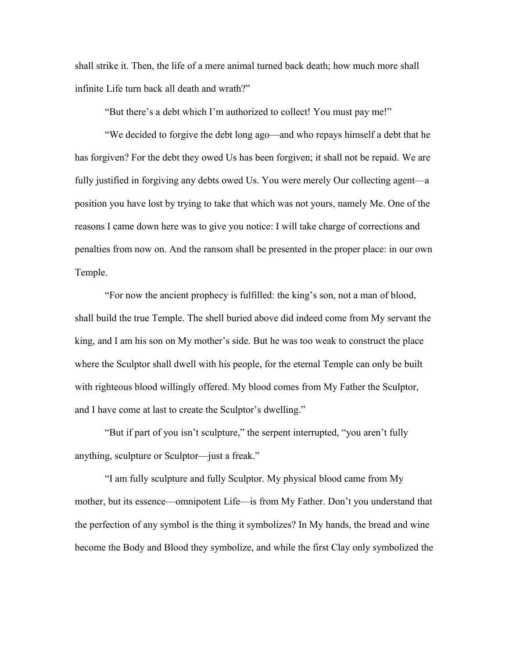shall strike it. Then, the life of a mere animal turned back death; how much more shall infinite Life turn back all death and wrath?"

"But there's a debt which I'm authorized to collect! You must pay me!"

"We decided to forgive the debt long ago—and who repays himself a debt that he has forgiven? For the debt they owed Us has been forgiven; it shall not be repaid. We are fully justified in forgiving any debts owed Us. You were merely Our collecting agent—a position you have lost by trying to take that which was not yours, namely Me. One of the reasons I came down here was to give you notice: I will take charge of corrections and penalties from now on. And the ransom shall be presented in the proper place: in our own Temple.

"For now the ancient prophecy is fulfilled: the king's son, not a man of blood, shall build the true Temple. The shell buried above did indeed come from My servant the king, and I am his son on My mother's side. But he was too weak to construct the place where the Sculptor shall dwell with his people, for the eternal Temple can only be built with righteous blood willingly offered. My blood comes from My Father the Sculptor, and I have come at last to create the Sculptor's dwelling."

"But if part of you isn't sculpture," the serpent interrupted, "you aren't fully anything, sculpture or Sculptor—just a freak."

"I am fully sculpture and fully Sculptor. My physical blood came from My mother, but its essence—omnipotent Life—is from My Father. Don't you understand that the perfection of any symbol is the thing it symbolizes? In My hands, the bread and wine become the Body and Blood they symbolize, and while the first Clay only symbolized the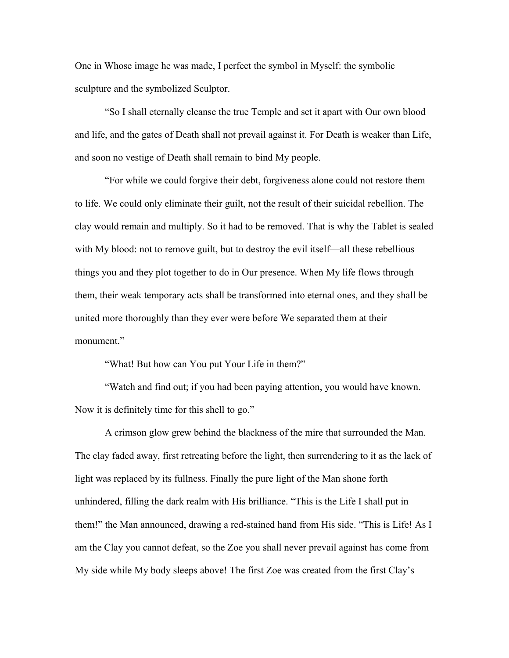One in Whose image he was made, I perfect the symbol in Myself: the symbolic sculpture and the symbolized Sculptor.

"So I shall eternally cleanse the true Temple and set it apart with Our own blood and life, and the gates of Death shall not prevail against it. For Death is weaker than Life, and soon no vestige of Death shall remain to bind My people.

"For while we could forgive their debt, forgiveness alone could not restore them to life. We could only eliminate their guilt, not the result of their suicidal rebellion. The clay would remain and multiply. So it had to be removed. That is why the Tablet is sealed with My blood: not to remove guilt, but to destroy the evil itself—all these rebellious things you and they plot together to do in Our presence. When My life flows through them, their weak temporary acts shall be transformed into eternal ones, and they shall be united more thoroughly than they ever were before We separated them at their monument."

"What! But how can You put Your Life in them?"

"Watch and find out; if you had been paying attention, you would have known. Now it is definitely time for this shell to go."

A crimson glow grew behind the blackness of the mire that surrounded the Man. The clay faded away, first retreating before the light, then surrendering to it as the lack of light was replaced by its fullness. Finally the pure light of the Man shone forth unhindered, filling the dark realm with His brilliance. "This is the Life I shall put in them!" the Man announced, drawing a red-stained hand from His side. "This is Life! As I am the Clay you cannot defeat, so the Zoe you shall never prevail against has come from My side while My body sleeps above! The first Zoe was created from the first Clay's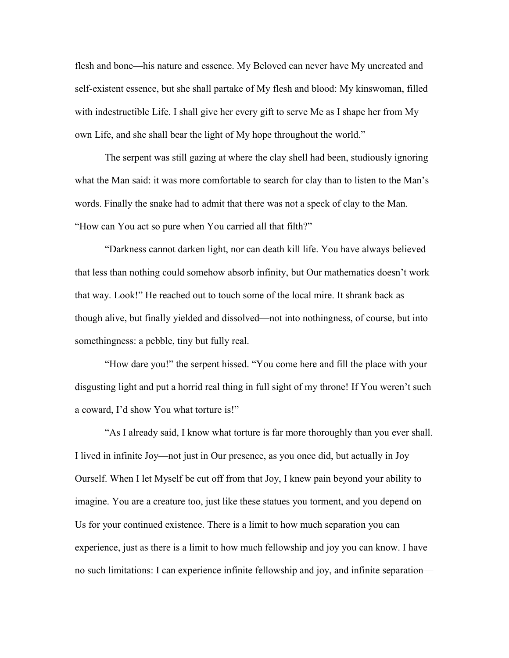flesh and bone—his nature and essence. My Beloved can never have My uncreated and self-existent essence, but she shall partake of My flesh and blood: My kinswoman, filled with indestructible Life. I shall give her every gift to serve Me as I shape her from My own Life, and she shall bear the light of My hope throughout the world."

The serpent was still gazing at where the clay shell had been, studiously ignoring what the Man said: it was more comfortable to search for clay than to listen to the Man's words. Finally the snake had to admit that there was not a speck of clay to the Man. "How can You act so pure when You carried all that filth?"

"Darkness cannot darken light, nor can death kill life. You have always believed that less than nothing could somehow absorb infinity, but Our mathematics doesn't work that way. Look!" He reached out to touch some of the local mire. It shrank back as though alive, but finally yielded and dissolved—not into nothingness, of course, but into somethingness: a pebble, tiny but fully real.

"How dare you!" the serpent hissed. "You come here and fill the place with your disgusting light and put a horrid real thing in full sight of my throne! If You weren't such a coward, I'd show You what torture is!"

"As I already said, I know what torture is far more thoroughly than you ever shall. I lived in infinite Joy—not just in Our presence, as you once did, but actually in Joy Ourself. When I let Myself be cut off from that Joy, I knew pain beyond your ability to imagine. You are a creature too, just like these statues you torment, and you depend on Us for your continued existence. There is a limit to how much separation you can experience, just as there is a limit to how much fellowship and joy you can know. I have no such limitations: I can experience infinite fellowship and joy, and infinite separation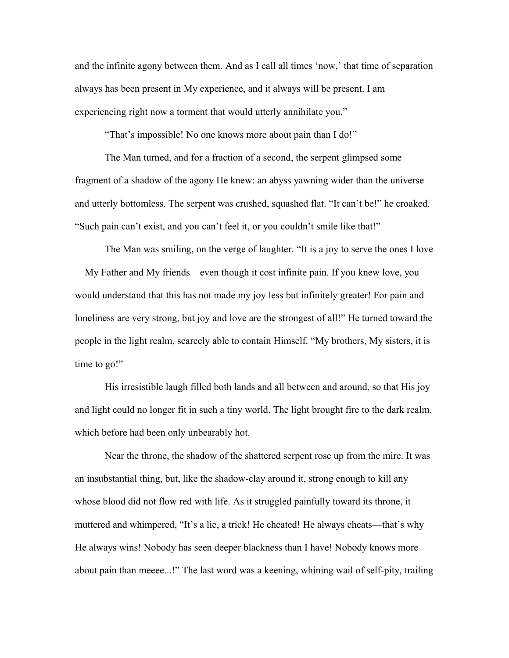and the infinite agony between them. And as I call all times 'now,' that time of separation always has been present in My experience, and it always will be present. I am experiencing right now a torment that would utterly annihilate you."

"That's impossible! No one knows more about pain than I do!"

The Man turned, and for a fraction of a second, the serpent glimpsed some fragment of a shadow of the agony He knew: an abyss yawning wider than the universe and utterly bottomless. The serpent was crushed, squashed flat. "It can't be!" he croaked. "Such pain can't exist, and you can't feel it, or you couldn't smile like that!"

The Man was smiling, on the verge of laughter. "It is a joy to serve the ones I love —My Father and My friends—even though it cost infinite pain. If you knew love, you would understand that this has not made my joy less but infinitely greater! For pain and loneliness are very strong, but joy and love are the strongest of all!" He turned toward the people in the light realm, scarcely able to contain Himself. "My brothers, My sisters, it is time to go!"

His irresistible laugh filled both lands and all between and around, so that His joy and light could no longer fit in such a tiny world. The light brought fire to the dark realm, which before had been only unbearably hot.

Near the throne, the shadow of the shattered serpent rose up from the mire. It was an insubstantial thing, but, like the shadow-clay around it, strong enough to kill any whose blood did not flow red with life. As it struggled painfully toward its throne, it muttered and whimpered, "It's a lie, a trick! He cheated! He always cheats—that's why He always wins! Nobody has seen deeper blackness than I have! Nobody knows more about pain than meeee...!" The last word was a keening, whining wail of self-pity, trailing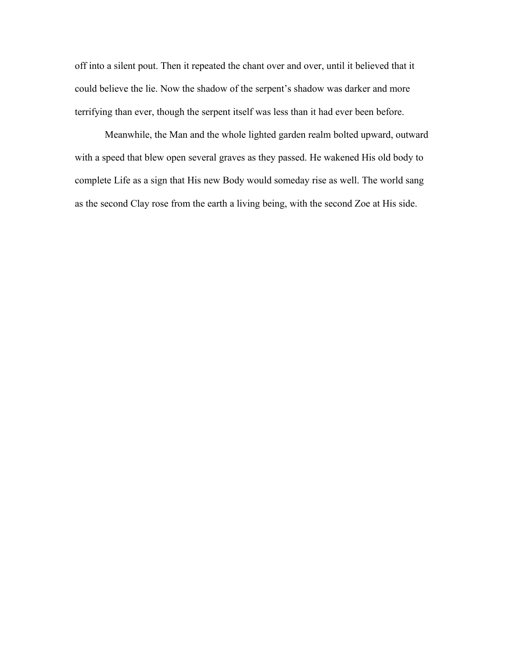off into a silent pout. Then it repeated the chant over and over, until it believed that it could believe the lie. Now the shadow of the serpent's shadow was darker and more terrifying than ever, though the serpent itself was less than it had ever been before.

Meanwhile, the Man and the whole lighted garden realm bolted upward, outward with a speed that blew open several graves as they passed. He wakened His old body to complete Life as a sign that His new Body would someday rise as well. The world sang as the second Clay rose from the earth a living being, with the second Zoe at His side.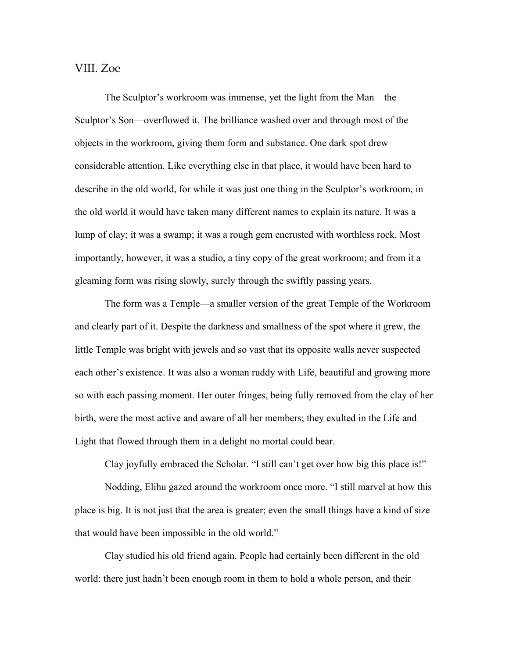## VIII. Zoe

The Sculptor's workroom was immense, yet the light from the Man—the Sculptor's Son—overflowed it. The brilliance washed over and through most of the objects in the workroom, giving them form and substance. One dark spot drew considerable attention. Like everything else in that place, it would have been hard to describe in the old world, for while it was just one thing in the Sculptor's workroom, in the old world it would have taken many different names to explain its nature. It was a lump of clay; it was a swamp; it was a rough gem encrusted with worthless rock. Most importantly, however, it was a studio, a tiny copy of the great workroom; and from it a gleaming form was rising slowly, surely through the swiftly passing years.

The form was a Temple—a smaller version of the great Temple of the Workroom and clearly part of it. Despite the darkness and smallness of the spot where it grew, the little Temple was bright with jewels and so vast that its opposite walls never suspected each other's existence. It was also a woman ruddy with Life, beautiful and growing more so with each passing moment. Her outer fringes, being fully removed from the clay of her birth, were the most active and aware of all her members; they exulted in the Life and Light that flowed through them in a delight no mortal could bear.

Clay joyfully embraced the Scholar. "I still can't get over how big this place is!"

Nodding, Elihu gazed around the workroom once more. "I still marvel at how this place is big. It is not just that the area is greater; even the small things have a kind of size that would have been impossible in the old world."

Clay studied his old friend again. People had certainly been different in the old world: there just hadn't been enough room in them to hold a whole person, and their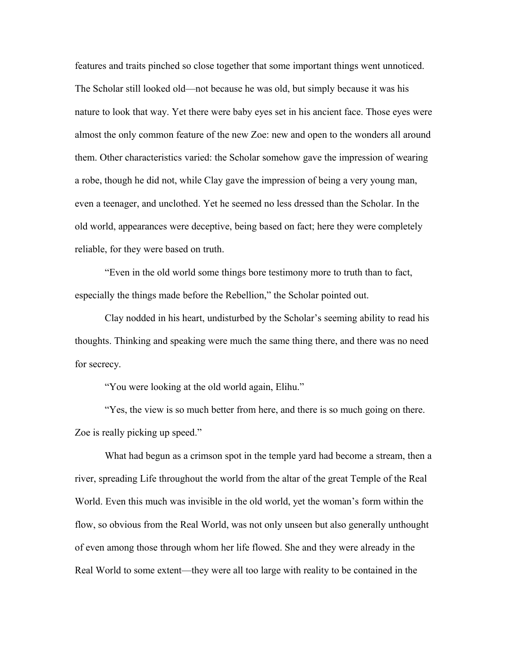features and traits pinched so close together that some important things went unnoticed. The Scholar still looked old—not because he was old, but simply because it was his nature to look that way. Yet there were baby eyes set in his ancient face. Those eyes were almost the only common feature of the new Zoe: new and open to the wonders all around them. Other characteristics varied: the Scholar somehow gave the impression of wearing a robe, though he did not, while Clay gave the impression of being a very young man, even a teenager, and unclothed. Yet he seemed no less dressed than the Scholar. In the old world, appearances were deceptive, being based on fact; here they were completely reliable, for they were based on truth.

"Even in the old world some things bore testimony more to truth than to fact, especially the things made before the Rebellion," the Scholar pointed out.

Clay nodded in his heart, undisturbed by the Scholar's seeming ability to read his thoughts. Thinking and speaking were much the same thing there, and there was no need for secrecy.

"You were looking at the old world again, Elihu."

"Yes, the view is so much better from here, and there is so much going on there. Zoe is really picking up speed."

What had begun as a crimson spot in the temple yard had become a stream, then a river, spreading Life throughout the world from the altar of the great Temple of the Real World. Even this much was invisible in the old world, yet the woman's form within the flow, so obvious from the Real World, was not only unseen but also generally unthought of even among those through whom her life flowed. She and they were already in the Real World to some extent—they were all too large with reality to be contained in the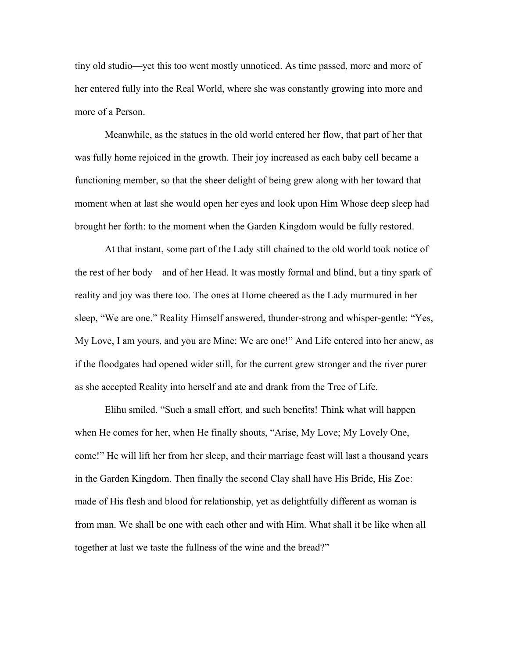tiny old studio—yet this too went mostly unnoticed. As time passed, more and more of her entered fully into the Real World, where she was constantly growing into more and more of a Person.

Meanwhile, as the statues in the old world entered her flow, that part of her that was fully home rejoiced in the growth. Their joy increased as each baby cell became a functioning member, so that the sheer delight of being grew along with her toward that moment when at last she would open her eyes and look upon Him Whose deep sleep had brought her forth: to the moment when the Garden Kingdom would be fully restored.

At that instant, some part of the Lady still chained to the old world took notice of the rest of her body—and of her Head. It was mostly formal and blind, but a tiny spark of reality and joy was there too. The ones at Home cheered as the Lady murmured in her sleep, "We are one." Reality Himself answered, thunder-strong and whisper-gentle: "Yes, My Love, I am yours, and you are Mine: We are one!" And Life entered into her anew, as if the floodgates had opened wider still, for the current grew stronger and the river purer as she accepted Reality into herself and ate and drank from the Tree of Life.

Elihu smiled. "Such a small effort, and such benefits! Think what will happen when He comes for her, when He finally shouts, "Arise, My Love; My Lovely One, come!" He will lift her from her sleep, and their marriage feast will last a thousand years in the Garden Kingdom. Then finally the second Clay shall have His Bride, His Zoe: made of His flesh and blood for relationship, yet as delightfully different as woman is from man. We shall be one with each other and with Him. What shall it be like when all together at last we taste the fullness of the wine and the bread?"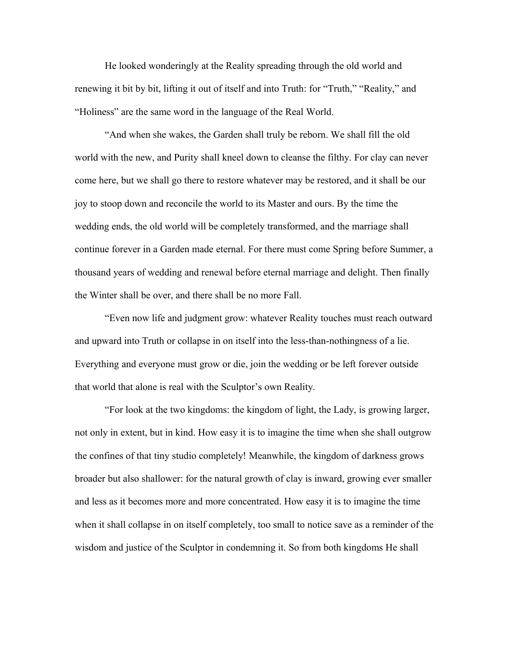He looked wonderingly at the Reality spreading through the old world and renewing it bit by bit, lifting it out of itself and into Truth: for "Truth," "Reality," and "Holiness" are the same word in the language of the Real World.

"And when she wakes, the Garden shall truly be reborn. We shall fill the old world with the new, and Purity shall kneel down to cleanse the filthy. For clay can never come here, but we shall go there to restore whatever may be restored, and it shall be our joy to stoop down and reconcile the world to its Master and ours. By the time the wedding ends, the old world will be completely transformed, and the marriage shall continue forever in a Garden made eternal. For there must come Spring before Summer, a thousand years of wedding and renewal before eternal marriage and delight. Then finally the Winter shall be over, and there shall be no more Fall.

"Even now life and judgment grow: whatever Reality touches must reach outward and upward into Truth or collapse in on itself into the less-than-nothingness of a lie. Everything and everyone must grow or die, join the wedding or be left forever outside that world that alone is real with the Sculptor's own Reality.

"For look at the two kingdoms: the kingdom of light, the Lady, is growing larger, not only in extent, but in kind. How easy it is to imagine the time when she shall outgrow the confines of that tiny studio completely! Meanwhile, the kingdom of darkness grows broader but also shallower: for the natural growth of clay is inward, growing ever smaller and less as it becomes more and more concentrated. How easy it is to imagine the time when it shall collapse in on itself completely, too small to notice save as a reminder of the wisdom and justice of the Sculptor in condemning it. So from both kingdoms He shall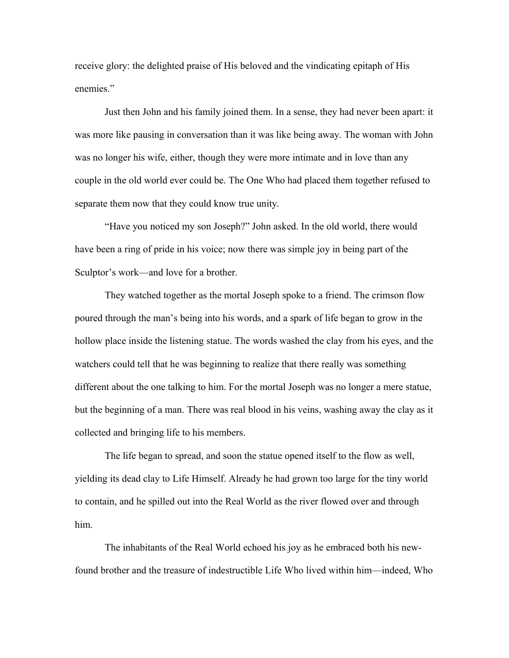receive glory: the delighted praise of His beloved and the vindicating epitaph of His enemies."

Just then John and his family joined them. In a sense, they had never been apart: it was more like pausing in conversation than it was like being away. The woman with John was no longer his wife, either, though they were more intimate and in love than any couple in the old world ever could be. The One Who had placed them together refused to separate them now that they could know true unity.

"Have you noticed my son Joseph?" John asked. In the old world, there would have been a ring of pride in his voice; now there was simple joy in being part of the Sculptor's work—and love for a brother.

They watched together as the mortal Joseph spoke to a friend. The crimson flow poured through the man's being into his words, and a spark of life began to grow in the hollow place inside the listening statue. The words washed the clay from his eyes, and the watchers could tell that he was beginning to realize that there really was something different about the one talking to him. For the mortal Joseph was no longer a mere statue, but the beginning of a man. There was real blood in his veins, washing away the clay as it collected and bringing life to his members.

The life began to spread, and soon the statue opened itself to the flow as well, yielding its dead clay to Life Himself. Already he had grown too large for the tiny world to contain, and he spilled out into the Real World as the river flowed over and through him.

The inhabitants of the Real World echoed his joy as he embraced both his newfound brother and the treasure of indestructible Life Who lived within him—indeed, Who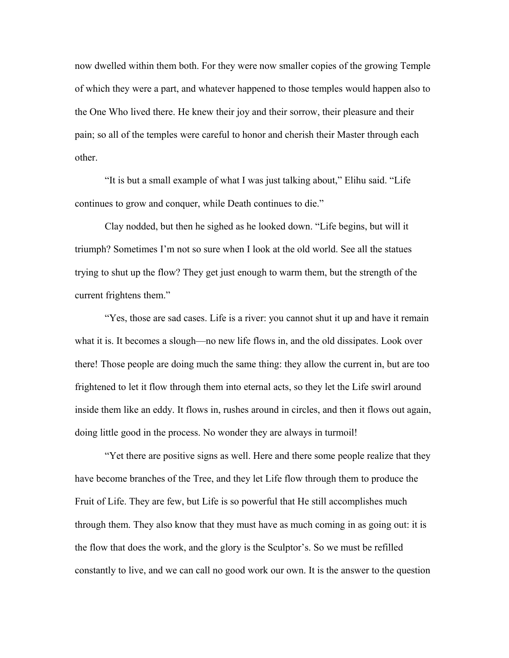now dwelled within them both. For they were now smaller copies of the growing Temple of which they were a part, and whatever happened to those temples would happen also to the One Who lived there. He knew their joy and their sorrow, their pleasure and their pain; so all of the temples were careful to honor and cherish their Master through each other.

"It is but a small example of what I was just talking about," Elihu said. "Life continues to grow and conquer, while Death continues to die."

Clay nodded, but then he sighed as he looked down. "Life begins, but will it triumph? Sometimes I'm not so sure when I look at the old world. See all the statues trying to shut up the flow? They get just enough to warm them, but the strength of the current frightens them."

"Yes, those are sad cases. Life is a river: you cannot shut it up and have it remain what it is. It becomes a slough—no new life flows in, and the old dissipates. Look over there! Those people are doing much the same thing: they allow the current in, but are too frightened to let it flow through them into eternal acts, so they let the Life swirl around inside them like an eddy. It flows in, rushes around in circles, and then it flows out again, doing little good in the process. No wonder they are always in turmoil!

"Yet there are positive signs as well. Here and there some people realize that they have become branches of the Tree, and they let Life flow through them to produce the Fruit of Life. They are few, but Life is so powerful that He still accomplishes much through them. They also know that they must have as much coming in as going out: it is the flow that does the work, and the glory is the Sculptor's. So we must be refilled constantly to live, and we can call no good work our own. It is the answer to the question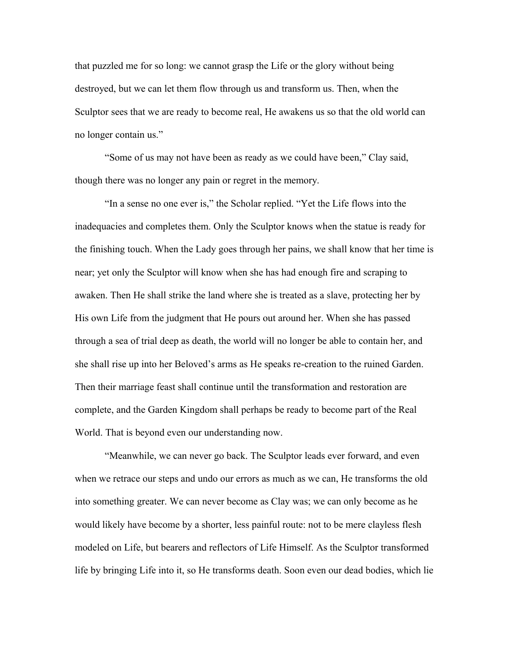that puzzled me for so long: we cannot grasp the Life or the glory without being destroyed, but we can let them flow through us and transform us. Then, when the Sculptor sees that we are ready to become real, He awakens us so that the old world can no longer contain us."

"Some of us may not have been as ready as we could have been," Clay said, though there was no longer any pain or regret in the memory.

"In a sense no one ever is," the Scholar replied. "Yet the Life flows into the inadequacies and completes them. Only the Sculptor knows when the statue is ready for the finishing touch. When the Lady goes through her pains, we shall know that her time is near; yet only the Sculptor will know when she has had enough fire and scraping to awaken. Then He shall strike the land where she is treated as a slave, protecting her by His own Life from the judgment that He pours out around her. When she has passed through a sea of trial deep as death, the world will no longer be able to contain her, and she shall rise up into her Beloved's arms as He speaks re-creation to the ruined Garden. Then their marriage feast shall continue until the transformation and restoration are complete, and the Garden Kingdom shall perhaps be ready to become part of the Real World. That is beyond even our understanding now.

"Meanwhile, we can never go back. The Sculptor leads ever forward, and even when we retrace our steps and undo our errors as much as we can, He transforms the old into something greater. We can never become as Clay was; we can only become as he would likely have become by a shorter, less painful route: not to be mere clayless flesh modeled on Life, but bearers and reflectors of Life Himself. As the Sculptor transformed life by bringing Life into it, so He transforms death. Soon even our dead bodies, which lie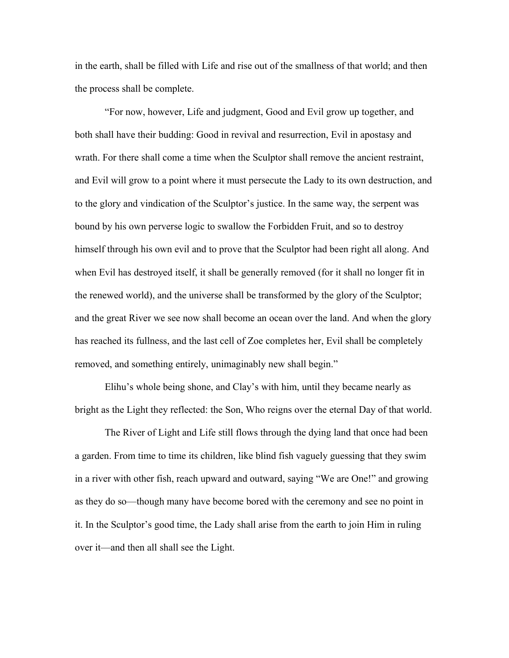in the earth, shall be filled with Life and rise out of the smallness of that world; and then the process shall be complete.

"For now, however, Life and judgment, Good and Evil grow up together, and both shall have their budding: Good in revival and resurrection, Evil in apostasy and wrath. For there shall come a time when the Sculptor shall remove the ancient restraint, and Evil will grow to a point where it must persecute the Lady to its own destruction, and to the glory and vindication of the Sculptor's justice. In the same way, the serpent was bound by his own perverse logic to swallow the Forbidden Fruit, and so to destroy himself through his own evil and to prove that the Sculptor had been right all along. And when Evil has destroyed itself, it shall be generally removed (for it shall no longer fit in the renewed world), and the universe shall be transformed by the glory of the Sculptor; and the great River we see now shall become an ocean over the land. And when the glory has reached its fullness, and the last cell of Zoe completes her, Evil shall be completely removed, and something entirely, unimaginably new shall begin."

Elihu's whole being shone, and Clay's with him, until they became nearly as bright as the Light they reflected: the Son, Who reigns over the eternal Day of that world.

The River of Light and Life still flows through the dying land that once had been a garden. From time to time its children, like blind fish vaguely guessing that they swim in a river with other fish, reach upward and outward, saying "We are One!" and growing as they do so—though many have become bored with the ceremony and see no point in it. In the Sculptor's good time, the Lady shall arise from the earth to join Him in ruling over it—and then all shall see the Light.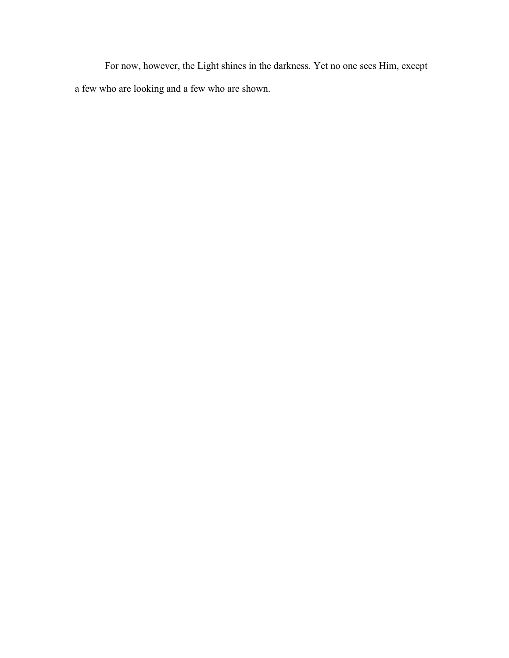For now, however, the Light shines in the darkness. Yet no one sees Him, except a few who are looking and a few who are shown.